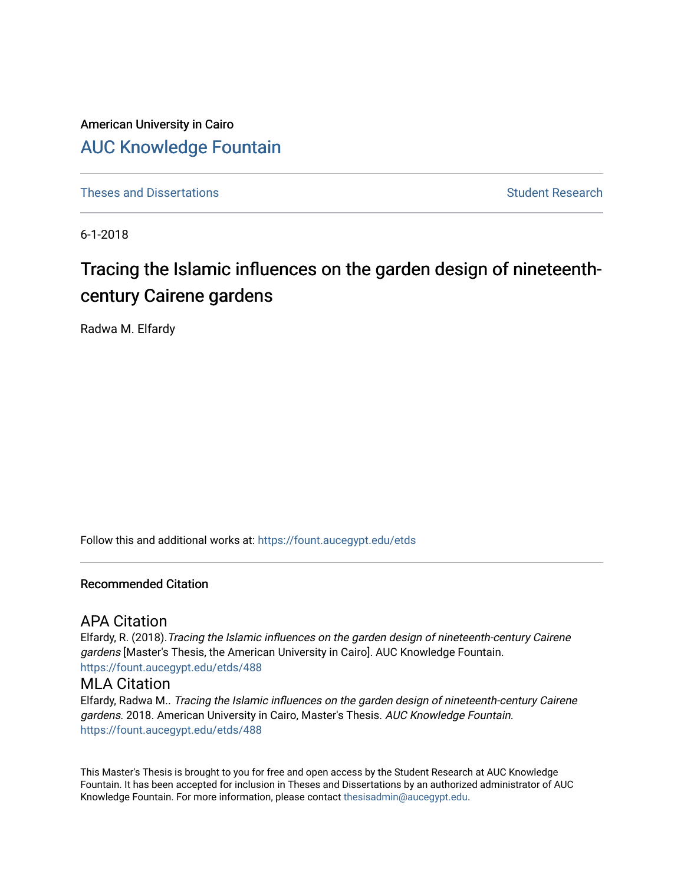American University in Cairo [AUC Knowledge Fountain](https://fount.aucegypt.edu/) 

[Theses and Dissertations](https://fount.aucegypt.edu/etds) Student Research

6-1-2018

# Tracing the Islamic influences on the garden design of nineteenthcentury Cairene gardens

Radwa M. Elfardy

Follow this and additional works at: [https://fount.aucegypt.edu/etds](https://fount.aucegypt.edu/etds?utm_source=fount.aucegypt.edu%2Fetds%2F488&utm_medium=PDF&utm_campaign=PDFCoverPages) 

### Recommended Citation

# APA Citation

Elfardy, R. (2018).Tracing the Islamic influences on the garden design of nineteenth-century Cairene gardens [Master's Thesis, the American University in Cairo]. AUC Knowledge Fountain. [https://fount.aucegypt.edu/etds/488](https://fount.aucegypt.edu/etds/488?utm_source=fount.aucegypt.edu%2Fetds%2F488&utm_medium=PDF&utm_campaign=PDFCoverPages) 

#### MLA Citation

Elfardy, Radwa M.. Tracing the Islamic influences on the garden design of nineteenth-century Cairene gardens. 2018. American University in Cairo, Master's Thesis. AUC Knowledge Fountain. [https://fount.aucegypt.edu/etds/488](https://fount.aucegypt.edu/etds/488?utm_source=fount.aucegypt.edu%2Fetds%2F488&utm_medium=PDF&utm_campaign=PDFCoverPages) 

This Master's Thesis is brought to you for free and open access by the Student Research at AUC Knowledge Fountain. It has been accepted for inclusion in Theses and Dissertations by an authorized administrator of AUC Knowledge Fountain. For more information, please contact [thesisadmin@aucegypt.edu.](mailto:thesisadmin@aucegypt.edu)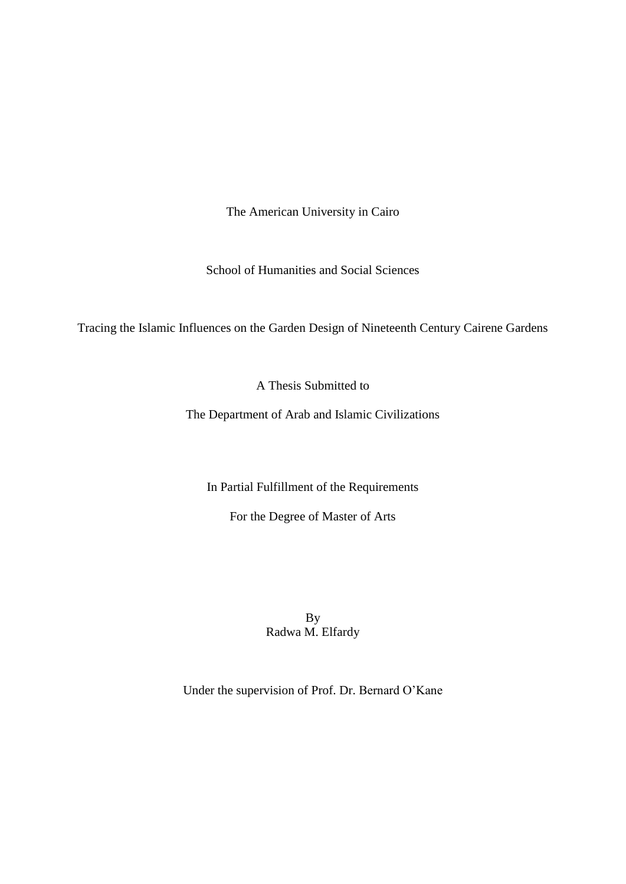The American University in Cairo

School of Humanities and Social Sciences

Tracing the Islamic Influences on the Garden Design of Nineteenth Century Cairene Gardens

A Thesis Submitted to

The Department of Arab and Islamic Civilizations

In Partial Fulfillment of the Requirements

For the Degree of Master of Arts

By Radwa M. Elfardy

Under the supervision of Prof. Dr. Bernard O'Kane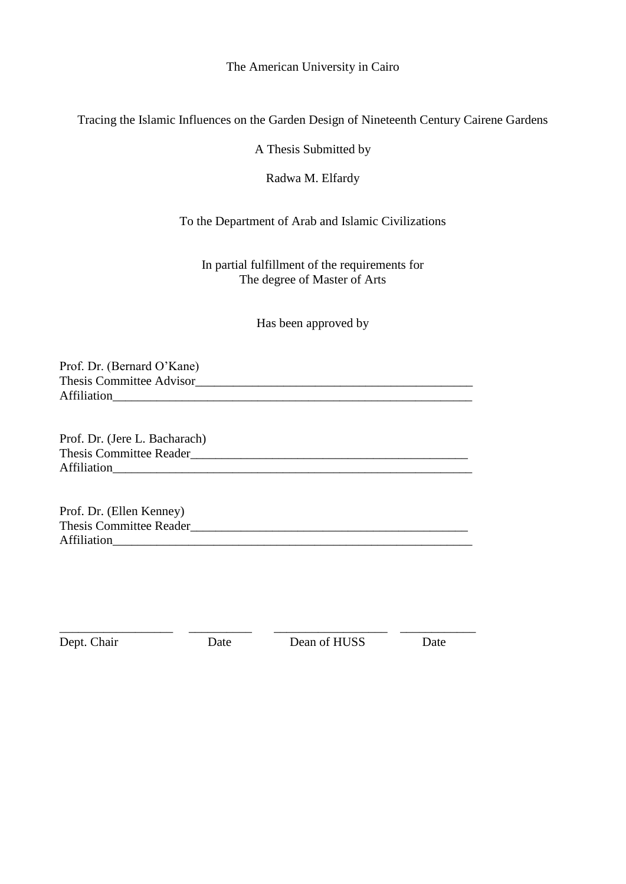The American University in Cairo

Tracing the Islamic Influences on the Garden Design of Nineteenth Century Cairene Gardens

A Thesis Submitted by

Radwa M. Elfardy

To the Department of Arab and Islamic Civilizations

In partial fulfillment of the requirements for The degree of Master of Arts

Has been approved by

Prof. Dr. (Bernard O'Kane) Thesis Committee Advisor\_\_\_\_\_\_\_\_\_\_\_\_\_\_\_\_\_\_\_\_\_\_\_\_\_\_\_\_\_\_\_\_\_\_\_\_\_\_\_\_\_\_\_\_ Affiliation

Prof. Dr. (Jere L. Bacharach) Thesis Committee Reader\_\_\_\_\_\_\_\_\_\_\_\_\_\_\_\_\_\_\_\_\_\_\_\_\_\_\_\_\_\_\_\_\_\_\_\_\_\_\_\_\_\_\_\_ Affiliation

Prof. Dr. (Ellen Kenney) Thesis Committee Reader Affiliation

\_\_\_\_\_\_\_\_\_\_\_\_\_\_\_\_\_\_ \_\_\_\_\_\_\_\_\_\_ \_\_\_\_\_\_\_\_\_\_\_\_\_\_\_\_\_\_ \_\_\_\_\_\_\_\_\_\_\_\_ Dept. Chair Date Dean of HUSS Date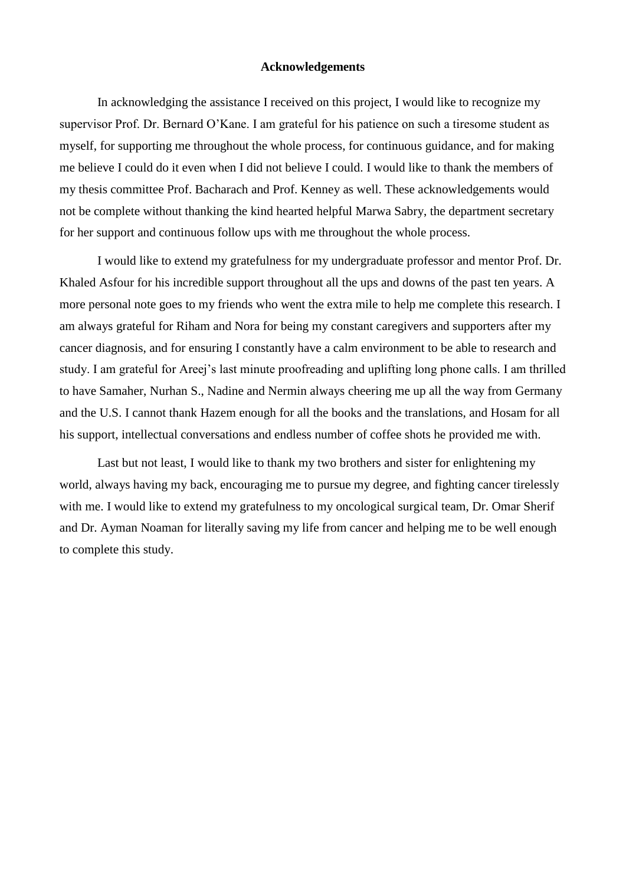# **Acknowledgements**

In acknowledging the assistance I received on this project, I would like to recognize my supervisor Prof. Dr. Bernard O'Kane. I am grateful for his patience on such a tiresome student as myself, for supporting me throughout the whole process, for continuous guidance, and for making me believe I could do it even when I did not believe I could. I would like to thank the members of my thesis committee Prof. Bacharach and Prof. Kenney as well. These acknowledgements would not be complete without thanking the kind hearted helpful Marwa Sabry, the department secretary for her support and continuous follow ups with me throughout the whole process.

I would like to extend my gratefulness for my undergraduate professor and mentor Prof. Dr. Khaled Asfour for his incredible support throughout all the ups and downs of the past ten years. A more personal note goes to my friends who went the extra mile to help me complete this research. I am always grateful for Riham and Nora for being my constant caregivers and supporters after my cancer diagnosis, and for ensuring I constantly have a calm environment to be able to research and study. I am grateful for Areej's last minute proofreading and uplifting long phone calls. I am thrilled to have Samaher, Nurhan S., Nadine and Nermin always cheering me up all the way from Germany and the U.S. I cannot thank Hazem enough for all the books and the translations, and Hosam for all his support, intellectual conversations and endless number of coffee shots he provided me with.

Last but not least, I would like to thank my two brothers and sister for enlightening my world, always having my back, encouraging me to pursue my degree, and fighting cancer tirelessly with me. I would like to extend my gratefulness to my oncological surgical team, Dr. Omar Sherif and Dr. Ayman Noaman for literally saving my life from cancer and helping me to be well enough to complete this study.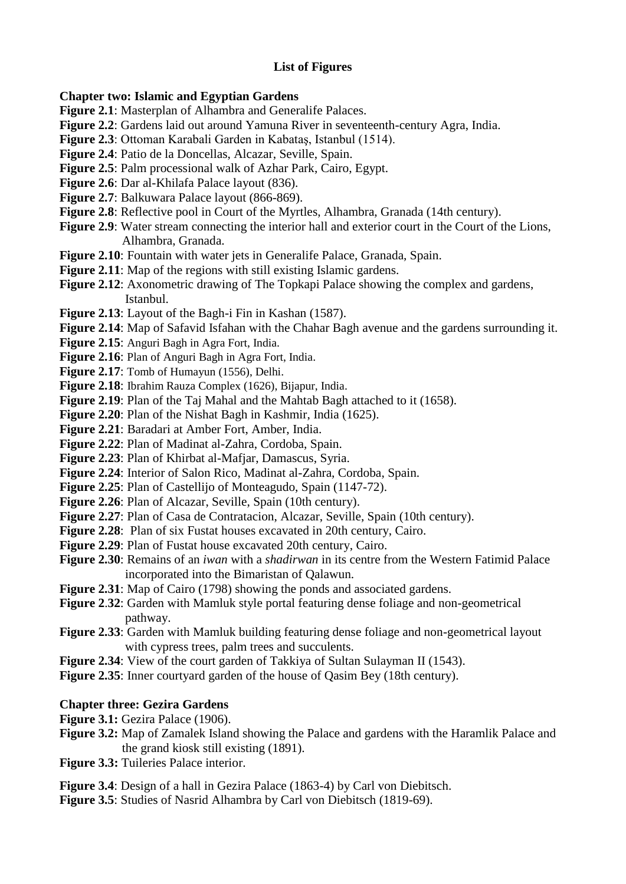# **List of Figures**

# **Chapter two: Islamic and Egyptian Gardens**

- Figure 2.1: Masterplan of Alhambra and Generalife Palaces.
- **Figure 2.2**: Gardens laid out around Yamuna River in seventeenth-century Agra, India.
- **Figure 2.3**: Ottoman Karabali Garden in Kabataş, Istanbul (1514).
- **Figure 2.4**: Patio de la Doncellas, Alcazar, Seville, Spain.
- **Figure 2.5**: Palm processional walk of Azhar Park, Cairo, Egypt.
- **Figure 2.6**: Dar al-Khilafa Palace layout (836).
- **Figure 2.7**: Balkuwara Palace layout (866-869).
- **Figure 2.8**: Reflective pool in Court of the Myrtles, Alhambra, Granada (14th century).
- **Figure 2.9**: Water stream connecting the interior hall and exterior court in the Court of the Lions, Alhambra, Granada.
- **Figure 2.10**: Fountain with water jets in Generalife Palace, Granada, Spain.
- Figure 2.11: Map of the regions with still existing Islamic gardens.
- **Figure 2.12**: Axonometric drawing of The Topkapi Palace showing the complex and gardens, Istanbul.
- **Figure 2.13**: Layout of the Bagh-i Fin in Kashan (1587).
- **Figure 2.14**: Map of Safavid Isfahan with the Chahar Bagh avenue and the gardens surrounding it.
- **Figure 2.15**: Anguri Bagh in Agra Fort, India.
- **Figure 2.16**: Plan of Anguri Bagh in Agra Fort, India.
- **Figure 2.17**: Tomb of Humayun (1556), Delhi.
- **Figure 2.18**: Ibrahim Rauza Complex (1626), Bijapur, India.
- **Figure 2.19**: Plan of the Taj Mahal and the Mahtab Bagh attached to it (1658).
- **Figure 2.20:** Plan of the Nishat Bagh in Kashmir, India (1625).
- **Figure 2.21**: Baradari at Amber Fort, Amber, India.
- **Figure 2.22**: Plan of Madinat al-Zahra, Cordoba, Spain.
- **Figure 2.23**: Plan of Khirbat al-Mafjar, Damascus, Syria.
- **Figure 2.24**: Interior of Salon Rico, Madinat al-Zahra, Cordoba, Spain.
- **Figure 2.25**: Plan of Castellijo of Monteagudo, Spain (1147-72).
- **Figure 2.26**: Plan of Alcazar, Seville, Spain (10th century).
- **Figure 2.27**: Plan of Casa de Contratacion, Alcazar, Seville, Spain (10th century).
- **Figure 2.28**: Plan of six Fustat houses excavated in 20th century, Cairo.
- **Figure 2.29**: Plan of Fustat house excavated 20th century, Cairo.
- **Figure 2.30**: Remains of an *iwan* with a *shadirwan* in its centre from the Western Fatimid Palace incorporated into the Bimaristan of Qalawun.
- **Figure 2.31**: Map of Cairo (1798) showing the ponds and associated gardens.
- **Figure 2**.**32**: Garden with Mamluk style portal featuring dense foliage and non-geometrical pathway.
- **Figure 2.33**: Garden with Mamluk building featuring dense foliage and non-geometrical layout with cypress trees, palm trees and succulents.
- **Figure 2.34**: View of the court garden of Takkiya of Sultan Sulayman II (1543).
- **Figure 2.35**: Inner courtyard garden of the house of Qasim Bey (18th century).

# **Chapter three: Gezira Gardens**

- **Figure 3.1:** Gezira Palace (1906).
- **Figure 3.2:** Map of Zamalek Island showing the Palace and gardens with the Haramlik Palace and the grand kiosk still existing (1891).
- **Figure 3.3:** Tuileries Palace interior.
- **Figure 3.4**: Design of a hall in Gezira Palace (1863-4) by Carl von Diebitsch.
- **Figure 3.5**: Studies of Nasrid Alhambra by Carl von Diebitsch (1819-69).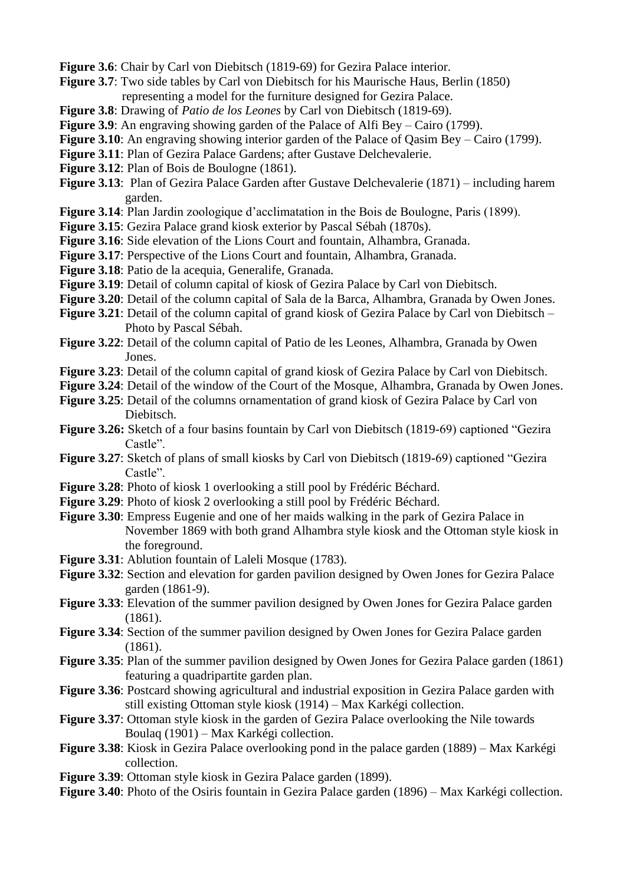**Figure 3.6**: Chair by Carl von Diebitsch (1819-69) for Gezira Palace interior.

- **Figure 3.7**: Two side tables by Carl von Diebitsch for his Maurische Haus, Berlin (1850) representing a model for the furniture designed for Gezira Palace.
- **Figure 3.8**: Drawing of *Patio de los Leones* by Carl von Diebitsch (1819-69).
- **Figure 3.9**: An engraving showing garden of the Palace of Alfi Bey Cairo (1799).
- **Figure 3.10**: An engraving showing interior garden of the Palace of Qasim Bey Cairo (1799).
- **Figure 3.11**: Plan of Gezira Palace Gardens; after Gustave Delchevalerie.
- **Figure 3.12**: Plan of Bois de Boulogne (1861).
- **Figure 3.13**: Plan of Gezira Palace Garden after Gustave Delchevalerie (1871) including harem garden.
- **Figure 3.14**: Plan Jardin zoologique d'acclimatation in the Bois de Boulogne, Paris (1899).
- **Figure 3.15**: Gezira Palace grand kiosk exterior by Pascal Sébah (1870s).
- Figure 3.16: Side elevation of the Lions Court and fountain, Alhambra, Granada.
- **Figure 3.17:** Perspective of the Lions Court and fountain, Alhambra, Granada.
- **Figure 3.18**: Patio de la acequia, Generalife, Granada.
- **Figure 3.19**: Detail of column capital of kiosk of Gezira Palace by Carl von Diebitsch.
- **Figure 3.20**: Detail of the column capital of Sala de la Barca, Alhambra, Granada by Owen Jones.
- **Figure 3.21**: Detail of the column capital of grand kiosk of Gezira Palace by Carl von Diebitsch Photo by Pascal Sébah.
- **Figure 3.22**: Detail of the column capital of Patio de les Leones, Alhambra, Granada by Owen Jones.
- **Figure 3.23**: Detail of the column capital of grand kiosk of Gezira Palace by Carl von Diebitsch.
- **Figure 3.24**: Detail of the window of the Court of the Mosque, Alhambra, Granada by Owen Jones.
- **Figure 3.25**: Detail of the columns ornamentation of grand kiosk of Gezira Palace by Carl von Diebitsch.
- **Figure 3.26:** Sketch of a four basins fountain by Carl von Diebitsch (1819-69) captioned "Gezira Castle".
- **Figure 3.27**: Sketch of plans of small kiosks by Carl von Diebitsch (1819-69) captioned "Gezira Castle".
- **Figure 3.28**: Photo of kiosk 1 overlooking a still pool by Frédéric Béchard.
- **Figure 3.29**: Photo of kiosk 2 overlooking a still pool by Frédéric Béchard.
- **Figure 3.30**: Empress Eugenie and one of her maids walking in the park of Gezira Palace in November 1869 with both grand Alhambra style kiosk and the Ottoman style kiosk in the foreground.
- **Figure 3.31**: Ablution fountain of Laleli Mosque (1783).
- **Figure 3.32**: Section and elevation for garden pavilion designed by Owen Jones for Gezira Palace garden (1861-9).
- **Figure 3.33**: Elevation of the summer pavilion designed by Owen Jones for Gezira Palace garden (1861).
- **Figure 3.34**: Section of the summer pavilion designed by Owen Jones for Gezira Palace garden (1861).
- **Figure 3.35**: Plan of the summer pavilion designed by Owen Jones for Gezira Palace garden (1861) featuring a quadripartite garden plan.
- **Figure 3.36**: Postcard showing agricultural and industrial exposition in Gezira Palace garden with still existing Ottoman style kiosk (1914) – Max Karkégi collection.
- **Figure 3.37**: Ottoman style kiosk in the garden of Gezira Palace overlooking the Nile towards Boulaq (1901) – Max Karkégi collection.
- **Figure 3.38**: Kiosk in Gezira Palace overlooking pond in the palace garden (1889) Max Karkégi collection.
- **Figure 3.39**: Ottoman style kiosk in Gezira Palace garden (1899).
- **Figure 3.40**: Photo of the Osiris fountain in Gezira Palace garden (1896) Max Karkégi collection.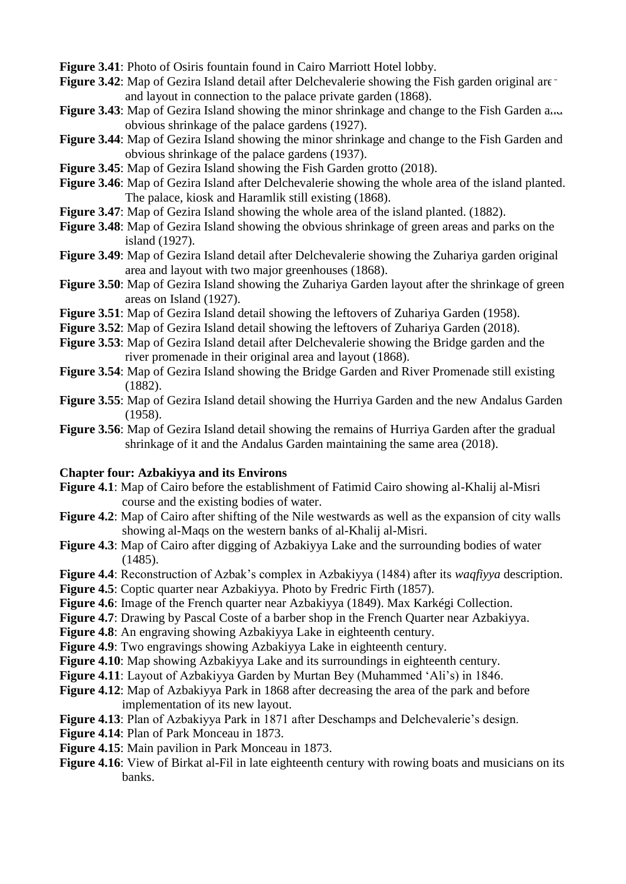**Figure 3.41**: Photo of Osiris fountain found in Cairo Marriott Hotel lobby.

- **Figure 3.42:** Map of Gezira Island detail after Delchevalerie showing the Fish garden original are and layout in connection to the palace private garden (1868).
- **Figure 3.43**: Map of Gezira Island showing the minor shrinkage and change to the Fish Garden and obvious shrinkage of the palace gardens (1927).
- **Figure 3.44**: Map of Gezira Island showing the minor shrinkage and change to the Fish Garden and obvious shrinkage of the palace gardens (1937).
- **Figure 3.45**: Map of Gezira Island showing the Fish Garden grotto (2018).
- **Figure 3.46**: Map of Gezira Island after Delchevalerie showing the whole area of the island planted. The palace, kiosk and Haramlik still existing (1868).
- **Figure 3.47**: Map of Gezira Island showing the whole area of the island planted. (1882).
- **Figure 3.48**: Map of Gezira Island showing the obvious shrinkage of green areas and parks on the island (1927).
- **Figure 3.49**: Map of Gezira Island detail after Delchevalerie showing the Zuhariya garden original area and layout with two major greenhouses (1868).
- **Figure 3.50**: Map of Gezira Island showing the Zuhariya Garden layout after the shrinkage of green areas on Island (1927).
- **Figure 3.51**: Map of Gezira Island detail showing the leftovers of Zuhariya Garden (1958).
- **Figure 3.52**: Map of Gezira Island detail showing the leftovers of Zuhariya Garden (2018).
- **Figure 3.53**: Map of Gezira Island detail after Delchevalerie showing the Bridge garden and the river promenade in their original area and layout (1868).
- **Figure 3.54**: Map of Gezira Island showing the Bridge Garden and River Promenade still existing (1882).
- **Figure 3.55**: Map of Gezira Island detail showing the Hurriya Garden and the new Andalus Garden (1958).
- **Figure 3.56**: Map of Gezira Island detail showing the remains of Hurriya Garden after the gradual shrinkage of it and the Andalus Garden maintaining the same area (2018).

#### **Chapter four: Azbakiyya and its Environs**

- **Figure 4.1**: Map of Cairo before the establishment of Fatimid Cairo showing al-Khalij al-Misri course and the existing bodies of water.
- **Figure 4.2**: Map of Cairo after shifting of the Nile westwards as well as the expansion of city walls showing al-Maqs on the western banks of al-Khalij al-Misri.
- **Figure 4.3**: Map of Cairo after digging of Azbakiyya Lake and the surrounding bodies of water  $(1485)$ .
- **Figure 4.4**: Reconstruction of Azbak's complex in Azbakiyya (1484) after its *waqfiyya* description.
- **Figure 4.5**: Coptic quarter near Azbakiyya. Photo by Fredric Firth (1857).
- **Figure 4.6**: Image of the French quarter near Azbakiyya (1849). Max Karkégi Collection.
- **Figure 4.7**: Drawing by Pascal Coste of a barber shop in the French Quarter near Azbakiyya.
- **Figure 4.8**: An engraving showing Azbakiyya Lake in eighteenth century.
- **Figure 4.9**: Two engravings showing Azbakiyya Lake in eighteenth century.
- **Figure 4.10**: Map showing Azbakiyya Lake and its surroundings in eighteenth century.
- **Figure 4.11**: Layout of Azbakiyya Garden by Murtan Bey (Muhammed 'Ali's) in 1846.
- **Figure 4.12**: Map of Azbakiyya Park in 1868 after decreasing the area of the park and before implementation of its new layout.
- **Figure 4.13**: Plan of Azbakiyya Park in 1871 after Deschamps and Delchevalerie's design.
- **Figure 4.14**: Plan of Park Monceau in 1873.
- **Figure 4.15**: Main pavilion in Park Monceau in 1873.
- **Figure 4.16**: View of Birkat al-Fil in late eighteenth century with rowing boats and musicians on its banks.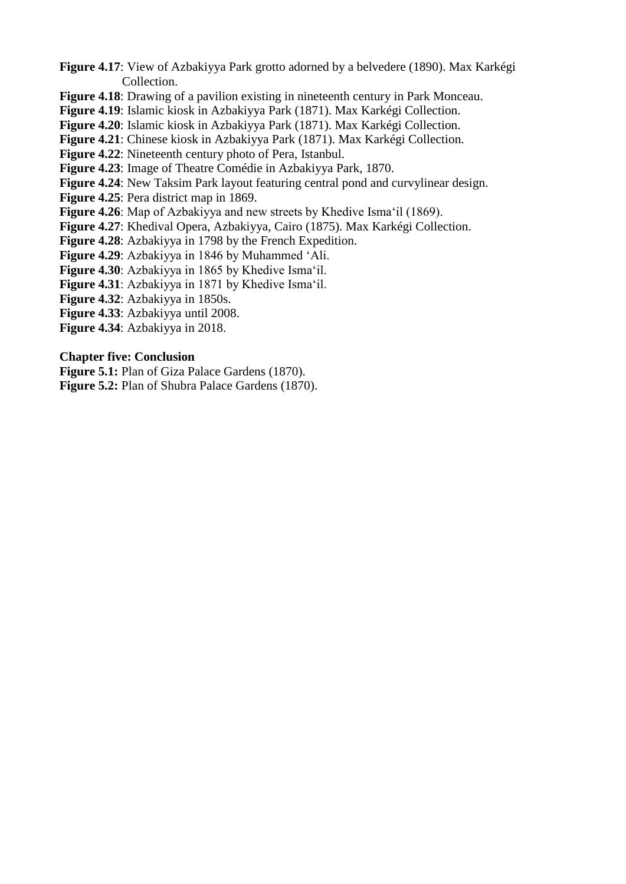- **Figure 4.17**: View of Azbakiyya Park grotto adorned by a belvedere (1890). Max Karkégi Collection.
- **Figure 4.18**: Drawing of a pavilion existing in nineteenth century in Park Monceau.

**Figure 4.19**: Islamic kiosk in Azbakiyya Park (1871). Max Karkégi Collection.

- **Figure 4.20**: Islamic kiosk in Azbakiyya Park (1871). Max Karkégi Collection.
- **Figure 4.21**: Chinese kiosk in Azbakiyya Park (1871). Max Karkégi Collection.
- **Figure 4.22**: Nineteenth century photo of Pera, Istanbul.
- **Figure 4.23**: Image of Theatre Comédie in Azbakiyya Park, 1870.
- **Figure 4.24**: New Taksim Park layout featuring central pond and curvylinear design.
- **Figure 4.25**: Pera district map in 1869.
- **Figure 4.26**: Map of Azbakiyya and new streets by Khedive Isma'il (1869).
- **Figure 4.27**: Khedival Opera, Azbakiyya, Cairo (1875). Max Karkégi Collection.
- **Figure 4.28**: Azbakiyya in 1798 by the French Expedition.
- **Figure 4.29**: Azbakiyya in 1846 by Muhammed 'Ali.
- **Figure 4.30**: Azbakiyya in 1865 by Khedive Isma'il.
- **Figure 4.31**: Azbakiyya in 1871 by Khedive Isma'il.
- **Figure 4.32**: Azbakiyya in 1850s.
- **Figure 4.33**: Azbakiyya until 2008.
- **Figure 4.34**: Azbakiyya in 2018.

### **Chapter five: Conclusion**

- **Figure 5.1:** Plan of Giza Palace Gardens (1870).
- **Figure 5.2:** Plan of Shubra Palace Gardens (1870).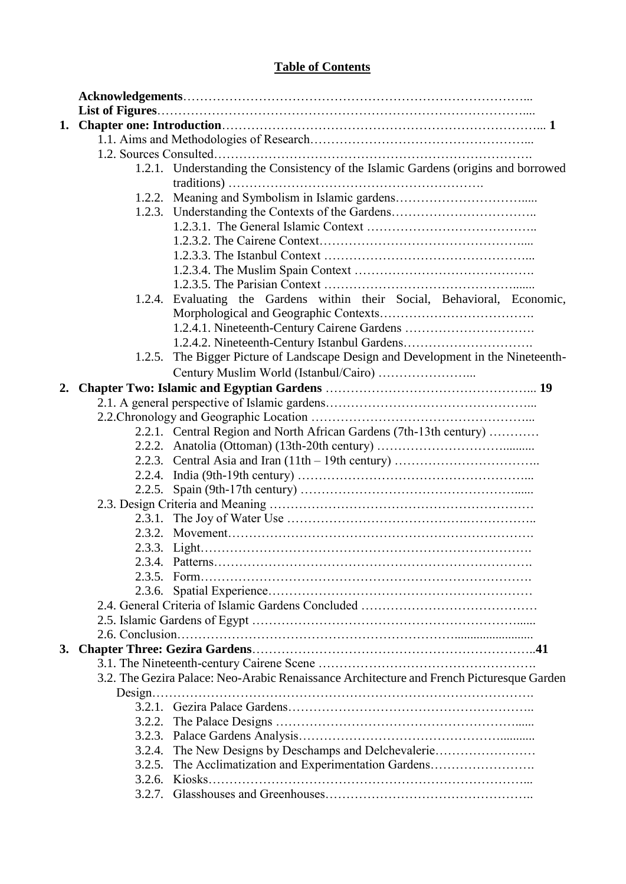# **Table of Contents**

|    |        | 1.2.1. Understanding the Consistency of the Islamic Gardens (origins and borrowed         |  |
|----|--------|-------------------------------------------------------------------------------------------|--|
|    |        |                                                                                           |  |
|    |        | 1.2.2. Meaning and Symbolism in Islamic gardens                                           |  |
|    |        | 1.2.3. Understanding the Contexts of the Gardens                                          |  |
|    |        |                                                                                           |  |
|    |        |                                                                                           |  |
|    |        |                                                                                           |  |
|    |        |                                                                                           |  |
|    |        |                                                                                           |  |
|    |        | 1.2.4. Evaluating the Gardens within their Social, Behavioral, Economic,                  |  |
|    |        |                                                                                           |  |
|    |        |                                                                                           |  |
|    |        |                                                                                           |  |
|    |        | 1.2.5. The Bigger Picture of Landscape Design and Development in the Nineteenth-          |  |
|    |        |                                                                                           |  |
| 2. |        |                                                                                           |  |
|    |        |                                                                                           |  |
|    |        |                                                                                           |  |
|    |        | 2.2.1. Central Region and North African Gardens (7th-13th century)                        |  |
|    |        |                                                                                           |  |
|    |        |                                                                                           |  |
|    |        |                                                                                           |  |
|    |        |                                                                                           |  |
|    |        |                                                                                           |  |
|    |        |                                                                                           |  |
|    |        |                                                                                           |  |
|    |        |                                                                                           |  |
|    |        |                                                                                           |  |
|    |        |                                                                                           |  |
|    |        |                                                                                           |  |
|    |        |                                                                                           |  |
|    |        |                                                                                           |  |
|    |        |                                                                                           |  |
| 3. |        |                                                                                           |  |
|    |        |                                                                                           |  |
|    |        | 3.2. The Gezira Palace: Neo-Arabic Renaissance Architecture and French Picturesque Garden |  |
|    |        |                                                                                           |  |
|    |        |                                                                                           |  |
|    |        |                                                                                           |  |
|    |        |                                                                                           |  |
|    | 3.2.4. |                                                                                           |  |
|    | 3.2.5. |                                                                                           |  |
|    |        |                                                                                           |  |
|    |        |                                                                                           |  |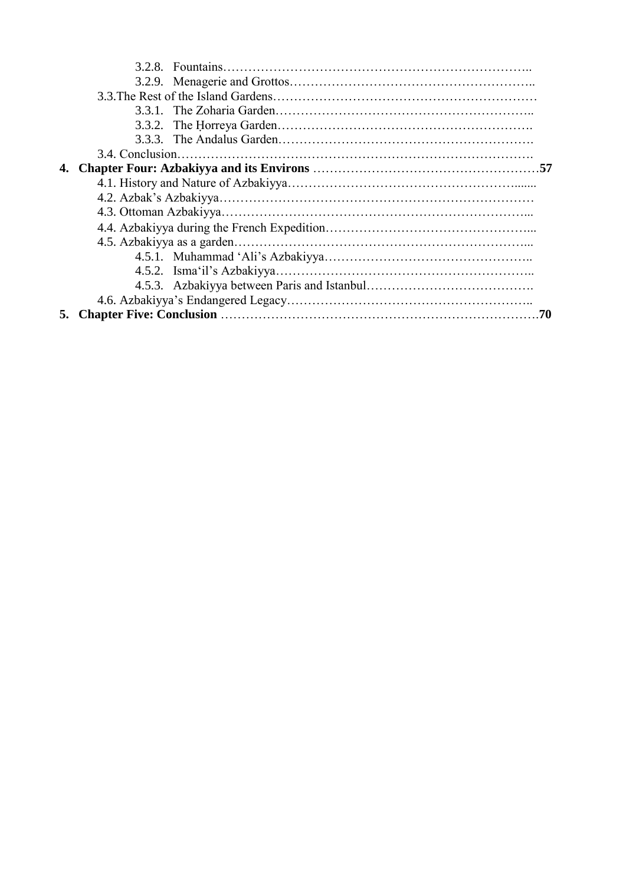|    | 3.4. Conclusion. |  |  |
|----|------------------|--|--|
|    |                  |  |  |
|    |                  |  |  |
|    |                  |  |  |
|    |                  |  |  |
|    |                  |  |  |
|    |                  |  |  |
|    |                  |  |  |
|    |                  |  |  |
|    |                  |  |  |
|    |                  |  |  |
| 5. | 70               |  |  |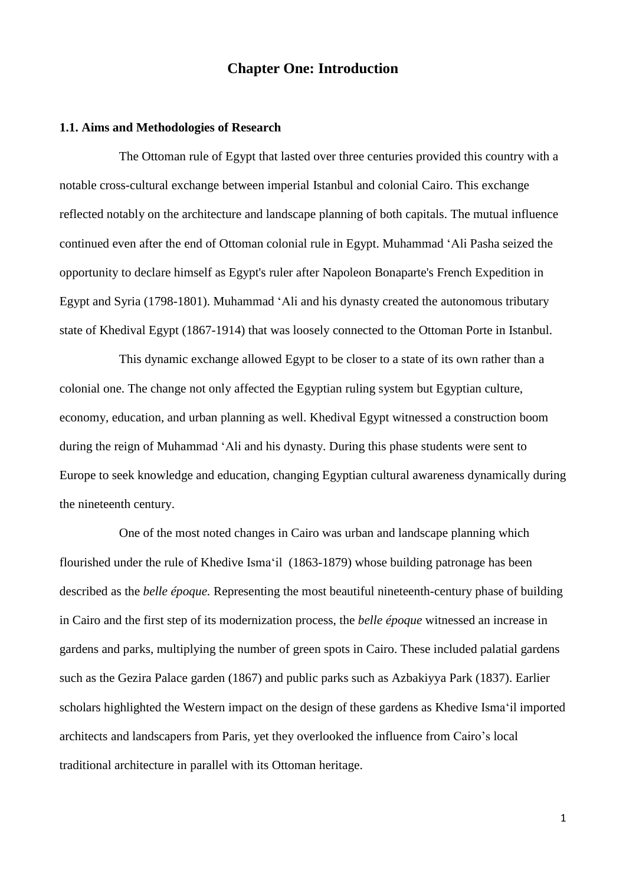# **Chapter One: Introduction**

#### **1.1. Aims and Methodologies of Research**

The Ottoman rule of Egypt that lasted over three centuries provided this country with a notable cross-cultural exchange between imperial Istanbul and colonial Cairo. This exchange reflected notably on the architecture and landscape planning of both capitals. The mutual influence continued even after the end of Ottoman colonial rule in Egypt. Muhammad 'Ali Pasha seized the opportunity to declare himself as Egypt's ruler after Napoleon Bonaparte's French Expedition in Egypt and Syria (1798-1801). Muhammad 'Ali and his dynasty created the autonomous tributary state of Khedival Egypt (1867-1914) that was loosely connected to the Ottoman Porte in Istanbul.

This dynamic exchange allowed Egypt to be closer to a state of its own rather than a colonial one. The change not only affected the Egyptian ruling system but Egyptian culture, economy, education, and urban planning as well. Khedival Egypt witnessed a construction boom during the reign of Muhammad 'Ali and his dynasty. During this phase students were sent to Europe to seek knowledge and education, changing Egyptian cultural awareness dynamically during the nineteenth century.

One of the most noted changes in Cairo was urban and landscape planning which flourished under the rule of Khedive Isma'il (1863-1879) whose building patronage has been described as the *belle époque.* Representing the most beautiful nineteenth-century phase of building in Cairo and the first step of its modernization process, the *belle époque* witnessed an increase in gardens and parks, multiplying the number of green spots in Cairo. These included palatial gardens such as the Gezira Palace garden (1867) and public parks such as Azbakiyya Park (1837). Earlier scholars highlighted the Western impact on the design of these gardens as Khedive Isma'il imported architects and landscapers from Paris, yet they overlooked the influence from Cairo's local traditional architecture in parallel with its Ottoman heritage.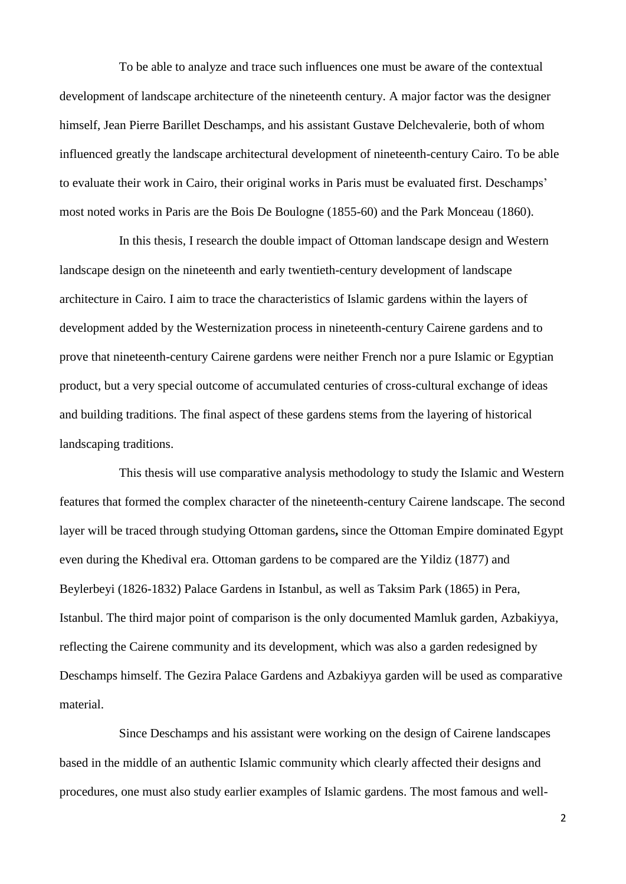To be able to analyze and trace such influences one must be aware of the contextual development of landscape architecture of the nineteenth century. A major factor was the designer himself, Jean Pierre Barillet Deschamps, and his assistant Gustave Delchevalerie, both of whom influenced greatly the landscape architectural development of nineteenth-century Cairo. To be able to evaluate their work in Cairo, their original works in Paris must be evaluated first. Deschamps' most noted works in Paris are the Bois De Boulogne (1855-60) and the Park Monceau (1860).

In this thesis, I research the double impact of Ottoman landscape design and Western landscape design on the nineteenth and early twentieth-century development of landscape architecture in Cairo. I aim to trace the characteristics of Islamic gardens within the layers of development added by the Westernization process in nineteenth-century Cairene gardens and to prove that nineteenth-century Cairene gardens were neither French nor a pure Islamic or Egyptian product, but a very special outcome of accumulated centuries of cross-cultural exchange of ideas and building traditions. The final aspect of these gardens stems from the layering of historical landscaping traditions.

This thesis will use comparative analysis methodology to study the Islamic and Western features that formed the complex character of the nineteenth-century Cairene landscape. The second layer will be traced through studying Ottoman gardens**,** since the Ottoman Empire dominated Egypt even during the Khedival era. Ottoman gardens to be compared are the Yildiz (1877) and Beylerbeyi (1826-1832) Palace Gardens in Istanbul, as well as Taksim Park (1865) in Pera, Istanbul. The third major point of comparison is the only documented Mamluk garden, Azbakiyya, reflecting the Cairene community and its development, which was also a garden redesigned by Deschamps himself. The Gezira Palace Gardens and Azbakiyya garden will be used as comparative material.

Since Deschamps and his assistant were working on the design of Cairene landscapes based in the middle of an authentic Islamic community which clearly affected their designs and procedures, one must also study earlier examples of Islamic gardens. The most famous and well-

2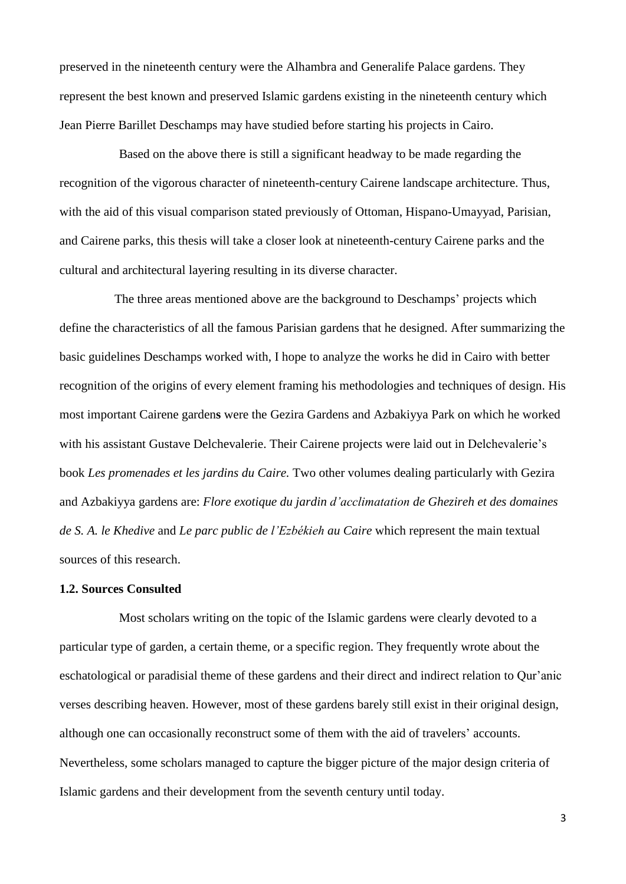preserved in the nineteenth century were the Alhambra and Generalife Palace gardens. They represent the best known and preserved Islamic gardens existing in the nineteenth century which Jean Pierre Barillet Deschamps may have studied before starting his projects in Cairo.

Based on the above there is still a significant headway to be made regarding the recognition of the vigorous character of nineteenth-century Cairene landscape architecture. Thus, with the aid of this visual comparison stated previously of Ottoman, Hispano-Umayyad, Parisian, and Cairene parks, this thesis will take a closer look at nineteenth-century Cairene parks and the cultural and architectural layering resulting in its diverse character.

 The three areas mentioned above are the background to Deschamps' projects which define the characteristics of all the famous Parisian gardens that he designed. After summarizing the basic guidelines Deschamps worked with, I hope to analyze the works he did in Cairo with better recognition of the origins of every element framing his methodologies and techniques of design. His most important Cairene garden**s** were the Gezira Gardens and Azbakiyya Park on which he worked with his assistant Gustave Delchevalerie. Their Cairene projects were laid out in Delchevalerie's book *Les promenades et les jardins du Caire.* Two other volumes dealing particularly with Gezira and Azbakiyya gardens are: *Flore exotique du jardin d'acclimatation de Ghezireh et des domaines de S. A. le Khedive* and *Le parc public de l'Ezbékieh au Caire* which represent the main textual sources of this research.

#### **1.2. Sources Consulted**

Most scholars writing on the topic of the Islamic gardens were clearly devoted to a particular type of garden, a certain theme, or a specific region. They frequently wrote about the eschatological or paradisial theme of these gardens and their direct and indirect relation to Qur'anic verses describing heaven. However, most of these gardens barely still exist in their original design, although one can occasionally reconstruct some of them with the aid of travelers' accounts. Nevertheless, some scholars managed to capture the bigger picture of the major design criteria of Islamic gardens and their development from the seventh century until today.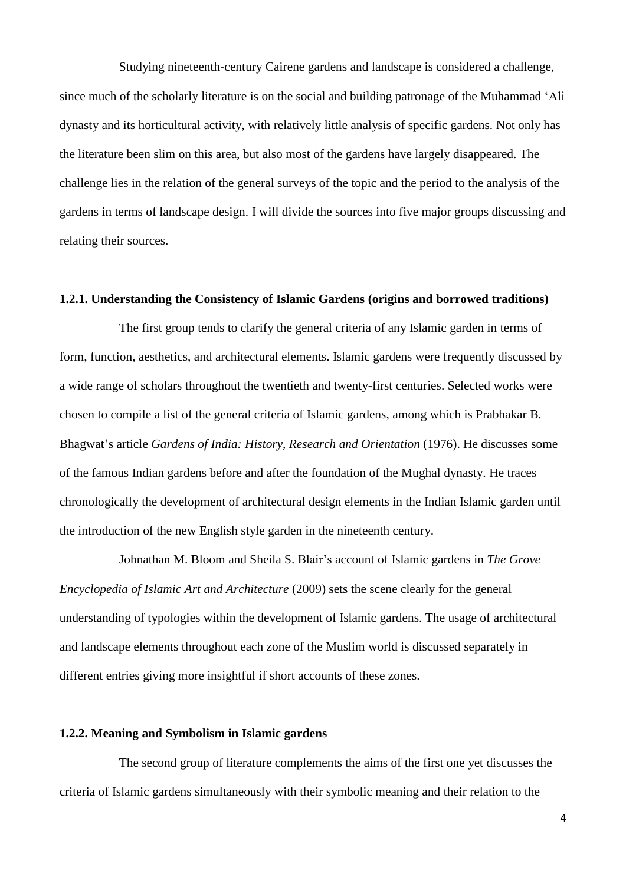Studying nineteenth-century Cairene gardens and landscape is considered a challenge, since much of the scholarly literature is on the social and building patronage of the Muhammad 'Ali dynasty and its horticultural activity, with relatively little analysis of specific gardens. Not only has the literature been slim on this area, but also most of the gardens have largely disappeared. The challenge lies in the relation of the general surveys of the topic and the period to the analysis of the gardens in terms of landscape design. I will divide the sources into five major groups discussing and relating their sources.

#### **1.2.1. Understanding the Consistency of Islamic Gardens (origins and borrowed traditions)**

The first group tends to clarify the general criteria of any Islamic garden in terms of form, function, aesthetics, and architectural elements. Islamic gardens were frequently discussed by a wide range of scholars throughout the twentieth and twenty-first centuries. Selected works were chosen to compile a list of the general criteria of Islamic gardens, among which is Prabhakar B. Bhagwat's article *Gardens of India: History, Research and Orientation* (1976). He discusses some of the famous Indian gardens before and after the foundation of the Mughal dynasty. He traces chronologically the development of architectural design elements in the Indian Islamic garden until the introduction of the new English style garden in the nineteenth century.

Johnathan M. Bloom and Sheila S. Blair's account of Islamic gardens in *The Grove Encyclopedia of Islamic Art and Architecture* (2009) sets the scene clearly for the general understanding of typologies within the development of Islamic gardens. The usage of architectural and landscape elements throughout each zone of the Muslim world is discussed separately in different entries giving more insightful if short accounts of these zones.

#### **1.2.2. Meaning and Symbolism in Islamic gardens**

The second group of literature complements the aims of the first one yet discusses the criteria of Islamic gardens simultaneously with their symbolic meaning and their relation to the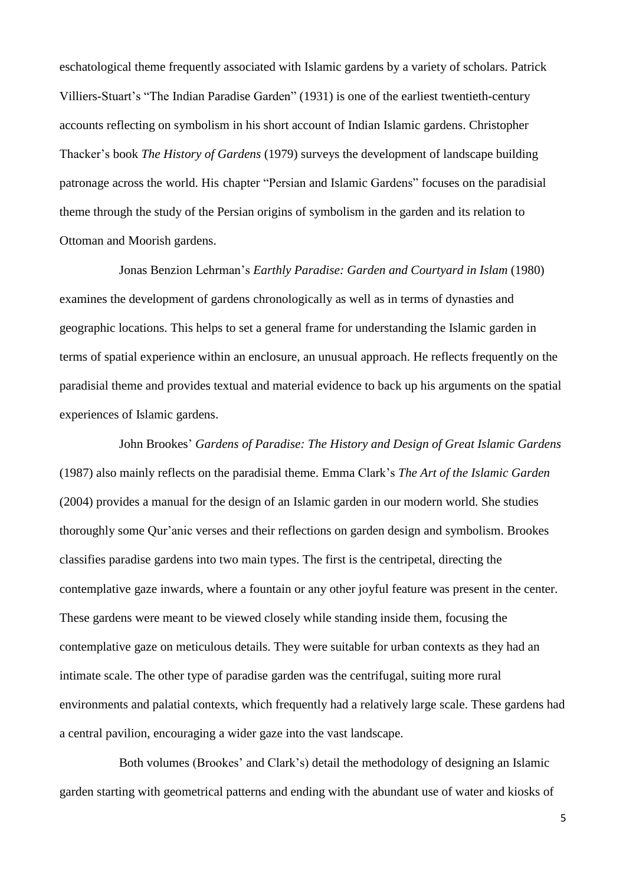eschatological theme frequently associated with Islamic gardens by a variety of scholars. Patrick Villiers-Stuart's "The Indian Paradise Garden" (1931) is one of the earliest twentieth-century accounts reflecting on symbolism in his short account of Indian Islamic gardens. Christopher Thacker's book *The History of Gardens* (1979) surveys the development of landscape building patronage across the world. His chapter "Persian and Islamic Gardens" focuses on the paradisial theme through the study of the Persian origins of symbolism in the garden and its relation to Ottoman and Moorish gardens.

Jonas Benzion Lehrman's *Earthly Paradise: Garden and Courtyard in Islam* (1980) examines the development of gardens chronologically as well as in terms of dynasties and geographic locations. This helps to set a general frame for understanding the Islamic garden in terms of spatial experience within an enclosure, an unusual approach. He reflects frequently on the paradisial theme and provides textual and material evidence to back up his arguments on the spatial experiences of Islamic gardens.

John Brookes' *Gardens of Paradise: The History and Design of Great Islamic Gardens* (1987) also mainly reflects on the paradisial theme. Emma Clark's *The Art of the Islamic Garden* (2004) provides a manual for the design of an Islamic garden in our modern world. She studies thoroughly some Qur'anic verses and their reflections on garden design and symbolism. Brookes classifies paradise gardens into two main types. The first is the centripetal, directing the contemplative gaze inwards, where a fountain or any other joyful feature was present in the center. These gardens were meant to be viewed closely while standing inside them, focusing the contemplative gaze on meticulous details. They were suitable for urban contexts as they had an intimate scale. The other type of paradise garden was the centrifugal, suiting more rural environments and palatial contexts, which frequently had a relatively large scale. These gardens had a central pavilion, encouraging a wider gaze into the vast landscape.

Both volumes (Brookes' and Clark's) detail the methodology of designing an Islamic garden starting with geometrical patterns and ending with the abundant use of water and kiosks of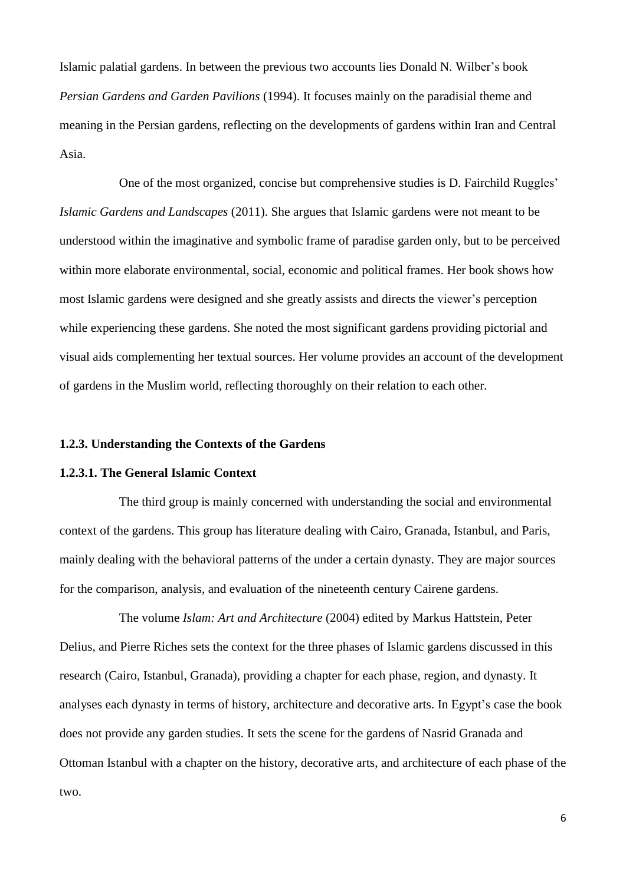Islamic palatial gardens. In between the previous two accounts lies Donald N. Wilber's book *Persian Gardens and Garden Pavilions* (1994). It focuses mainly on the paradisial theme and meaning in the Persian gardens, reflecting on the developments of gardens within Iran and Central Asia.

One of the most organized, concise but comprehensive studies is D. Fairchild Ruggles' *Islamic Gardens and Landscapes* (2011). She argues that Islamic gardens were not meant to be understood within the imaginative and symbolic frame of paradise garden only, but to be perceived within more elaborate environmental, social, economic and political frames. Her book shows how most Islamic gardens were designed and she greatly assists and directs the viewer's perception while experiencing these gardens. She noted the most significant gardens providing pictorial and visual aids complementing her textual sources. Her volume provides an account of the development of gardens in the Muslim world, reflecting thoroughly on their relation to each other.

# **1.2.3. Understanding the Contexts of the Gardens**

## **1.2.3.1. The General Islamic Context**

The third group is mainly concerned with understanding the social and environmental context of the gardens. This group has literature dealing with Cairo, Granada, Istanbul, and Paris, mainly dealing with the behavioral patterns of the under a certain dynasty. They are major sources for the comparison, analysis, and evaluation of the nineteenth century Cairene gardens.

The volume *Islam: Art and Architecture* (2004) edited by Markus Hattstein, Peter Delius, and Pierre Riches sets the context for the three phases of Islamic gardens discussed in this research (Cairo, Istanbul, Granada), providing a chapter for each phase, region, and dynasty. It analyses each dynasty in terms of history, architecture and decorative arts. In Egypt's case the book does not provide any garden studies. It sets the scene for the gardens of Nasrid Granada and Ottoman Istanbul with a chapter on the history, decorative arts, and architecture of each phase of the two.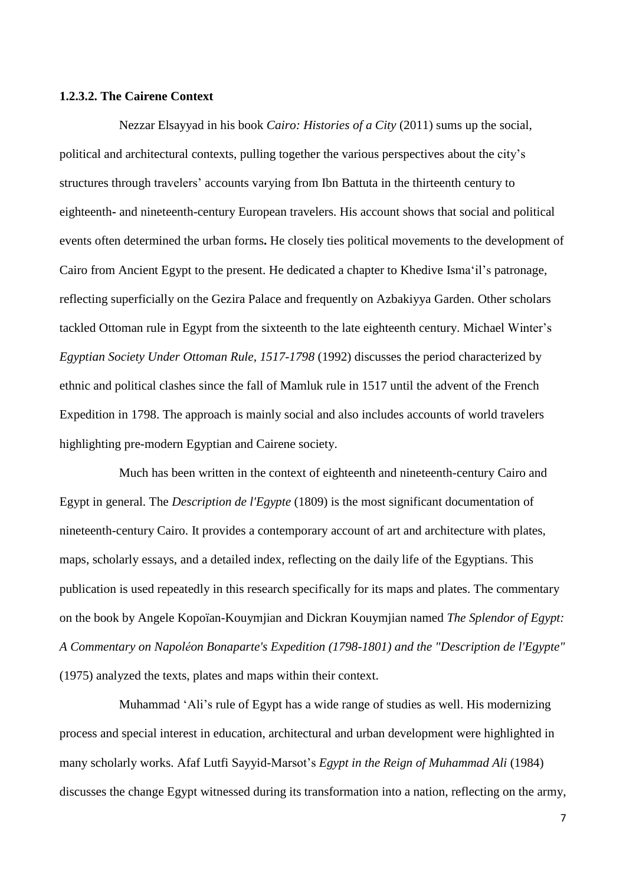#### **1.2.3.2. The Cairene Context**

Nezzar Elsayyad in his book *Cairo: Histories of a City* (2011) sums up the social, political and architectural contexts, pulling together the various perspectives about the city's structures through travelers' accounts varying from Ibn Battuta in the thirteenth century to eighteenth**-** and nineteenth-century European travelers. His account shows that social and political events often determined the urban forms**.** He closely ties political movements to the development of Cairo from Ancient Egypt to the present. He dedicated a chapter to Khedive Isma'il's patronage, reflecting superficially on the Gezira Palace and frequently on Azbakiyya Garden. Other scholars tackled Ottoman rule in Egypt from the sixteenth to the late eighteenth century. Michael Winter's *Egyptian Society Under Ottoman Rule, 1517-1798* (1992) discusses the period characterized by ethnic and political clashes since the fall of Mamluk rule in 1517 until the advent of the French Expedition in 1798. The approach is mainly social and also includes accounts of world travelers highlighting pre-modern Egyptian and Cairene society.

Much has been written in the context of eighteenth and nineteenth-century Cairo and Egypt in general. The *Description de l'Egypte* (1809) is the most significant documentation of nineteenth-century Cairo. It provides a contemporary account of art and architecture with plates, maps, scholarly essays, and a detailed index, reflecting on the daily life of the Egyptians. This publication is used repeatedly in this research specifically for its maps and plates. The commentary on the book by Angele Kopoïan-Kouymjian and Dickran Kouymjian named *The Splendor of Egypt: A Commentary on Napoléon Bonaparte's Expedition (1798-1801) and the "Description de l'Egypte"* (1975) analyzed the texts, plates and maps within their context.

Muhammad 'Ali's rule of Egypt has a wide range of studies as well. His modernizing process and special interest in education, architectural and urban development were highlighted in many scholarly works. Afaf Lutfi Sayyid-Marsot's *Egypt in the Reign of Muhammad Ali* (1984) discusses the change Egypt witnessed during its transformation into a nation, reflecting on the army,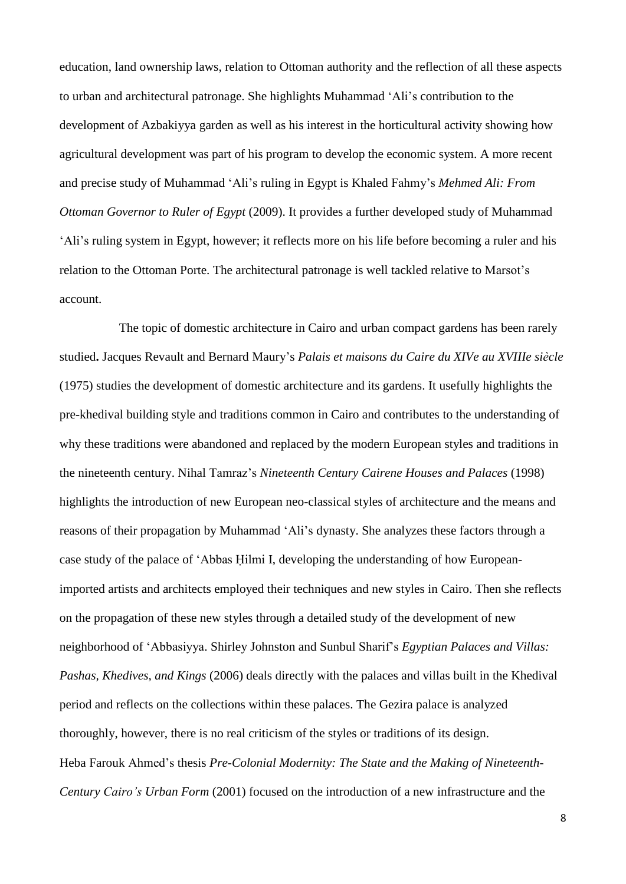education, land ownership laws, relation to Ottoman authority and the reflection of all these aspects to urban and architectural patronage. She highlights Muhammad 'Ali's contribution to the development of Azbakiyya garden as well as his interest in the horticultural activity showing how agricultural development was part of his program to develop the economic system. A more recent and precise study of Muhammad 'Ali's ruling in Egypt is Khaled Fahmy's *Mehmed Ali: From Ottoman Governor to Ruler of Egypt* (2009). It provides a further developed study of Muhammad 'Ali's ruling system in Egypt, however; it reflects more on his life before becoming a ruler and his relation to the Ottoman Porte. The architectural patronage is well tackled relative to Marsot's account.

The topic of domestic architecture in Cairo and urban compact gardens has been rarely studied**.** Jacques Revault and Bernard Maury's *Palais et maisons du Caire du XIVe au XVIIIe siècle* (1975) studies the development of domestic architecture and its gardens. It usefully highlights the pre-khedival building style and traditions common in Cairo and contributes to the understanding of why these traditions were abandoned and replaced by the modern European styles and traditions in the nineteenth century. Nihal Tamraz's *Nineteenth Century Cairene Houses and Palaces* (1998) highlights the introduction of new European neo-classical styles of architecture and the means and reasons of their propagation by Muhammad 'Ali's dynasty. She analyzes these factors through a case study of the palace of 'Abbas Ḥilmi I, developing the understanding of how Europeanimported artists and architects employed their techniques and new styles in Cairo. Then she reflects on the propagation of these new styles through a detailed study of the development of new neighborhood of 'Abbasiyya. Shirley Johnston and Sunbul Sharif's *Egyptian Palaces and Villas: Pashas, Khedives, and Kings* (2006) deals directly with the palaces and villas built in the Khedival period and reflects on the collections within these palaces. The Gezira palace is analyzed thoroughly, however, there is no real criticism of the styles or traditions of its design. Heba Farouk Ahmed's thesis *Pre-Colonial Modernity: The State and the Making of Nineteenth-Century Cairo's Urban Form* (2001) focused on the introduction of a new infrastructure and the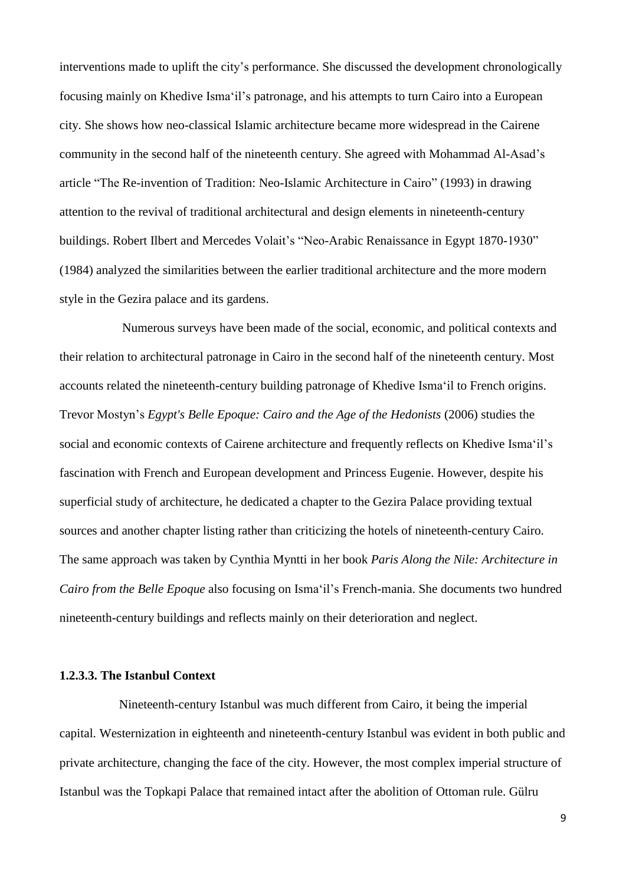interventions made to uplift the city's performance. She discussed the development chronologically focusing mainly on Khedive Isma'il's patronage, and his attempts to turn Cairo into a European city. She shows how neo-classical Islamic architecture became more widespread in the Cairene community in the second half of the nineteenth century. She agreed with Mohammad Al-Asad's article "The Re-invention of Tradition: Neo-Islamic Architecture in Cairo" (1993) in drawing attention to the revival of traditional architectural and design elements in nineteenth-century buildings. Robert Ilbert and Mercedes Volait's "Neo-Arabic Renaissance in Egypt 1870-1930" (1984) analyzed the similarities between the earlier traditional architecture and the more modern style in the Gezira palace and its gardens.

Numerous surveys have been made of the social, economic, and political contexts and their relation to architectural patronage in Cairo in the second half of the nineteenth century. Most accounts related the nineteenth-century building patronage of Khedive Isma'il to French origins. Trevor Mostyn's *Egypt's Belle Epoque: Cairo and the Age of the Hedonists* (2006) studies the social and economic contexts of Cairene architecture and frequently reflects on Khedive Isma'il's fascination with French and European development and Princess Eugenie. However, despite his superficial study of architecture, he dedicated a chapter to the Gezira Palace providing textual sources and another chapter listing rather than criticizing the hotels of nineteenth-century Cairo. The same approach was taken by Cynthia Myntti in her book *Paris Along the Nile: Architecture in Cairo from the Belle Epoque* also focusing on Isma'il's French-mania. She documents two hundred nineteenth-century buildings and reflects mainly on their deterioration and neglect.

# **1.2.3.3. The Istanbul Context**

Nineteenth-century Istanbul was much different from Cairo, it being the imperial capital. Westernization in eighteenth and nineteenth-century Istanbul was evident in both public and private architecture, changing the face of the city. However, the most complex imperial structure of Istanbul was the Topkapi Palace that remained intact after the abolition of Ottoman rule. Gülru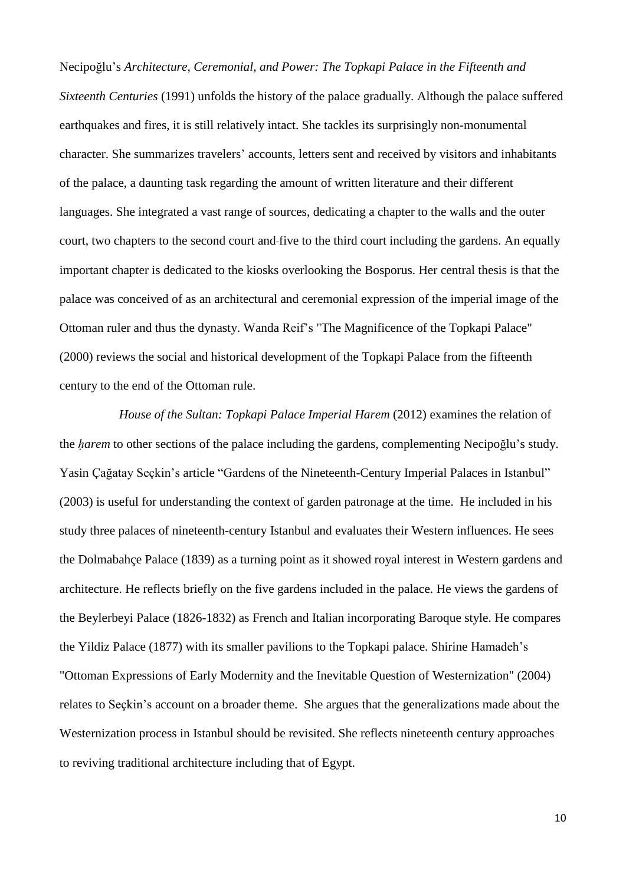Necipoğlu's *Architecture, Ceremonial, and Power: The Topkapi Palace in the Fifteenth and Sixteenth Centuries* (1991) unfolds the history of the palace gradually. Although the palace suffered earthquakes and fires, it is still relatively intact. She tackles its surprisingly non-monumental character. She summarizes travelers' accounts, letters sent and received by visitors and inhabitants of the palace, a daunting task regarding the amount of written literature and their different languages. She integrated a vast range of sources, dedicating a chapter to the walls and the outer court, two chapters to the second court and five to the third court including the gardens. An equally important chapter is dedicated to the kiosks overlooking the Bosporus. Her central thesis is that the palace was conceived of as an architectural and ceremonial expression of the imperial image of the Ottoman ruler and thus the dynasty. Wanda Reif's "The Magnificence of the Topkapi Palace" (2000) reviews the social and historical development of the Topkapi Palace from the fifteenth century to the end of the Ottoman rule.

*House of the Sultan: Topkapi Palace Imperial Harem* (2012) examines the relation of the *ḥarem* to other sections of the palace including the gardens, complementing Necipoğlu's study. Yasin Çağatay Seçkin's article "Gardens of the Nineteenth-Century Imperial Palaces in Istanbul" (2003) is useful for understanding the context of garden patronage at the time. He included in his study three palaces of nineteenth-century Istanbul and evaluates their Western influences. He sees the Dolmabahçe Palace (1839) as a turning point as it showed royal interest in Western gardens and architecture. He reflects briefly on the five gardens included in the palace. He views the gardens of the Beylerbeyi Palace (1826-1832) as French and Italian incorporating Baroque style. He compares the Yildiz Palace (1877) with its smaller pavilions to the Topkapi palace. Shirine Hamadeh's "Ottoman Expressions of Early Modernity and the Inevitable Question of Westernization" (2004) relates to Seçkin's account on a broader theme. She argues that the generalizations made about the Westernization process in Istanbul should be revisited. She reflects nineteenth century approaches to reviving traditional architecture including that of Egypt.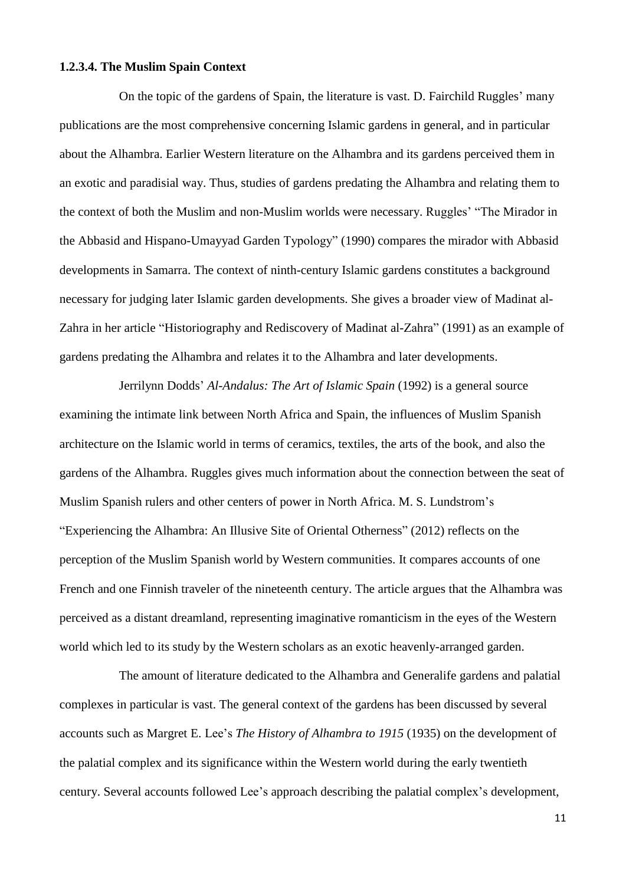## **1.2.3.4. The Muslim Spain Context**

On the topic of the gardens of Spain, the literature is vast. D. Fairchild Ruggles' many publications are the most comprehensive concerning Islamic gardens in general, and in particular about the Alhambra. Earlier Western literature on the Alhambra and its gardens perceived them in an exotic and paradisial way. Thus, studies of gardens predating the Alhambra and relating them to the context of both the Muslim and non-Muslim worlds were necessary. Ruggles' "The Mirador in the Abbasid and Hispano-Umayyad Garden Typology" (1990) compares the mirador with Abbasid developments in Samarra. The context of ninth-century Islamic gardens constitutes a background necessary for judging later Islamic garden developments. She gives a broader view of Madinat al-Zahra in her article "Historiography and Rediscovery of Madinat al-Zahra" (1991) as an example of gardens predating the Alhambra and relates it to the Alhambra and later developments.

Jerrilynn Dodds' *Al-Andalus: The Art of Islamic Spain* (1992) is a general source examining the intimate link between North Africa and Spain, the influences of Muslim Spanish architecture on the Islamic world in terms of ceramics, textiles, the arts of the book, and also the gardens of the Alhambra. Ruggles gives much information about the connection between the seat of Muslim Spanish rulers and other centers of power in North Africa. M. S. Lundstrom's "Experiencing the Alhambra: An Illusive Site of Oriental Otherness" (2012) reflects on the perception of the Muslim Spanish world by Western communities. It compares accounts of one French and one Finnish traveler of the nineteenth century. The article argues that the Alhambra was perceived as a distant dreamland, representing imaginative romanticism in the eyes of the Western world which led to its study by the Western scholars as an exotic heavenly-arranged garden.

The amount of literature dedicated to the Alhambra and Generalife gardens and palatial complexes in particular is vast. The general context of the gardens has been discussed by several accounts such as Margret E. Lee's *The History of Alhambra to 1915* (1935) on the development of the palatial complex and its significance within the Western world during the early twentieth century. Several accounts followed Lee's approach describing the palatial complex's development,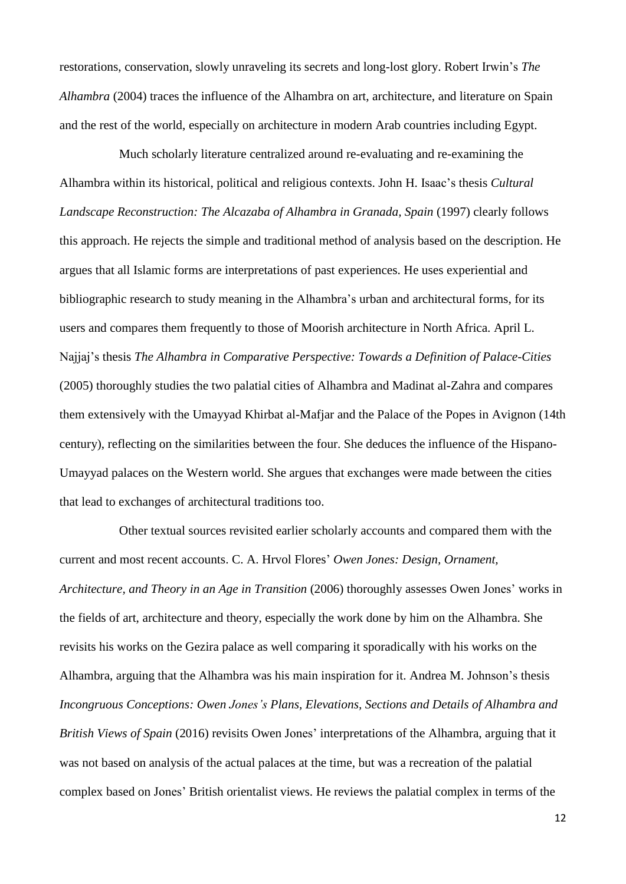restorations, conservation, slowly unraveling its secrets and long-lost glory. Robert Irwin's *The Alhambra* (2004) traces the influence of the Alhambra on art, architecture, and literature on Spain and the rest of the world, especially on architecture in modern Arab countries including Egypt.

Much scholarly literature centralized around re-evaluating and re-examining the Alhambra within its historical, political and religious contexts. John H. Isaac's thesis *Cultural Landscape Reconstruction: The Alcazaba of Alhambra in Granada, Spain* (1997) clearly follows this approach. He rejects the simple and traditional method of analysis based on the description. He argues that all Islamic forms are interpretations of past experiences. He uses experiential and bibliographic research to study meaning in the Alhambra's urban and architectural forms, for its users and compares them frequently to those of Moorish architecture in North Africa. April L. Najjaj's thesis *The Alhambra in Comparative Perspective: Towards a Definition of Palace-Cities* (2005) thoroughly studies the two palatial cities of Alhambra and Madinat al-Zahra and compares them extensively with the Umayyad Khirbat al-Mafjar and the Palace of the Popes in Avignon (14th century), reflecting on the similarities between the four. She deduces the influence of the Hispano-Umayyad palaces on the Western world. She argues that exchanges were made between the cities that lead to exchanges of architectural traditions too.

Other textual sources revisited earlier scholarly accounts and compared them with the current and most recent accounts. C. A. Hrvol Flores' *Owen Jones: Design, Ornament, Architecture, and Theory in an Age in Transition* (2006) thoroughly assesses Owen Jones' works in the fields of art, architecture and theory, especially the work done by him on the Alhambra. She revisits his works on the Gezira palace as well comparing it sporadically with his works on the Alhambra, arguing that the Alhambra was his main inspiration for it. Andrea M. Johnson's thesis *Incongruous Conceptions: Owen Jones's Plans, Elevations, Sections and Details of Alhambra and British Views of Spain* (2016) revisits Owen Jones' interpretations of the Alhambra, arguing that it was not based on analysis of the actual palaces at the time, but was a recreation of the palatial complex based on Jones' British orientalist views. He reviews the palatial complex in terms of the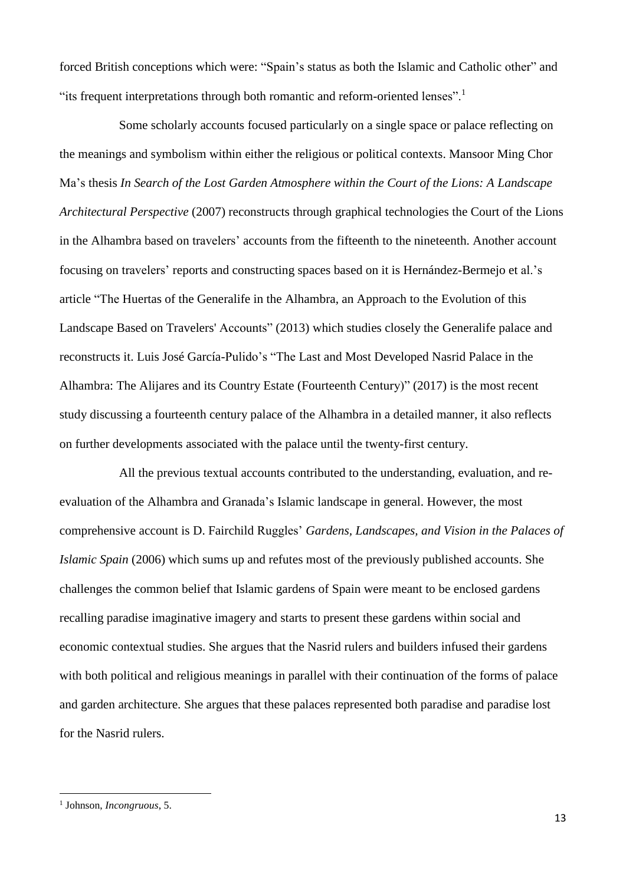forced British conceptions which were: "Spain's status as both the Islamic and Catholic other" and "its frequent interpretations through both romantic and reform-oriented lenses".<sup>1</sup>

Some scholarly accounts focused particularly on a single space or palace reflecting on the meanings and symbolism within either the religious or political contexts. Mansoor Ming Chor Ma's thesis *In Search of the Lost Garden Atmosphere within the Court of the Lions: A Landscape Architectural Perspective* (2007) reconstructs through graphical technologies the Court of the Lions in the Alhambra based on travelers' accounts from the fifteenth to the nineteenth. Another account focusing on travelers' reports and constructing spaces based on it is Hernández-Bermejo et al.'s article "The Huertas of the Generalife in the Alhambra, an Approach to the Evolution of this Landscape Based on Travelers' Accounts" (2013) which studies closely the Generalife palace and reconstructs it. Luis José García-Pulido's "The Last and Most Developed Nasrid Palace in the Alhambra: The Alijares and its Country Estate (Fourteenth Century)" (2017) is the most recent study discussing a fourteenth century palace of the Alhambra in a detailed manner, it also reflects on further developments associated with the palace until the twenty-first century.

All the previous textual accounts contributed to the understanding, evaluation, and reevaluation of the Alhambra and Granada's Islamic landscape in general. However, the most comprehensive account is D. Fairchild Ruggles' *Gardens, Landscapes, and Vision in the Palaces of Islamic Spain* (2006) which sums up and refutes most of the previously published accounts. She challenges the common belief that Islamic gardens of Spain were meant to be enclosed gardens recalling paradise imaginative imagery and starts to present these gardens within social and economic contextual studies. She argues that the Nasrid rulers and builders infused their gardens with both political and religious meanings in parallel with their continuation of the forms of palace and garden architecture. She argues that these palaces represented both paradise and paradise lost for the Nasrid rulers.

**.** 

<sup>1</sup> Johnson, *Incongruous*, 5.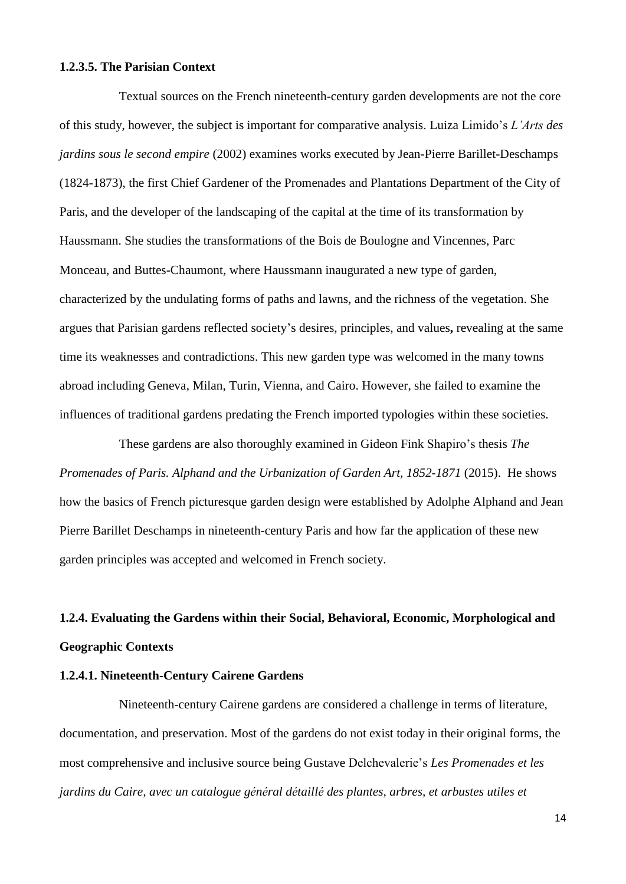## **1.2.3.5. The Parisian Context**

Textual sources on the French nineteenth-century garden developments are not the core of this study, however, the subject is important for comparative analysis. Luiza Limido's *L'Arts des jardins sous le second empire* (2002) examines works executed by Jean-Pierre Barillet-Deschamps (1824-1873), the first Chief Gardener of the Promenades and Plantations Department of the City of Paris, and the developer of the landscaping of the capital at the time of its transformation by Haussmann. She studies the transformations of the Bois de Boulogne and Vincennes, Parc Monceau, and Buttes-Chaumont, where Haussmann inaugurated a new type of garden, characterized by the undulating forms of paths and lawns, and the richness of the vegetation. She argues that Parisian gardens reflected society's desires, principles, and values**,** revealing at the same time its weaknesses and contradictions. This new garden type was welcomed in the many towns abroad including Geneva, Milan, Turin, Vienna, and Cairo. However, she failed to examine the influences of traditional gardens predating the French imported typologies within these societies.

These gardens are also thoroughly examined in Gideon Fink Shapiro's thesis *The Promenades of Paris. Alphand and the Urbanization of Garden Art, 1852-1871* (2015). He shows how the basics of French picturesque garden design were established by Adolphe Alphand and Jean Pierre Barillet Deschamps in nineteenth-century Paris and how far the application of these new garden principles was accepted and welcomed in French society.

# **1.2.4. Evaluating the Gardens within their Social, Behavioral, Economic, Morphological and Geographic Contexts**

# **1.2.4.1. Nineteenth-Century Cairene Gardens**

Nineteenth-century Cairene gardens are considered a challenge in terms of literature, documentation, and preservation. Most of the gardens do not exist today in their original forms, the most comprehensive and inclusive source being Gustave Delchevalerie's *Les Promenades et les jardins du Caire, avec un catalogue général détaillé des plantes, arbres, et arbustes utiles et*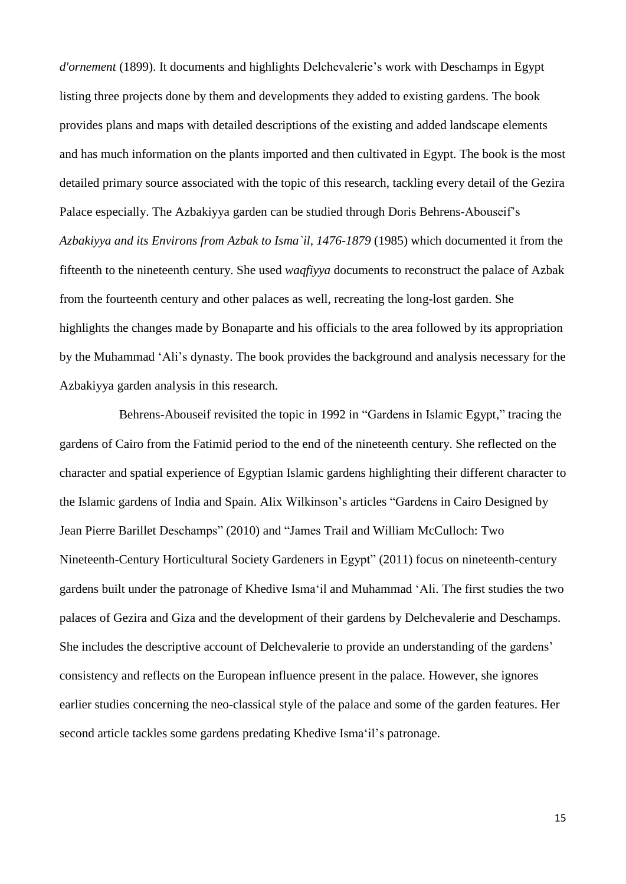*d'ornement* (1899). It documents and highlights Delchevalerie's work with Deschamps in Egypt listing three projects done by them and developments they added to existing gardens. The book provides plans and maps with detailed descriptions of the existing and added landscape elements and has much information on the plants imported and then cultivated in Egypt. The book is the most detailed primary source associated with the topic of this research, tackling every detail of the Gezira Palace especially. The Azbakiyya garden can be studied through Doris Behrens-Abouseif's *Azbakiyya and its Environs from Azbak to Isma`il, 1476-1879* (1985) which documented it from the fifteenth to the nineteenth century. She used *waqfiyya* documents to reconstruct the palace of Azbak from the fourteenth century and other palaces as well, recreating the long-lost garden. She highlights the changes made by Bonaparte and his officials to the area followed by its appropriation by the Muhammad 'Ali's dynasty. The book provides the background and analysis necessary for the Azbakiyya garden analysis in this research.

Behrens-Abouseif revisited the topic in 1992 in "Gardens in Islamic Egypt," tracing the gardens of Cairo from the Fatimid period to the end of the nineteenth century. She reflected on the character and spatial experience of Egyptian Islamic gardens highlighting their different character to the Islamic gardens of India and Spain. Alix Wilkinson's articles "Gardens in Cairo Designed by Jean Pierre Barillet Deschamps" (2010) and "James Trail and William McCulloch: Two Nineteenth-Century Horticultural Society Gardeners in Egypt" (2011) focus on nineteenth-century gardens built under the patronage of Khedive Isma'il and Muhammad 'Ali. The first studies the two palaces of Gezira and Giza and the development of their gardens by Delchevalerie and Deschamps. She includes the descriptive account of Delchevalerie to provide an understanding of the gardens' consistency and reflects on the European influence present in the palace. However, she ignores earlier studies concerning the neo-classical style of the palace and some of the garden features. Her second article tackles some gardens predating Khedive Isma'il's patronage.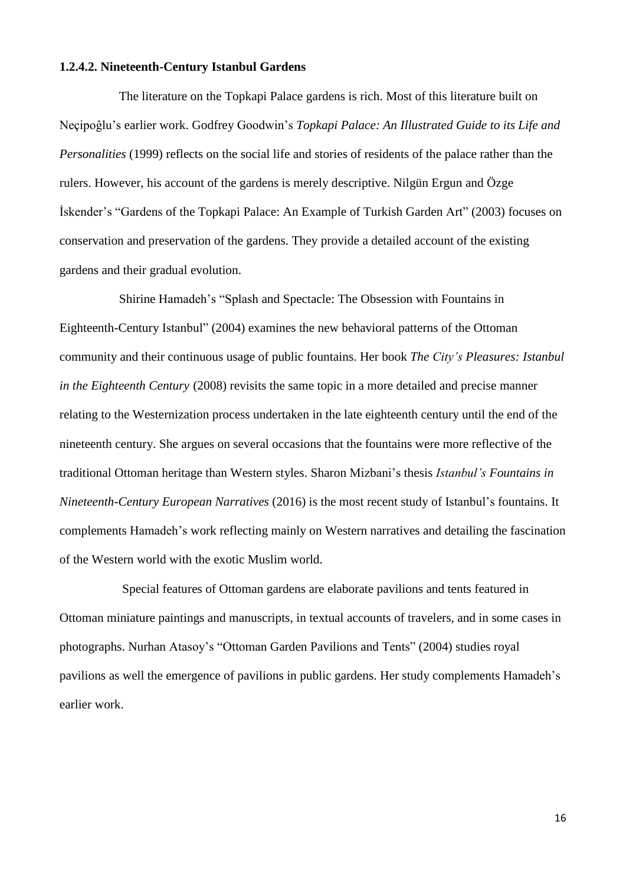## **1.2.4.2. Nineteenth-Century Istanbul Gardens**

The literature on the Topkapi Palace gardens is rich. Most of this literature built on Neçipoĝlu's earlier work. Godfrey Goodwin's *Topkapi Palace: An Illustrated Guide to its Life and Personalities* (1999) reflects on the social life and stories of residents of the palace rather than the rulers. However, his account of the gardens is merely descriptive. Nilgün Ergun and Özge İskender's "Gardens of the Topkapi Palace: An Example of Turkish Garden Art" (2003) focuses on conservation and preservation of the gardens. They provide a detailed account of the existing gardens and their gradual evolution.

Shirine Hamadeh's "Splash and Spectacle: The Obsession with Fountains in Eighteenth-Century Istanbul" (2004) examines the new behavioral patterns of the Ottoman community and their continuous usage of public fountains. Her book *The City's Pleasures: Istanbul in the Eighteenth Century* (2008) revisits the same topic in a more detailed and precise manner relating to the Westernization process undertaken in the late eighteenth century until the end of the nineteenth century. She argues on several occasions that the fountains were more reflective of the traditional Ottoman heritage than Western styles. Sharon Mizbani's thesis *Istanbul's Fountains in Nineteenth-Century European Narratives* (2016) is the most recent study of Istanbul's fountains. It complements Hamadeh's work reflecting mainly on Western narratives and detailing the fascination of the Western world with the exotic Muslim world.

Special features of Ottoman gardens are elaborate pavilions and tents featured in Ottoman miniature paintings and manuscripts, in textual accounts of travelers, and in some cases in photographs. Nurhan Atasoy's "Ottoman Garden Pavilions and Tents" (2004) studies royal pavilions as well the emergence of pavilions in public gardens. Her study complements Hamadeh's earlier work.

16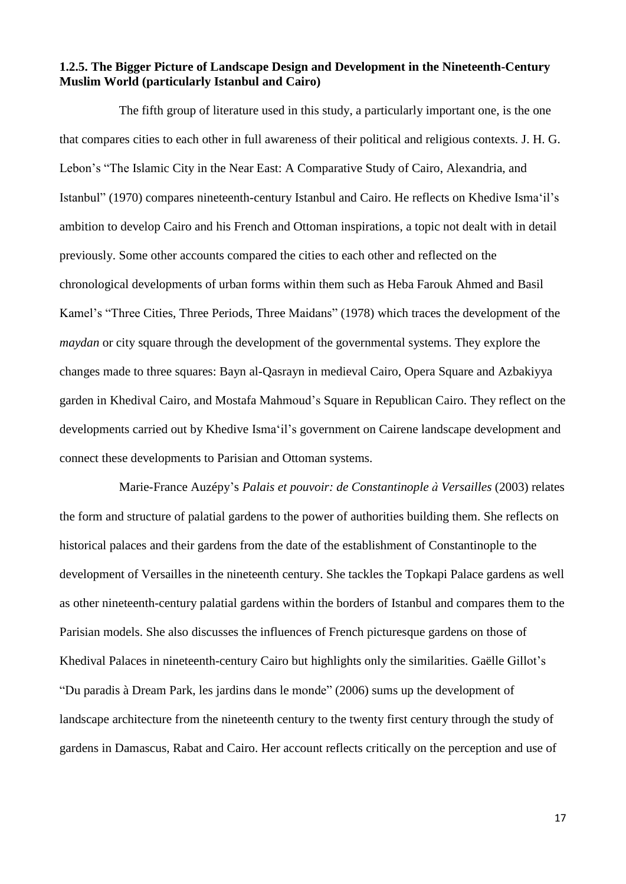# **1.2.5. The Bigger Picture of Landscape Design and Development in the Nineteenth-Century Muslim World (particularly Istanbul and Cairo)**

The fifth group of literature used in this study, a particularly important one, is the one that compares cities to each other in full awareness of their political and religious contexts. J. H. G. Lebon's "The Islamic City in the Near East: A Comparative Study of Cairo, Alexandria, and Istanbul" (1970) compares nineteenth-century Istanbul and Cairo. He reflects on Khedive Isma'il's ambition to develop Cairo and his French and Ottoman inspirations, a topic not dealt with in detail previously. Some other accounts compared the cities to each other and reflected on the chronological developments of urban forms within them such as Heba Farouk Ahmed and Basil Kamel's "Three Cities, Three Periods, Three Maidans" (1978) which traces the development of the *maydan* or city square through the development of the governmental systems. They explore the changes made to three squares: Bayn al-Qasrayn in medieval Cairo, Opera Square and Azbakiyya garden in Khedival Cairo, and Mostafa Mahmoud's Square in Republican Cairo. They reflect on the developments carried out by Khedive Isma'il's government on Cairene landscape development and connect these developments to Parisian and Ottoman systems.

Marie-France Auzépy's *Palais et pouvoir: de Constantinople à Versailles* (2003) relates the form and structure of palatial gardens to the power of authorities building them. She reflects on historical palaces and their gardens from the date of the establishment of Constantinople to the development of Versailles in the nineteenth century. She tackles the Topkapi Palace gardens as well as other nineteenth-century palatial gardens within the borders of Istanbul and compares them to the Parisian models. She also discusses the influences of French picturesque gardens on those of Khedival Palaces in nineteenth-century Cairo but highlights only the similarities. Gaëlle Gillot's "Du paradis à Dream Park, les jardins dans le monde" (2006) sums up the development of landscape architecture from the nineteenth century to the twenty first century through the study of gardens in Damascus, Rabat and Cairo. Her account reflects critically on the perception and use of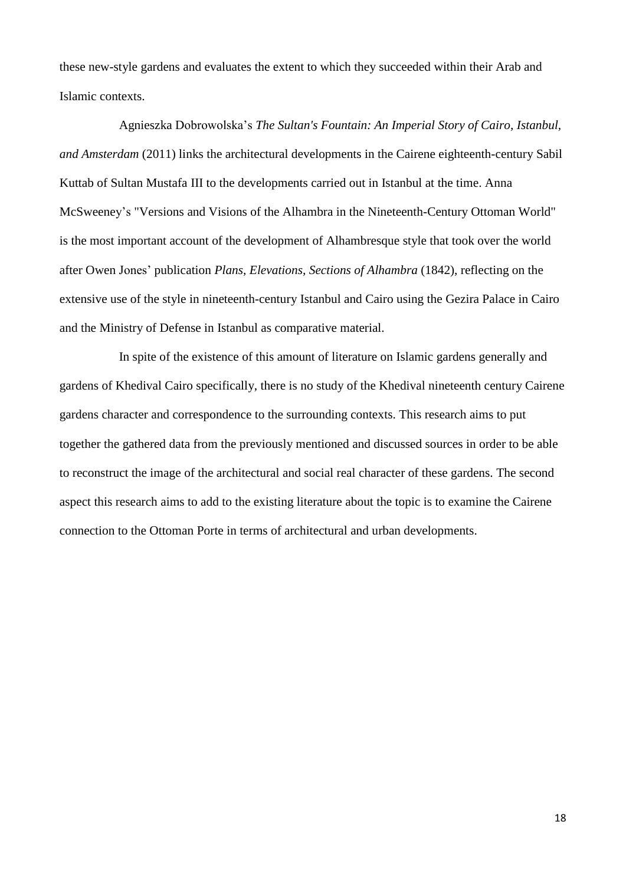these new-style gardens and evaluates the extent to which they succeeded within their Arab and Islamic contexts.

Agnieszka Dobrowolska's *The Sultan's Fountain: An Imperial Story of Cairo, Istanbul, and Amsterdam* (2011) links the architectural developments in the Cairene eighteenth-century Sabil Kuttab of Sultan Mustafa III to the developments carried out in Istanbul at the time. Anna McSweeney's "Versions and Visions of the Alhambra in the Nineteenth-Century Ottoman World" is the most important account of the development of Alhambresque style that took over the world after Owen Jones' publication *Plans, Elevations, Sections of Alhambra* (1842), reflecting on the extensive use of the style in nineteenth-century Istanbul and Cairo using the Gezira Palace in Cairo and the Ministry of Defense in Istanbul as comparative material.

In spite of the existence of this amount of literature on Islamic gardens generally and gardens of Khedival Cairo specifically, there is no study of the Khedival nineteenth century Cairene gardens character and correspondence to the surrounding contexts. This research aims to put together the gathered data from the previously mentioned and discussed sources in order to be able to reconstruct the image of the architectural and social real character of these gardens. The second aspect this research aims to add to the existing literature about the topic is to examine the Cairene connection to the Ottoman Porte in terms of architectural and urban developments.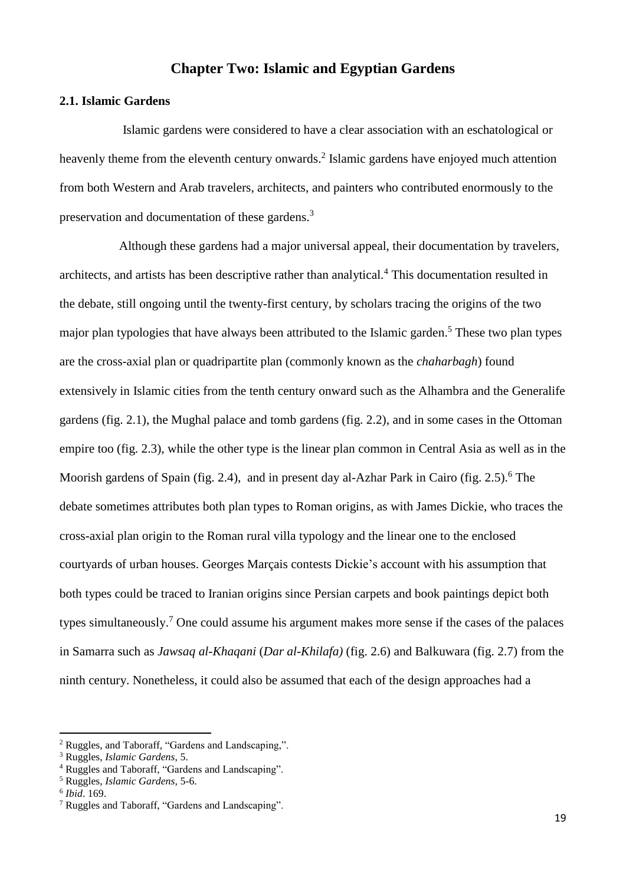# **Chapter Two: Islamic and Egyptian Gardens**

# **2.1. Islamic Gardens**

 Islamic gardens were considered to have a clear association with an eschatological or heavenly theme from the eleventh century onwards.<sup>2</sup> Islamic gardens have enjoyed much attention from both Western and Arab travelers, architects, and painters who contributed enormously to the preservation and documentation of these gardens.<sup>3</sup>

Although these gardens had a major universal appeal, their documentation by travelers, architects, and artists has been descriptive rather than analytical.<sup>4</sup> This documentation resulted in the debate, still ongoing until the twenty-first century, by scholars tracing the origins of the two major plan typologies that have always been attributed to the Islamic garden.<sup>5</sup> These two plan types are the cross-axial plan or quadripartite plan (commonly known as the *chaharbagh*) found extensively in Islamic cities from the tenth century onward such as the Alhambra and the Generalife gardens (fig. 2.1), the Mughal palace and tomb gardens (fig. 2.2), and in some cases in the Ottoman empire too (fig. 2.3), while the other type is the linear plan common in Central Asia as well as in the Moorish gardens of Spain (fig. 2.4), and in present day al-Azhar Park in Cairo (fig. 2.5).<sup>6</sup> The debate sometimes attributes both plan types to Roman origins, as with James Dickie, who traces the cross-axial plan origin to the Roman rural villa typology and the linear one to the enclosed courtyards of urban houses. Georges Marçais contests Dickie's account with his assumption that both types could be traced to Iranian origins since Persian carpets and book paintings depict both types simultaneously.<sup>7</sup> One could assume his argument makes more sense if the cases of the palaces in Samarra such as *Jawsaq al-Khaqani* (*Dar al-Khilafa)* (fig. 2.6) and Balkuwara (fig. 2.7) from the ninth century. Nonetheless, it could also be assumed that each of the design approaches had a

**.** 

<sup>2</sup> Ruggles, and Taboraff, "Gardens and Landscaping,".

<sup>3</sup> Ruggles, *Islamic Gardens*, 5.

<sup>4</sup> Ruggles and Taboraff, "Gardens and Landscaping".

<sup>5</sup> Ruggles, *Islamic Gardens,* 5-6.

<sup>6</sup> *Ibid*. 169.

<sup>7</sup> Ruggles and Taboraff, "Gardens and Landscaping".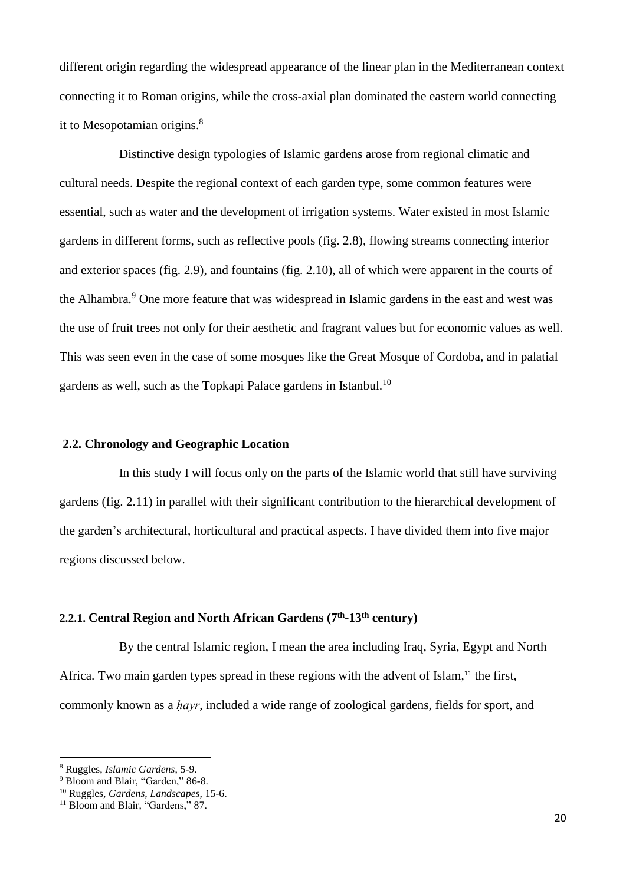different origin regarding the widespread appearance of the linear plan in the Mediterranean context connecting it to Roman origins, while the cross-axial plan dominated the eastern world connecting it to Mesopotamian origins.<sup>8</sup>

Distinctive design typologies of Islamic gardens arose from regional climatic and cultural needs. Despite the regional context of each garden type, some common features were essential, such as water and the development of irrigation systems. Water existed in most Islamic gardens in different forms, such as reflective pools (fig. 2.8), flowing streams connecting interior and exterior spaces (fig. 2.9), and fountains (fig. 2.10), all of which were apparent in the courts of the Alhambra.<sup>9</sup> One more feature that was widespread in Islamic gardens in the east and west was the use of fruit trees not only for their aesthetic and fragrant values but for economic values as well. This was seen even in the case of some mosques like the Great Mosque of Cordoba, and in palatial gardens as well, such as the Topkapi Palace gardens in Istanbul.<sup>10</sup>

# **2.2. Chronology and Geographic Location**

In this study I will focus only on the parts of the Islamic world that still have surviving gardens (fig. 2.11) in parallel with their significant contribution to the hierarchical development of the garden's architectural, horticultural and practical aspects. I have divided them into five major regions discussed below.

# **2.2.1. Central Region and North African Gardens (7th -13th century)**

By the central Islamic region, I mean the area including Iraq, Syria, Egypt and North Africa. Two main garden types spread in these regions with the advent of Islam,<sup>11</sup> the first, commonly known as a *ḥayr*, included a wide range of zoological gardens, fields for sport, and

**.** 

<sup>8</sup> Ruggles, *Islamic Gardens*, 5-9.

<sup>&</sup>lt;sup>9</sup> Bloom and Blair, "Garden," 86-8.

<sup>10</sup> Ruggles, *Gardens, Landscapes,* 15-6.

<sup>&</sup>lt;sup>11</sup> Bloom and Blair, "Gardens," 87.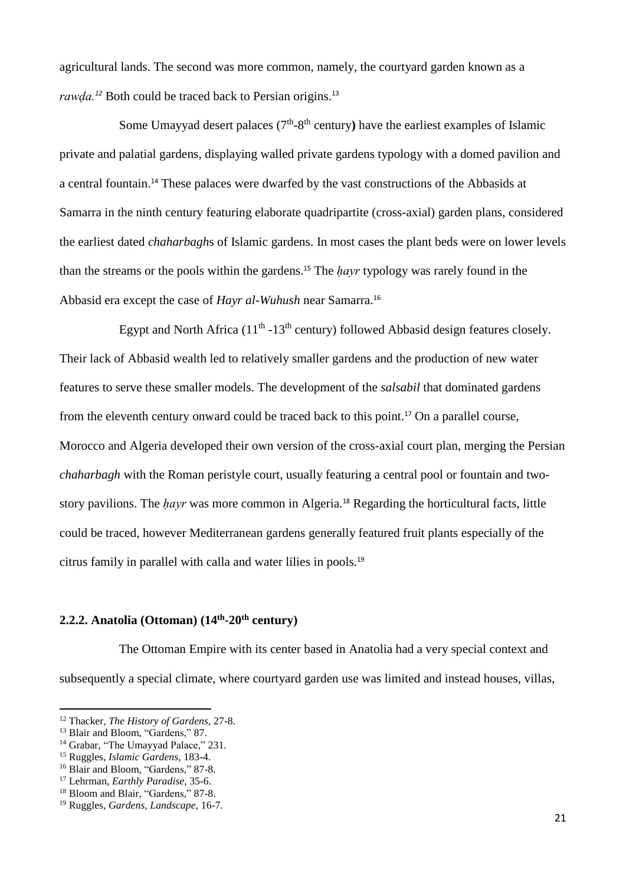agricultural lands. The second was more common, namely, the courtyard garden known as a *rawda.*<sup>12</sup> Both could be traced back to Persian origins.<sup>13</sup>

Some Umayyad desert palaces  $(7<sup>th</sup>-8<sup>th</sup>$  century) have the earliest examples of Islamic private and palatial gardens, displaying walled private gardens typology with a domed pavilion and a central fountain.<sup>14</sup> These palaces were dwarfed by the vast constructions of the Abbasids at Samarra in the ninth century featuring elaborate quadripartite (cross-axial) garden plans, considered the earliest dated *chaharbagh*s of Islamic gardens. In most cases the plant beds were on lower levels than the streams or the pools within the gardens. <sup>15</sup> The *ḥayr* typology was rarely found in the Abbasid era except the case of *Hayr al-Wuhush* near Samarra. 16

Egypt and North Africa  $(11<sup>th</sup> - 13<sup>th</sup>$  century) followed Abbasid design features closely. Their lack of Abbasid wealth led to relatively smaller gardens and the production of new water features to serve these smaller models. The development of the *salsabil* that dominated gardens from the eleventh century onward could be traced back to this point.<sup>17</sup> On a parallel course, Morocco and Algeria developed their own version of the cross-axial court plan, merging the Persian *chaharbagh* with the Roman peristyle court, usually featuring a central pool or fountain and twostory pavilions. The *hayr* was more common in Algeria.<sup>18</sup> Regarding the horticultural facts, little could be traced, however Mediterranean gardens generally featured fruit plants especially of the citrus family in parallel with calla and water lilies in pools.<sup>19</sup>

## **2.2.2. Anatolia (Ottoman) (14th** -**20th century)**

The Ottoman Empire with its center based in Anatolia had a very special context and subsequently a special climate, where courtyard garden use was limited and instead houses, villas,

1

<sup>12</sup> Thacker, *The History of Gardens*, 27-8.

<sup>&</sup>lt;sup>13</sup> Blair and Bloom, "Gardens," 87.

<sup>&</sup>lt;sup>14</sup> Grabar, "The Umayyad Palace," 231.

<sup>15</sup> Ruggles, *Islamic Gardens*, 183-4.

<sup>&</sup>lt;sup>16</sup> Blair and Bloom, "Gardens," 87-8.

<sup>17</sup> Lehrman, *Earthly Paradise*, 35-6.

<sup>&</sup>lt;sup>18</sup> Bloom and Blair, "Gardens," 87-8.

<sup>19</sup> Ruggles, *Gardens, Landscape*, 16-7.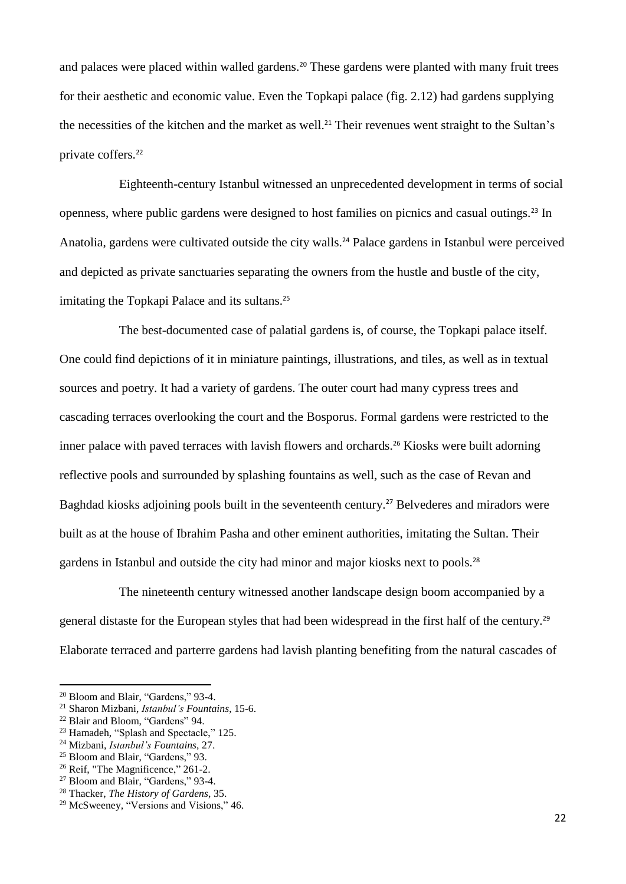and palaces were placed within walled gardens.<sup>20</sup> These gardens were planted with many fruit trees for their aesthetic and economic value. Even the Topkapi palace (fig. 2.12) had gardens supplying the necessities of the kitchen and the market as well.<sup>21</sup> Their revenues went straight to the Sultan's private coffers. 22

Eighteenth-century Istanbul witnessed an unprecedented development in terms of social openness, where public gardens were designed to host families on picnics and casual outings.<sup>23</sup> In Anatolia, gardens were cultivated outside the city walls.<sup>24</sup> Palace gardens in Istanbul were perceived and depicted as private sanctuaries separating the owners from the hustle and bustle of the city, imitating the Topkapi Palace and its sultans.<sup>25</sup>

The best-documented case of palatial gardens is, of course, the Topkapi palace itself. One could find depictions of it in miniature paintings, illustrations, and tiles, as well as in textual sources and poetry. It had a variety of gardens. The outer court had many cypress trees and cascading terraces overlooking the court and the Bosporus. Formal gardens were restricted to the inner palace with paved terraces with lavish flowers and orchards.<sup>26</sup> Kiosks were built adorning reflective pools and surrounded by splashing fountains as well, such as the case of Revan and Baghdad kiosks adjoining pools built in the seventeenth century.<sup>27</sup> Belvederes and miradors were built as at the house of Ibrahim Pasha and other eminent authorities, imitating the Sultan. Their gardens in Istanbul and outside the city had minor and major kiosks next to pools.<sup>28</sup>

The nineteenth century witnessed another landscape design boom accompanied by a general distaste for the European styles that had been widespread in the first half of the century.<sup>29</sup> Elaborate terraced and parterre gardens had lavish planting benefiting from the natural cascades of

<sup>21</sup> Sharon Mizbani, *Istanbul's Fountains*, 15-6.

**.** 

<sup>&</sup>lt;sup>20</sup> Bloom and Blair, "Gardens," 93-4.

<sup>22</sup> Blair and Bloom, "Gardens" 94.

<sup>23</sup> Hamadeh, "Splash and Spectacle," 125.

<sup>24</sup> Mizbani, *Istanbul's Fountains*, 27.

<sup>&</sup>lt;sup>25</sup> Bloom and Blair, "Gardens," 93.

<sup>&</sup>lt;sup>26</sup> Reif, "The Magnificence," 261-2.

<sup>27</sup> Bloom and Blair, "Gardens," 93-4.

<sup>28</sup> Thacker, *The History of Gardens*, 35.

<sup>29</sup> McSweeney, "Versions and Visions," 46.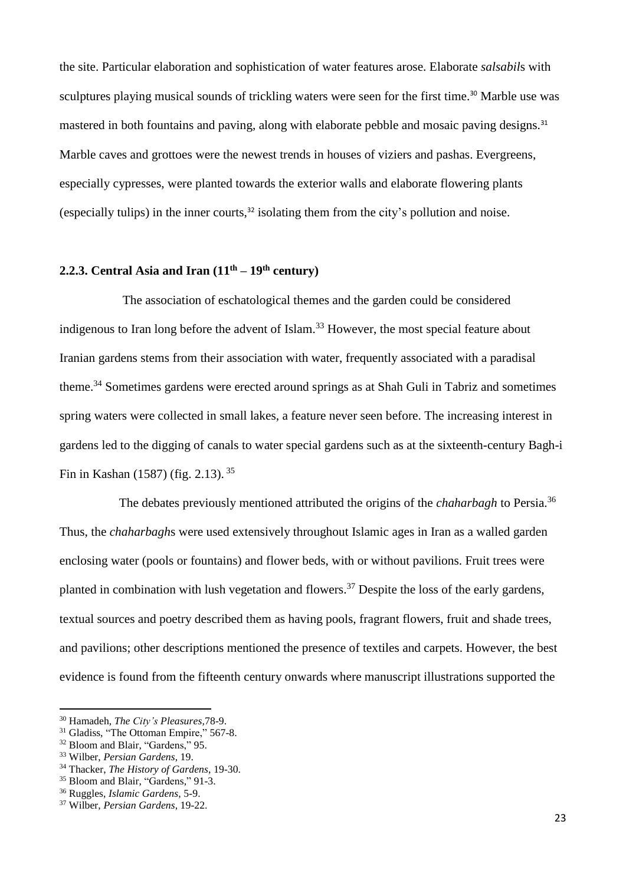the site. Particular elaboration and sophistication of water features arose. Elaborate *salsabil*s with sculptures playing musical sounds of trickling waters were seen for the first time.<sup>30</sup> Marble use was mastered in both fountains and paving, along with elaborate pebble and mosaic paving designs.<sup>31</sup> Marble caves and grottoes were the newest trends in houses of viziers and pashas. Evergreens, especially cypresses, were planted towards the exterior walls and elaborate flowering plants (especially tulips) in the inner courts, $32$  isolating them from the city's pollution and noise.

# **2.2.3. Central Asia and Iran**  $(11<sup>th</sup> - 19<sup>th</sup>$  **century**)

The association of eschatological themes and the garden could be considered indigenous to Iran long before the advent of Islam.<sup>33</sup> However, the most special feature about Iranian gardens stems from their association with water, frequently associated with a paradisal theme.<sup>34</sup> Sometimes gardens were erected around springs as at Shah Guli in Tabriz and sometimes spring waters were collected in small lakes, a feature never seen before. The increasing interest in gardens led to the digging of canals to water special gardens such as at the sixteenth-century Bagh-i Fin in Kashan (1587) (fig. 2.13).<sup>35</sup>

The debates previously mentioned attributed the origins of the *chaharbagh* to Persia.<sup>36</sup> Thus, the *chaharbagh*s were used extensively throughout Islamic ages in Iran as a walled garden enclosing water (pools or fountains) and flower beds, with or without pavilions. Fruit trees were planted in combination with lush vegetation and flowers.<sup>37</sup> Despite the loss of the early gardens, textual sources and poetry described them as having pools, fragrant flowers, fruit and shade trees, and pavilions; other descriptions mentioned the presence of textiles and carpets. However, the best evidence is found from the fifteenth century onwards where manuscript illustrations supported the

1

<sup>30</sup> Hamadeh, *The City's Pleasures,*78-9.

<sup>&</sup>lt;sup>31</sup> Gladiss, "The Ottoman Empire," 567-8.

<sup>&</sup>lt;sup>32</sup> Bloom and Blair, "Gardens," 95.

<sup>33</sup> Wilber, *Persian Gardens*, 19.

<sup>34</sup> Thacker, *The History of Gardens*, 19-30.

<sup>&</sup>lt;sup>35</sup> Bloom and Blair, "Gardens," 91-3.

<sup>36</sup> Ruggles, *Islamic Gardens*, 5-9.

<sup>37</sup> Wilber, *Persian Gardens*, 19-22.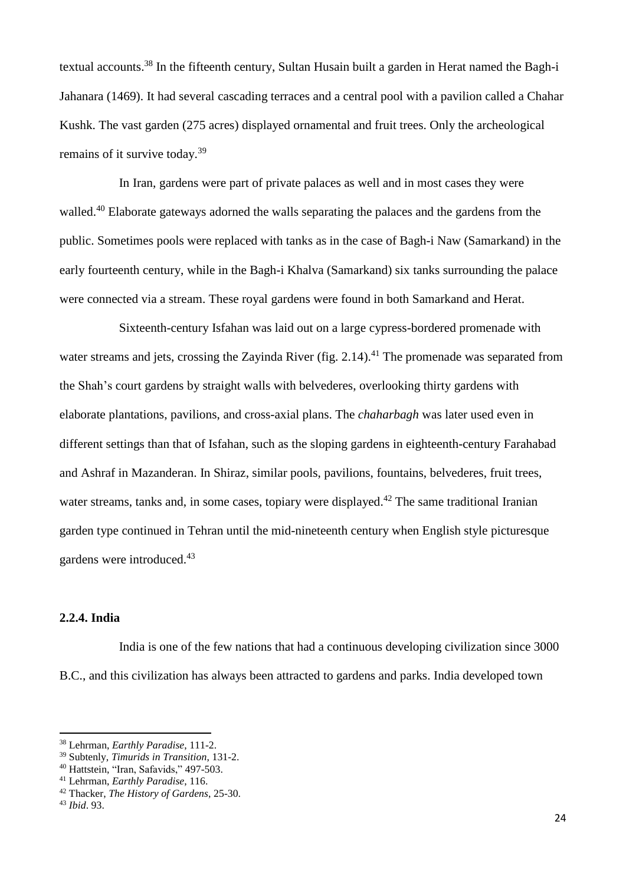textual accounts.<sup>38</sup> In the fifteenth century, Sultan Husain built a garden in Herat named the Bagh-i Jahanara (1469). It had several cascading terraces and a central pool with a pavilion called a Chahar Kushk. The vast garden (275 acres) displayed ornamental and fruit trees. Only the archeological remains of it survive today.<sup>39</sup>

In Iran, gardens were part of private palaces as well and in most cases they were walled.<sup>40</sup> Elaborate gateways adorned the walls separating the palaces and the gardens from the public. Sometimes pools were replaced with tanks as in the case of Bagh-i Naw (Samarkand) in the early fourteenth century, while in the Bagh-i Khalva (Samarkand) six tanks surrounding the palace were connected via a stream. These royal gardens were found in both Samarkand and Herat.

Sixteenth-century Isfahan was laid out on a large cypress-bordered promenade with water streams and jets, crossing the Zayinda River (fig. 2.14).<sup>41</sup> The promenade was separated from the Shah's court gardens by straight walls with belvederes, overlooking thirty gardens with elaborate plantations, pavilions, and cross-axial plans. The *chaharbagh* was later used even in different settings than that of Isfahan, such as the sloping gardens in eighteenth-century Farahabad and Ashraf in Mazanderan. In Shiraz, similar pools, pavilions, fountains, belvederes, fruit trees, water streams, tanks and, in some cases, topiary were displayed.<sup>42</sup> The same traditional Iranian garden type continued in Tehran until the mid-nineteenth century when English style picturesque gardens were introduced.<sup>43</sup>

# **2.2.4. India**

India is one of the few nations that had a continuous developing civilization since 3000 B.C., and this civilization has always been attracted to gardens and parks. India developed town

**.** 

<sup>38</sup> Lehrman, *Earthly Paradise*, 111-2.

<sup>39</sup> Subtenly, *Timurids in Transition*, 131-2.

<sup>40</sup> Hattstein, "Iran, Safavids," 497-503.

<sup>41</sup> Lehrman, *Earthly Paradise*, 116.

<sup>42</sup> Thacker, *The History of Gardens*, 25-30.

<sup>43</sup> *Ibid*. 93.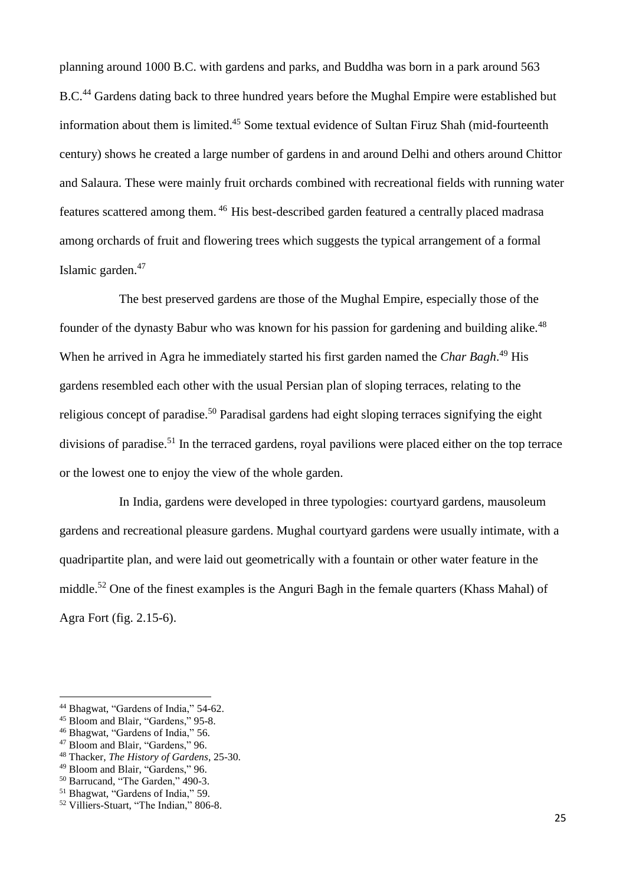planning around 1000 B.C. with gardens and parks, and Buddha was born in a park around 563 B.C.<sup>44</sup> Gardens dating back to three hundred years before the Mughal Empire were established but information about them is limited.<sup>45</sup> Some textual evidence of Sultan Firuz Shah (mid-fourteenth century) shows he created a large number of gardens in and around Delhi and others around Chittor and Salaura. These were mainly fruit orchards combined with recreational fields with running water features scattered among them. <sup>46</sup> His best-described garden featured a centrally placed madrasa among orchards of fruit and flowering trees which suggests the typical arrangement of a formal Islamic garden. 47

The best preserved gardens are those of the Mughal Empire, especially those of the founder of the dynasty Babur who was known for his passion for gardening and building alike.<sup>48</sup> When he arrived in Agra he immediately started his first garden named the *Char Bagh*. <sup>49</sup> His gardens resembled each other with the usual Persian plan of sloping terraces, relating to the religious concept of paradise.<sup>50</sup> Paradisal gardens had eight sloping terraces signifying the eight divisions of paradise.<sup>51</sup> In the terraced gardens, royal pavilions were placed either on the top terrace or the lowest one to enjoy the view of the whole garden.

In India, gardens were developed in three typologies: courtyard gardens, mausoleum gardens and recreational pleasure gardens. Mughal courtyard gardens were usually intimate, with a quadripartite plan, and were laid out geometrically with a fountain or other water feature in the middle.<sup>52</sup> One of the finest examples is the Anguri Bagh in the female quarters (Khass Mahal) of Agra Fort (fig. 2.15-6).

 $\overline{a}$ 

<sup>44</sup> Bhagwat, "Gardens of India," 54-62.

<sup>&</sup>lt;sup>45</sup> Bloom and Blair, "Gardens," 95-8.

<sup>46</sup> Bhagwat, "Gardens of India," 56.

<sup>47</sup> Bloom and Blair, "Gardens," 96.

<sup>48</sup> Thacker, *The History of Gardens*, 25-30.

<sup>49</sup> Bloom and Blair, "Gardens," 96.

<sup>50</sup> Barrucand, "The Garden," 490-3.

<sup>51</sup> Bhagwat, "Gardens of India," 59.

<sup>52</sup> Villiers-Stuart, "The Indian," 806-8.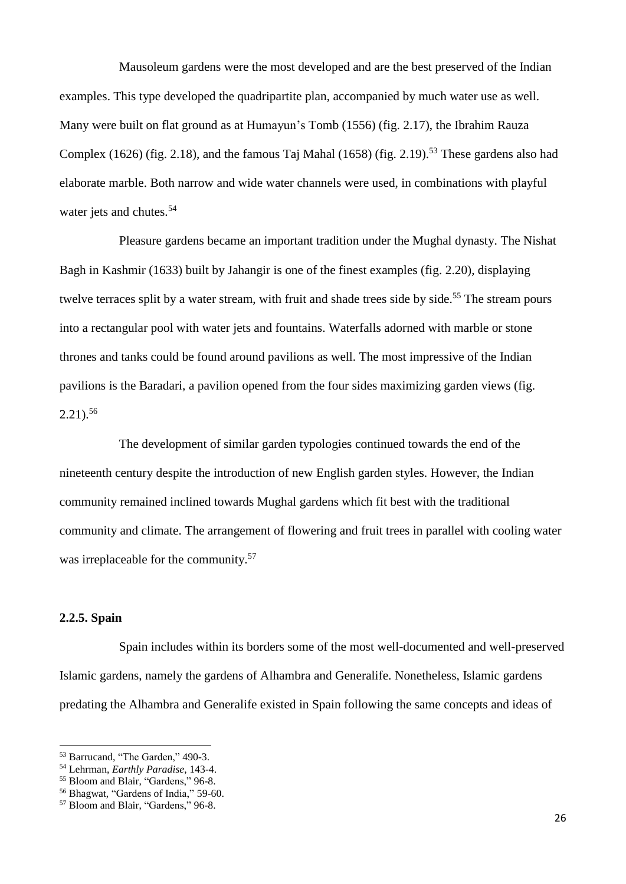Mausoleum gardens were the most developed and are the best preserved of the Indian examples. This type developed the quadripartite plan, accompanied by much water use as well. Many were built on flat ground as at Humayun's Tomb (1556) (fig. 2.17), the Ibrahim Rauza Complex (1626) (fig. 2.18), and the famous Taj Mahal (1658) (fig. 2.19).<sup>53</sup> These gardens also had elaborate marble. Both narrow and wide water channels were used, in combinations with playful water jets and chutes.<sup>54</sup>

Pleasure gardens became an important tradition under the Mughal dynasty. The Nishat Bagh in Kashmir (1633) built by Jahangir is one of the finest examples (fig. 2.20), displaying twelve terraces split by a water stream, with fruit and shade trees side by side.<sup>55</sup> The stream pours into a rectangular pool with water jets and fountains. Waterfalls adorned with marble or stone thrones and tanks could be found around pavilions as well. The most impressive of the Indian pavilions is the Baradari, a pavilion opened from the four sides maximizing garden views (fig. 2.21). 56

The development of similar garden typologies continued towards the end of the nineteenth century despite the introduction of new English garden styles. However, the Indian community remained inclined towards Mughal gardens which fit best with the traditional community and climate. The arrangement of flowering and fruit trees in parallel with cooling water was irreplaceable for the community.<sup>57</sup>

# **2.2.5. Spain**

**.** 

Spain includes within its borders some of the most well-documented and well-preserved Islamic gardens, namely the gardens of Alhambra and Generalife. Nonetheless, Islamic gardens predating the Alhambra and Generalife existed in Spain following the same concepts and ideas of

<sup>53</sup> Barrucand, "The Garden," 490-3.

<sup>54</sup> Lehrman, *Earthly Paradise*, 143-4.

<sup>55</sup> Bloom and Blair, "Gardens," 96-8.

<sup>56</sup> Bhagwat, "Gardens of India," 59-60.

<sup>57</sup> Bloom and Blair, "Gardens," 96-8.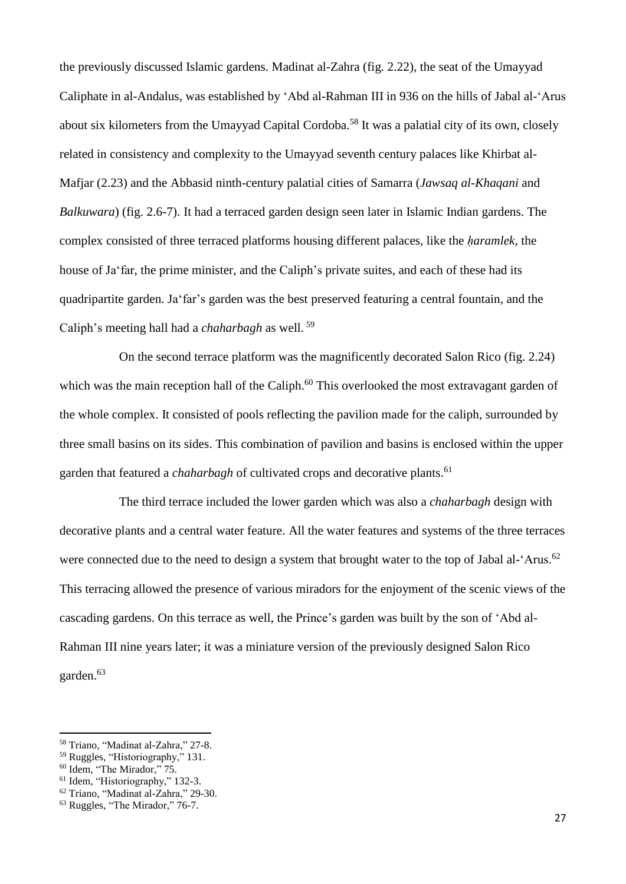the previously discussed Islamic gardens. Madinat al-Zahra (fig. 2.22), the seat of the Umayyad Caliphate in al-Andalus, was established by 'Abd al-Rahman III in 936 on the hills of Jabal al-'Arus about six kilometers from the Umayyad Capital Cordoba.<sup>58</sup> It was a palatial city of its own, closely related in consistency and complexity to the Umayyad seventh century palaces like Khirbat al-Mafjar (2.23) and the Abbasid ninth-century palatial cities of Samarra (*Jawsaq al-Khaqani* and *Balkuwara*) (fig. 2.6-7). It had a terraced garden design seen later in Islamic Indian gardens. The complex consisted of three terraced platforms housing different palaces, like the *ḥaramlek,* the house of Ja'far, the prime minister, and the Caliph's private suites, and each of these had its quadripartite garden. Ja'far's garden was the best preserved featuring a central fountain, and the Caliph's meeting hall had a *chaharbagh* as well. <sup>59</sup>

On the second terrace platform was the magnificently decorated Salon Rico (fig. 2.24) which was the main reception hall of the Caliph.<sup>60</sup> This overlooked the most extravagant garden of the whole complex. It consisted of pools reflecting the pavilion made for the caliph, surrounded by three small basins on its sides. This combination of pavilion and basins is enclosed within the upper garden that featured a *chaharbagh* of cultivated crops and decorative plants.<sup>61</sup>

The third terrace included the lower garden which was also a *chaharbagh* design with decorative plants and a central water feature. All the water features and systems of the three terraces were connected due to the need to design a system that brought water to the top of Jabal al-'Arus.<sup>62</sup> This terracing allowed the presence of various miradors for the enjoyment of the scenic views of the cascading gardens. On this terrace as well, the Prince's garden was built by the son of 'Abd al-Rahman III nine years later; it was a miniature version of the previously designed Salon Rico garden.<sup>63</sup>

<sup>58</sup> Triano, "Madinat al-Zahra," 27-8.

<sup>59</sup> Ruggles, "Historiography," 131.

<sup>60</sup> Idem, "The Mirador," 75.

<sup>&</sup>lt;sup>61</sup> Idem, "Historiography," 132-3.

<sup>62</sup> Triano, "Madinat al-Zahra," 29-30.

<sup>63</sup> Ruggles, "The Mirador," 76-7.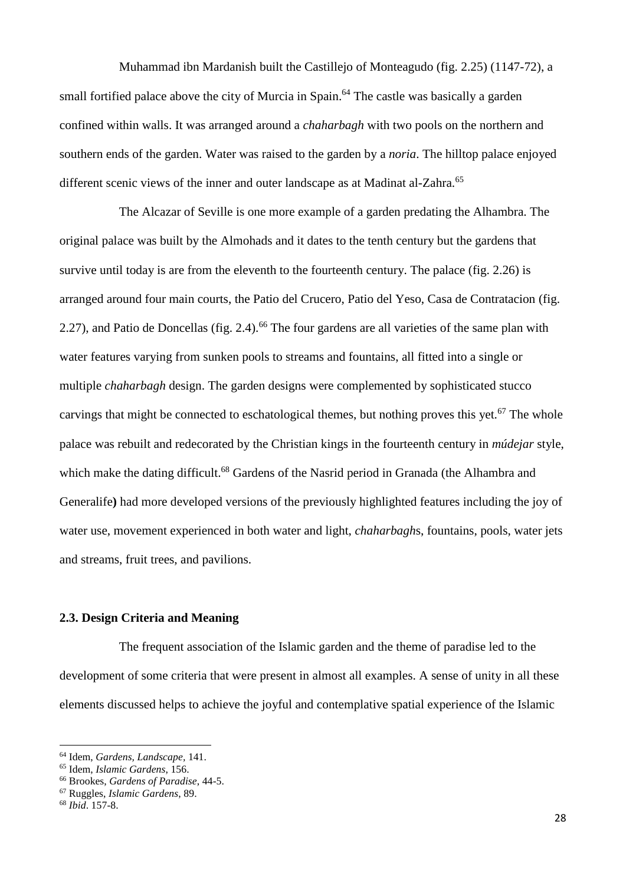Muhammad ibn Mardanish built the Castillejo of Monteagudo (fig. 2.25) (1147-72), a small fortified palace above the city of Murcia in Spain.<sup>64</sup> The castle was basically a garden confined within walls. It was arranged around a *chaharbagh* with two pools on the northern and southern ends of the garden. Water was raised to the garden by a *noria*. The hilltop palace enjoyed different scenic views of the inner and outer landscape as at Madinat al-Zahra.<sup>65</sup>

The Alcazar of Seville is one more example of a garden predating the Alhambra. The original palace was built by the Almohads and it dates to the tenth century but the gardens that survive until today is are from the eleventh to the fourteenth century. The palace (fig. 2.26) is arranged around four main courts, the Patio del Crucero, Patio del Yeso, Casa de Contratacion (fig. 2.27), and Patio de Doncellas (fig. 2.4).<sup>66</sup> The four gardens are all varieties of the same plan with water features varying from sunken pools to streams and fountains, all fitted into a single or multiple *chaharbagh* design. The garden designs were complemented by sophisticated stucco carvings that might be connected to eschatological themes, but nothing proves this yet.<sup>67</sup> The whole palace was rebuilt and redecorated by the Christian kings in the fourteenth century in *múdejar* style, which make the dating difficult.<sup>68</sup> Gardens of the Nasrid period in Granada (the Alhambra and Generalife**)** had more developed versions of the previously highlighted features including the joy of water use, movement experienced in both water and light, *chaharbagh*s, fountains, pools, water jets and streams, fruit trees, and pavilions.

## **2.3. Design Criteria and Meaning**

The frequent association of the Islamic garden and the theme of paradise led to the development of some criteria that were present in almost all examples. A sense of unity in all these elements discussed helps to achieve the joyful and contemplative spatial experience of the Islamic

<sup>64</sup> Idem, *Gardens, Landscape,* 141.

<sup>65</sup> Idem, *Islamic Gardens*, 156.

<sup>66</sup> Brookes, *Gardens of Paradise*, 44-5.

<sup>67</sup> Ruggles, *Islamic Gardens*, 89.

<sup>68</sup> *Ibid*. 157-8.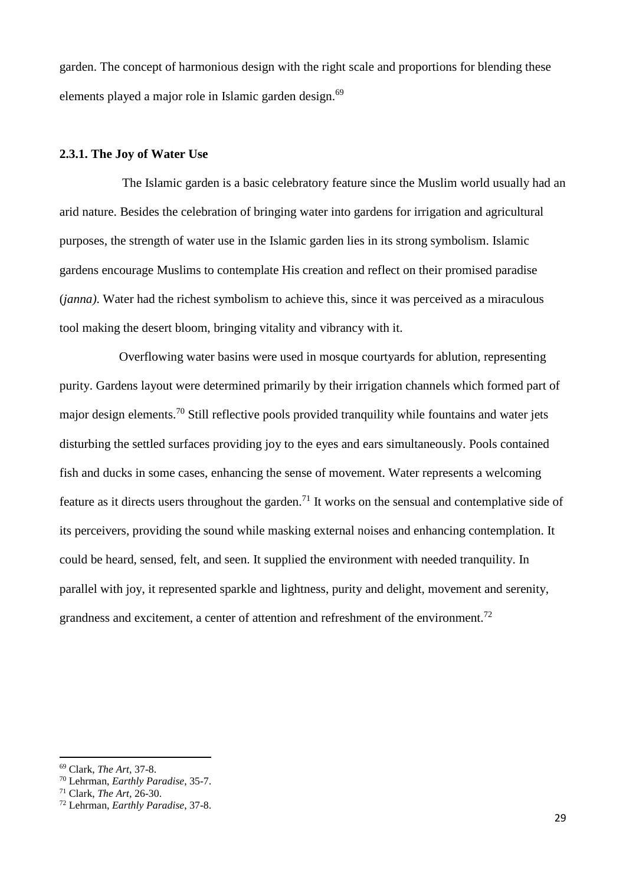garden. The concept of harmonious design with the right scale and proportions for blending these elements played a major role in Islamic garden design.<sup>69</sup>

#### **2.3.1. The Joy of Water Use**

The Islamic garden is a basic celebratory feature since the Muslim world usually had an arid nature. Besides the celebration of bringing water into gardens for irrigation and agricultural purposes, the strength of water use in the Islamic garden lies in its strong symbolism. Islamic gardens encourage Muslims to contemplate His creation and reflect on their promised paradise (*janna)*. Water had the richest symbolism to achieve this, since it was perceived as a miraculous tool making the desert bloom, bringing vitality and vibrancy with it.

Overflowing water basins were used in mosque courtyards for ablution, representing purity. Gardens layout were determined primarily by their irrigation channels which formed part of major design elements.<sup>70</sup> Still reflective pools provided tranquility while fountains and water jets disturbing the settled surfaces providing joy to the eyes and ears simultaneously. Pools contained fish and ducks in some cases, enhancing the sense of movement. Water represents a welcoming feature as it directs users throughout the garden.<sup>71</sup> It works on the sensual and contemplative side of its perceivers, providing the sound while masking external noises and enhancing contemplation. It could be heard, sensed, felt, and seen. It supplied the environment with needed tranquility. In parallel with joy, it represented sparkle and lightness, purity and delight, movement and serenity, grandness and excitement, a center of attention and refreshment of the environment.<sup>72</sup>

<sup>69</sup> Clark, *The Art,* 37-8.

<sup>70</sup> Lehrman, *Earthly Paradise*, 35-7.

<sup>71</sup> Clark, *The Art,* 26-30.

<sup>72</sup> Lehrman, *Earthly Paradise*, 37-8.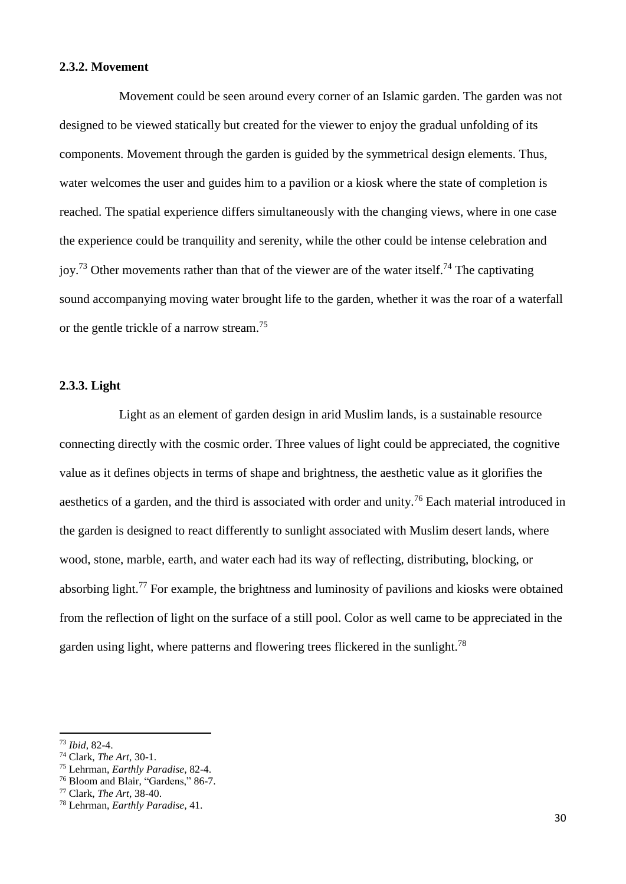### **2.3.2. Movement**

Movement could be seen around every corner of an Islamic garden. The garden was not designed to be viewed statically but created for the viewer to enjoy the gradual unfolding of its components. Movement through the garden is guided by the symmetrical design elements. Thus, water welcomes the user and guides him to a pavilion or a kiosk where the state of completion is reached. The spatial experience differs simultaneously with the changing views, where in one case the experience could be tranquility and serenity, while the other could be intense celebration and joy.<sup>73</sup> Other movements rather than that of the viewer are of the water itself.<sup>74</sup> The captivating sound accompanying moving water brought life to the garden, whether it was the roar of a waterfall or the gentle trickle of a narrow stream.<sup>75</sup>

## **2.3.3. Light**

Light as an element of garden design in arid Muslim lands, is a sustainable resource connecting directly with the cosmic order. Three values of light could be appreciated, the cognitive value as it defines objects in terms of shape and brightness, the aesthetic value as it glorifies the aesthetics of a garden, and the third is associated with order and unity.<sup>76</sup> Each material introduced in the garden is designed to react differently to sunlight associated with Muslim desert lands, where wood, stone, marble, earth, and water each had its way of reflecting, distributing, blocking, or absorbing light.<sup>77</sup> For example, the brightness and luminosity of pavilions and kiosks were obtained from the reflection of light on the surface of a still pool. Color as well came to be appreciated in the garden using light, where patterns and flowering trees flickered in the sunlight.<sup>78</sup>

<sup>73</sup> *Ibid*, 82-4.

<sup>74</sup> Clark, *The Art*, 30-1.

<sup>75</sup> Lehrman, *Earthly Paradise*, 82-4.

<sup>76</sup> Bloom and Blair, "Gardens," 86-7.

<sup>77</sup> Clark, *The Art*, 38-40.

<sup>78</sup> Lehrman, *Earthly Paradise*, 41.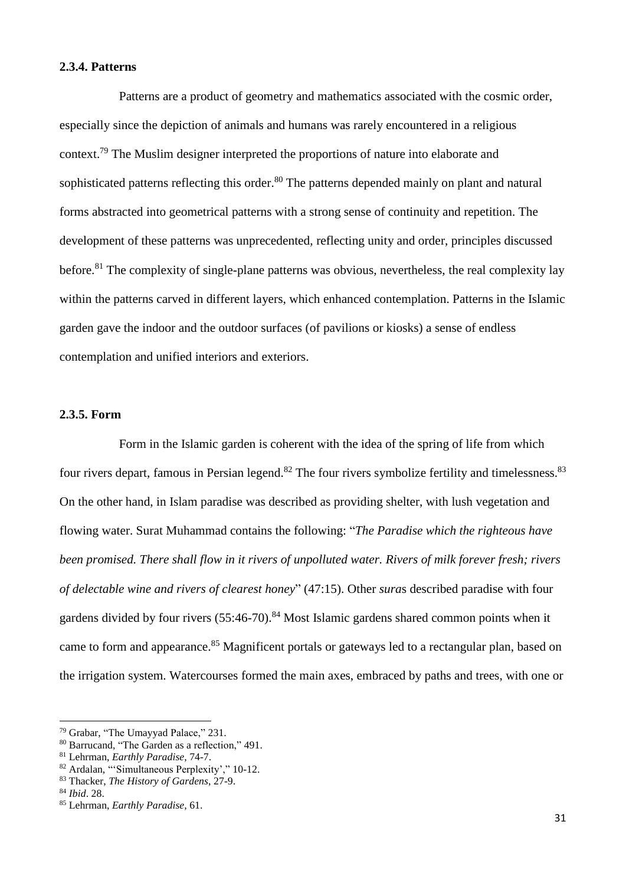### **2.3.4. Patterns**

Patterns are a product of geometry and mathematics associated with the cosmic order, especially since the depiction of animals and humans was rarely encountered in a religious context.<sup>79</sup> The Muslim designer interpreted the proportions of nature into elaborate and sophisticated patterns reflecting this order.<sup>80</sup> The patterns depended mainly on plant and natural forms abstracted into geometrical patterns with a strong sense of continuity and repetition. The development of these patterns was unprecedented, reflecting unity and order, principles discussed before.<sup>81</sup> The complexity of single-plane patterns was obvious, nevertheless, the real complexity lay within the patterns carved in different layers, which enhanced contemplation. Patterns in the Islamic garden gave the indoor and the outdoor surfaces (of pavilions or kiosks) a sense of endless contemplation and unified interiors and exteriors.

#### **2.3.5. Form**

Form in the Islamic garden is coherent with the idea of the spring of life from which four rivers depart, famous in Persian legend.<sup>82</sup> The four rivers symbolize fertility and timelessness.<sup>83</sup> On the other hand, in Islam paradise was described as providing shelter, with lush vegetation and flowing water. Surat Muhammad contains the following: "*The Paradise which the righteous have been promised. There shall flow in it rivers of unpolluted water. Rivers of milk forever fresh; rivers of delectable wine and rivers of clearest honey*" (47:15). Other *sura*s described paradise with four gardens divided by four rivers  $(55:46-70)^{84}$  Most Islamic gardens shared common points when it came to form and appearance.<sup>85</sup> Magnificent portals or gateways led to a rectangular plan, based on the irrigation system. Watercourses formed the main axes, embraced by paths and trees, with one or

<sup>79</sup> Grabar, "The Umayyad Palace," 231.

<sup>80</sup> Barrucand, "The Garden as a reflection," 491.

<sup>81</sup> Lehrman, *Earthly Paradise*, 74-7.

<sup>82</sup> Ardalan, "'Simultaneous Perplexity'," 10-12.

<sup>83</sup> Thacker, *The History of Gardens*, 27-9.

<sup>84</sup> *Ibid*. 28.

<sup>85</sup> Lehrman, *Earthly Paradise,* 61.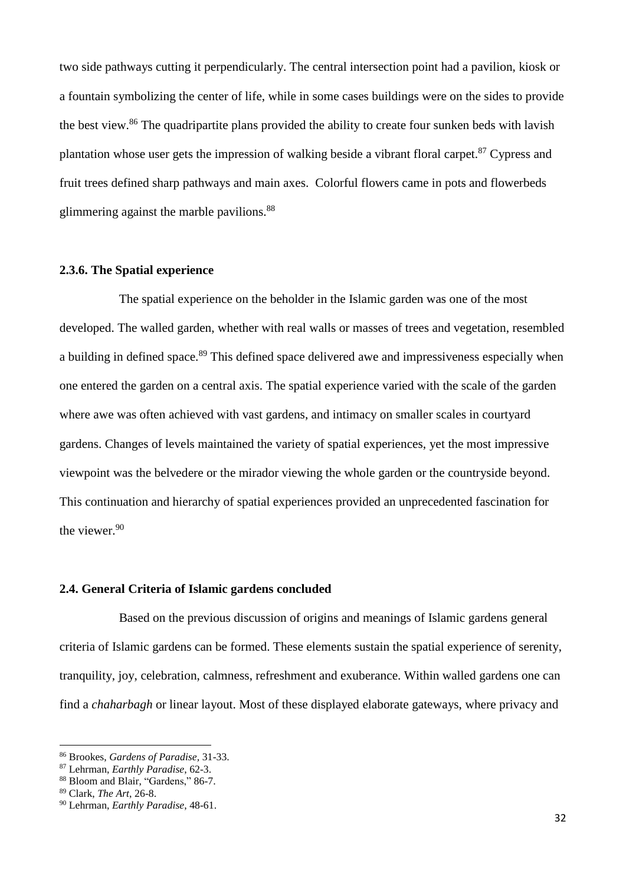two side pathways cutting it perpendicularly. The central intersection point had a pavilion, kiosk or a fountain symbolizing the center of life, while in some cases buildings were on the sides to provide the best view.<sup>86</sup> The quadripartite plans provided the ability to create four sunken beds with lavish plantation whose user gets the impression of walking beside a vibrant floral carpet.<sup>87</sup> Cypress and fruit trees defined sharp pathways and main axes. Colorful flowers came in pots and flowerbeds glimmering against the marble pavilions.<sup>88</sup>

### **2.3.6. The Spatial experience**

The spatial experience on the beholder in the Islamic garden was one of the most developed. The walled garden, whether with real walls or masses of trees and vegetation, resembled a building in defined space.<sup>89</sup> This defined space delivered awe and impressiveness especially when one entered the garden on a central axis. The spatial experience varied with the scale of the garden where awe was often achieved with vast gardens, and intimacy on smaller scales in courtyard gardens. Changes of levels maintained the variety of spatial experiences, yet the most impressive viewpoint was the belvedere or the mirador viewing the whole garden or the countryside beyond. This continuation and hierarchy of spatial experiences provided an unprecedented fascination for the viewer.<sup>90</sup>

### **2.4. General Criteria of Islamic gardens concluded**

Based on the previous discussion of origins and meanings of Islamic gardens general criteria of Islamic gardens can be formed. These elements sustain the spatial experience of serenity, tranquility, joy, celebration, calmness, refreshment and exuberance. Within walled gardens one can find a *chaharbagh* or linear layout. Most of these displayed elaborate gateways, where privacy and

<sup>86</sup> Brookes, *Gardens of Paradise,* 31-33.

<sup>87</sup> Lehrman, *Earthly Paradise*, 62-3.

<sup>88</sup> Bloom and Blair, "Gardens," 86-7.

<sup>89</sup> Clark, *The Art*, 26-8.

<sup>90</sup> Lehrman, *Earthly Paradise*, 48-61.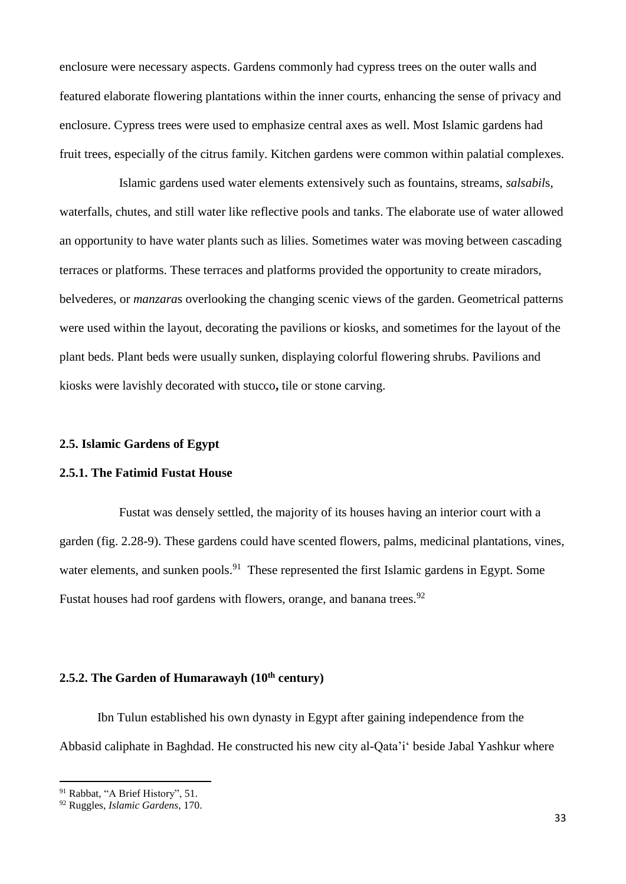enclosure were necessary aspects. Gardens commonly had cypress trees on the outer walls and featured elaborate flowering plantations within the inner courts, enhancing the sense of privacy and enclosure. Cypress trees were used to emphasize central axes as well. Most Islamic gardens had fruit trees, especially of the citrus family. Kitchen gardens were common within palatial complexes.

Islamic gardens used water elements extensively such as fountains, streams, *salsabil*s, waterfalls, chutes, and still water like reflective pools and tanks. The elaborate use of water allowed an opportunity to have water plants such as lilies. Sometimes water was moving between cascading terraces or platforms. These terraces and platforms provided the opportunity to create miradors, belvederes, or *manzara*s overlooking the changing scenic views of the garden. Geometrical patterns were used within the layout, decorating the pavilions or kiosks, and sometimes for the layout of the plant beds. Plant beds were usually sunken, displaying colorful flowering shrubs. Pavilions and kiosks were lavishly decorated with stucco**,** tile or stone carving.

## **2.5. Islamic Gardens of Egypt**

## **2.5.1. The Fatimid Fustat House**

Fustat was densely settled, the majority of its houses having an interior court with a garden (fig. 2.28-9). These gardens could have scented flowers, palms, medicinal plantations, vines, water elements, and sunken pools.<sup>91</sup> These represented the first Islamic gardens in Egypt. Some Fustat houses had roof gardens with flowers, orange, and banana trees.<sup>92</sup>

# **2.5.2. The Garden of Humarawayh (10th century)**

Ibn Tulun established his own dynasty in Egypt after gaining independence from the Abbasid caliphate in Baghdad. He constructed his new city al-Qata'i' beside Jabal Yashkur where

1

<sup>91</sup> Rabbat, "A Brief History", 51.

<sup>92</sup> Ruggles, *Islamic Gardens*, 170.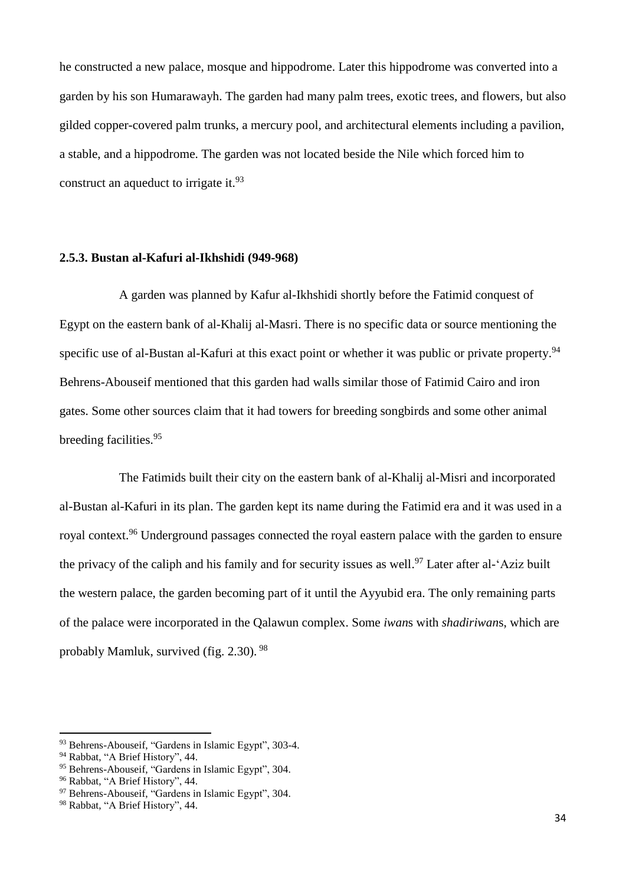he constructed a new palace, mosque and hippodrome. Later this hippodrome was converted into a garden by his son Humarawayh. The garden had many palm trees, exotic trees, and flowers, but also gilded copper-covered palm trunks, a mercury pool, and architectural elements including a pavilion, a stable, and a hippodrome. The garden was not located beside the Nile which forced him to construct an aqueduct to irrigate it.<sup>93</sup>

### **2.5.3. Bustan al-Kafuri al-Ikhshidi (949-968)**

A garden was planned by Kafur al-Ikhshidi shortly before the Fatimid conquest of Egypt on the eastern bank of al-Khalij al-Masri. There is no specific data or source mentioning the specific use of al-Bustan al-Kafuri at this exact point or whether it was public or private property.<sup>94</sup> Behrens-Abouseif mentioned that this garden had walls similar those of Fatimid Cairo and iron gates. Some other sources claim that it had towers for breeding songbirds and some other animal breeding facilities. 95

The Fatimids built their city on the eastern bank of al-Khalij al-Misri and incorporated al-Bustan al-Kafuri in its plan. The garden kept its name during the Fatimid era and it was used in a royal context.<sup>96</sup> Underground passages connected the royal eastern palace with the garden to ensure the privacy of the caliph and his family and for security issues as well.<sup>97</sup> Later after al-'Aziz built the western palace, the garden becoming part of it until the Ayyubid era. The only remaining parts of the palace were incorporated in the Qalawun complex. Some *iwan*s with *shadiriwan*s, which are probably Mamluk, survived (fig. 2.30). <sup>98</sup>

<sup>93</sup> Behrens-Abouseif, "Gardens in Islamic Egypt", 303-4.

<sup>94</sup> Rabbat, "A Brief History", 44.

<sup>95</sup> Behrens-Abouseif, "Gardens in Islamic Egypt", 304.

<sup>96</sup> Rabbat, "A Brief History", 44.

<sup>97</sup> Behrens-Abouseif, "Gardens in Islamic Egypt", 304.

<sup>98</sup> Rabbat, "A Brief History", 44.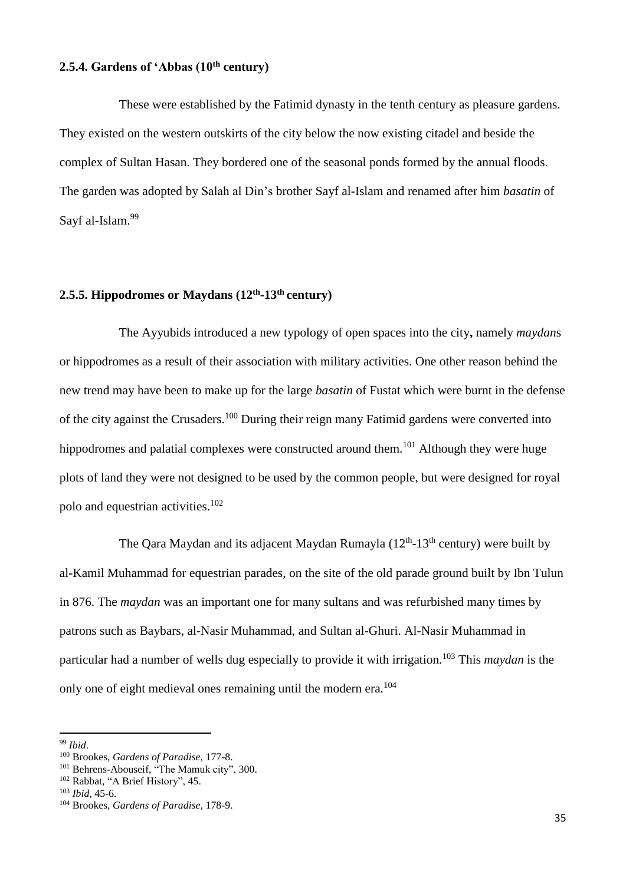## **2.5.4. Gardens of 'Abbas (10th century)**

These were established by the Fatimid dynasty in the tenth century as pleasure gardens. They existed on the western outskirts of the city below the now existing citadel and beside the complex of Sultan Hasan. They bordered one of the seasonal ponds formed by the annual floods. The garden was adopted by Salah al Din's brother Sayf al-Islam and renamed after him *basatin* of Sayf al-Islam.<sup>99</sup>

## **2.5.5. Hippodromes or Maydans (12th -13th century)**

The Ayyubids introduced a new typology of open spaces into the city**,** namely *maydan*s or hippodromes as a result of their association with military activities. One other reason behind the new trend may have been to make up for the large *basatin* of Fustat which were burnt in the defense of the city against the Crusaders.<sup>100</sup> During their reign many Fatimid gardens were converted into hippodromes and palatial complexes were constructed around them.<sup>101</sup> Although they were huge plots of land they were not designed to be used by the common people, but were designed for royal polo and equestrian activities. 102

The Qara Maydan and its adjacent Maydan Rumayla  $(12<sup>th</sup>-13<sup>th</sup>$  century) were built by al-Kamil Muhammad for equestrian parades, on the site of the old parade ground built by Ibn Tulun in 876. The *maydan* was an important one for many sultans and was refurbished many times by patrons such as Baybars, al-Nasir Muhammad, and Sultan al-Ghuri. Al-Nasir Muhammad in particular had a number of wells dug especially to provide it with irrigation*.* <sup>103</sup> This *maydan* is the only one of eight medieval ones remaining until the modern era.<sup>104</sup>

<sup>99</sup> *Ibid*.

<sup>100</sup> Brookes, *Gardens of Paradise*, 177-8.

<sup>101</sup> Behrens-Abouseif, "The Mamuk city", 300.

<sup>102</sup> Rabbat, "A Brief History", 45.

<sup>103</sup> *Ibid*, 45-6.

<sup>104</sup> Brookes, *Gardens of Paradise*, 178-9.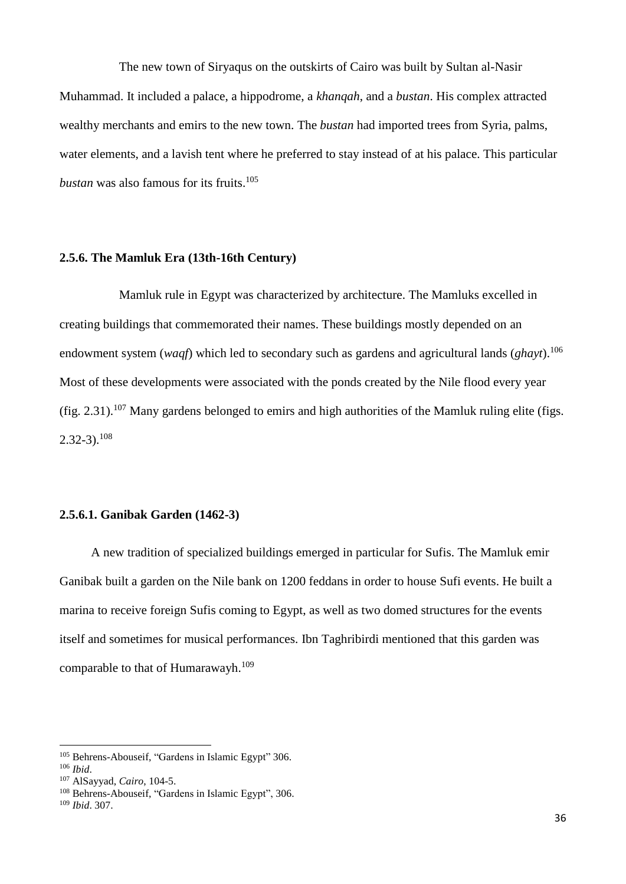The new town of Siryaqus on the outskirts of Cairo was built by Sultan al-Nasir Muhammad. It included a palace, a hippodrome, a *khanqah*, and a *bustan*. His complex attracted wealthy merchants and emirs to the new town. The *bustan* had imported trees from Syria, palms, water elements, and a lavish tent where he preferred to stay instead of at his palace. This particular *bustan* was also famous for its fruits. 105

## **2.5.6. The Mamluk Era (13th-16th Century)**

Mamluk rule in Egypt was characterized by architecture. The Mamluks excelled in creating buildings that commemorated their names. These buildings mostly depended on an endowment system (*waqf*) which led to secondary such as gardens and agricultural lands (*ghayt*).<sup>106</sup> Most of these developments were associated with the ponds created by the Nile flood every year (fig. 2.31).<sup>107</sup> Many gardens belonged to emirs and high authorities of the Mamluk ruling elite (figs.  $2.32 - 3$ ).<sup>108</sup>

## **2.5.6.1. Ganibak Garden (1462-3)**

 A new tradition of specialized buildings emerged in particular for Sufis. The Mamluk emir Ganibak built a garden on the Nile bank on 1200 feddans in order to house Sufi events. He built a marina to receive foreign Sufis coming to Egypt, as well as two domed structures for the events itself and sometimes for musical performances. Ibn Taghribirdi mentioned that this garden was comparable to that of Humarawayh.<sup>109</sup>

<sup>105</sup> Behrens-Abouseif, "Gardens in Islamic Egypt" 306.

<sup>106</sup> *Ibid*.

<sup>107</sup> AlSayyad, *Cairo*, 104-5.

<sup>108</sup> Behrens-Abouseif, "Gardens in Islamic Egypt", 306.

<sup>109</sup> *Ibid*. 307.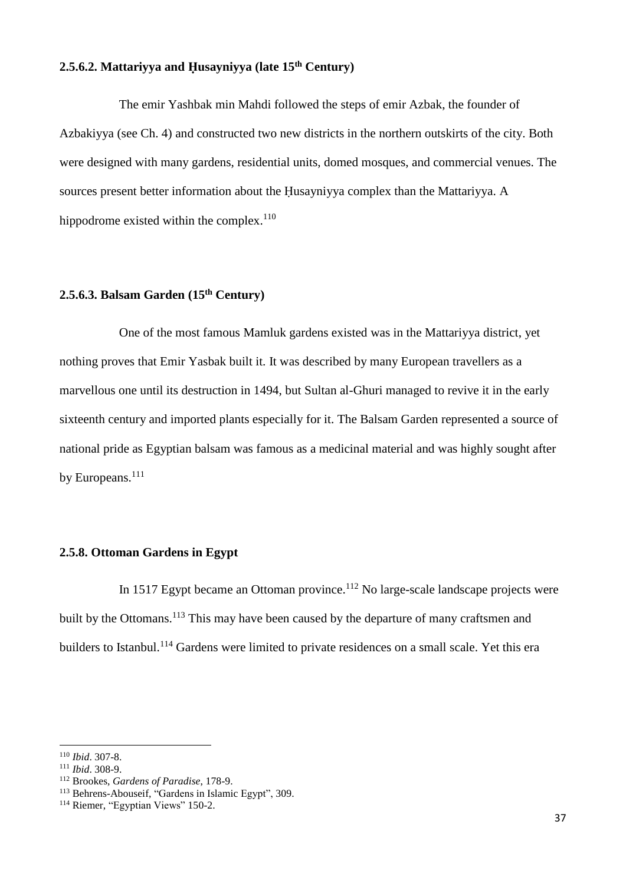# **2.5.6.2. Mattariyya and Ḥusayniyya (late 15th Century)**

The emir Yashbak min Mahdi followed the steps of emir Azbak, the founder of Azbakiyya (see Ch. 4) and constructed two new districts in the northern outskirts of the city. Both were designed with many gardens, residential units, domed mosques, and commercial venues. The sources present better information about the Husayniyya complex than the Mattariyya. A hippodrome existed within the complex. $110$ 

# **2.5.6.3. Balsam Garden (15th Century)**

One of the most famous Mamluk gardens existed was in the Mattariyya district, yet nothing proves that Emir Yasbak built it. It was described by many European travellers as a marvellous one until its destruction in 1494, but Sultan al-Ghuri managed to revive it in the early sixteenth century and imported plants especially for it. The Balsam Garden represented a source of national pride as Egyptian balsam was famous as a medicinal material and was highly sought after by Europeans.<sup>111</sup>

## **2.5.8. Ottoman Gardens in Egypt**

In 1517 Egypt became an Ottoman province.<sup>112</sup> No large-scale landscape projects were built by the Ottomans.<sup>113</sup> This may have been caused by the departure of many craftsmen and builders to Istanbul.<sup>114</sup> Gardens were limited to private residences on a small scale. Yet this era

<sup>110</sup> *Ibid*. 307-8.

<sup>111</sup> *Ibid*. 308-9.

<sup>112</sup> Brookes, *Gardens of Paradise*, 178-9.

<sup>&</sup>lt;sup>113</sup> Behrens-Abouseif, "Gardens in Islamic Egypt", 309.

<sup>&</sup>lt;sup>114</sup> Riemer, "Egyptian Views" 150-2.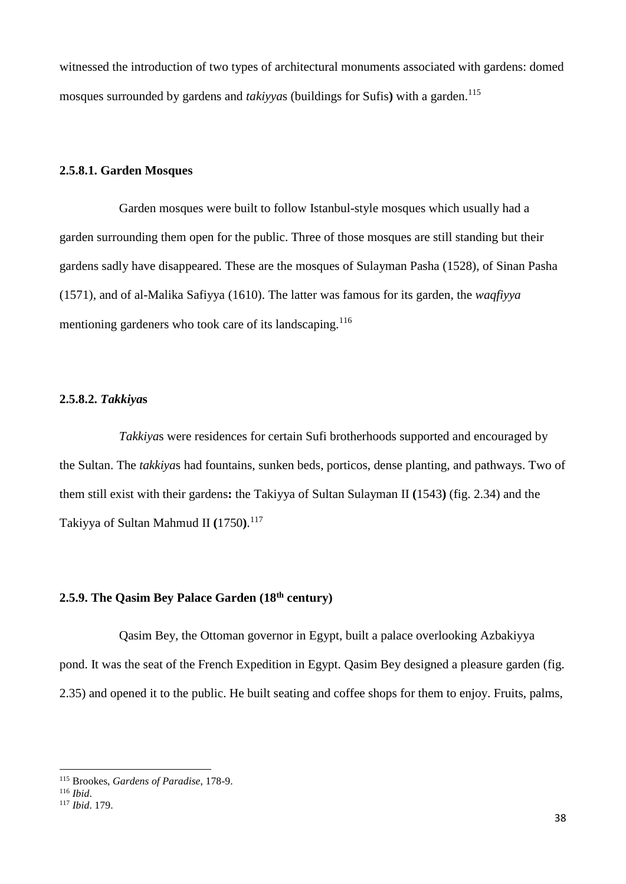witnessed the introduction of two types of architectural monuments associated with gardens: domed mosques surrounded by gardens and *takiyya*s (buildings for Sufis**)** with a garden. 115

## **2.5.8.1. Garden Mosques**

Garden mosques were built to follow Istanbul-style mosques which usually had a garden surrounding them open for the public. Three of those mosques are still standing but their gardens sadly have disappeared. These are the mosques of Sulayman Pasha (1528), of Sinan Pasha (1571), and of al-Malika Safiyya (1610). The latter was famous for its garden, the *waqfiyya* mentioning gardeners who took care of its landscaping.<sup>116</sup>

### **2.5.8.2.** *Takkiya***s**

*Takkiya*s were residences for certain Sufi brotherhoods supported and encouraged by the Sultan. The *takkiya*s had fountains, sunken beds, porticos, dense planting, and pathways. Two of them still exist with their gardens**:** the Takiyya of Sultan Sulayman II **(**1543**)** (fig. 2.34) and the Takiyya of Sultan Mahmud II **(**1750**)**. 117

# **2.5.9. The Qasim Bey Palace Garden (18th century)**

Qasim Bey, the Ottoman governor in Egypt, built a palace overlooking Azbakiyya pond. It was the seat of the French Expedition in Egypt. Qasim Bey designed a pleasure garden (fig. 2.35) and opened it to the public. He built seating and coffee shops for them to enjoy. Fruits, palms,

 $\overline{a}$ 

<sup>115</sup> Brookes, *Gardens of Paradise*, 178-9.

<sup>116</sup> *Ibid*.

<sup>117</sup> *Ibid*. 179.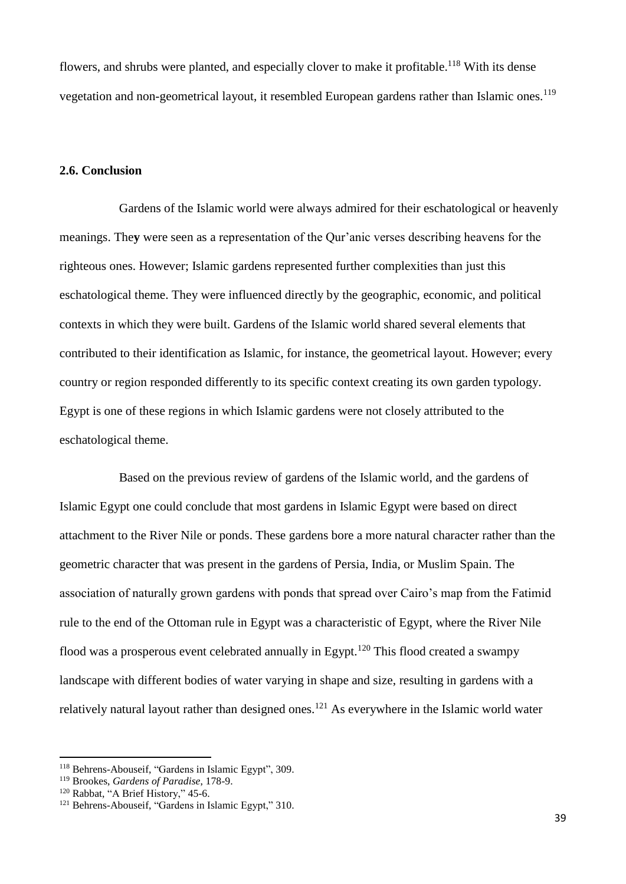flowers, and shrubs were planted, and especially clover to make it profitable.<sup>118</sup> With its dense vegetation and non-geometrical layout, it resembled European gardens rather than Islamic ones.<sup>119</sup>

## **2.6. Conclusion**

Gardens of the Islamic world were always admired for their eschatological or heavenly meanings. The**y** were seen as a representation of the Qur'anic verses describing heavens for the righteous ones. However; Islamic gardens represented further complexities than just this eschatological theme. They were influenced directly by the geographic, economic, and political contexts in which they were built. Gardens of the Islamic world shared several elements that contributed to their identification as Islamic, for instance, the geometrical layout. However; every country or region responded differently to its specific context creating its own garden typology. Egypt is one of these regions in which Islamic gardens were not closely attributed to the eschatological theme.

Based on the previous review of gardens of the Islamic world, and the gardens of Islamic Egypt one could conclude that most gardens in Islamic Egypt were based on direct attachment to the River Nile or ponds. These gardens bore a more natural character rather than the geometric character that was present in the gardens of Persia, India, or Muslim Spain. The association of naturally grown gardens with ponds that spread over Cairo's map from the Fatimid rule to the end of the Ottoman rule in Egypt was a characteristic of Egypt, where the River Nile flood was a prosperous event celebrated annually in Egypt.<sup>120</sup> This flood created a swampy landscape with different bodies of water varying in shape and size, resulting in gardens with a relatively natural layout rather than designed ones.<sup>121</sup> As everywhere in the Islamic world water

<sup>118</sup> Behrens-Abouseif, "Gardens in Islamic Egypt", 309.

<sup>119</sup> Brookes, *Gardens of Paradise*, 178-9.

<sup>&</sup>lt;sup>120</sup> Rabbat, "A Brief History," 45-6.

<sup>121</sup> Behrens-Abouseif, "Gardens in Islamic Egypt," 310.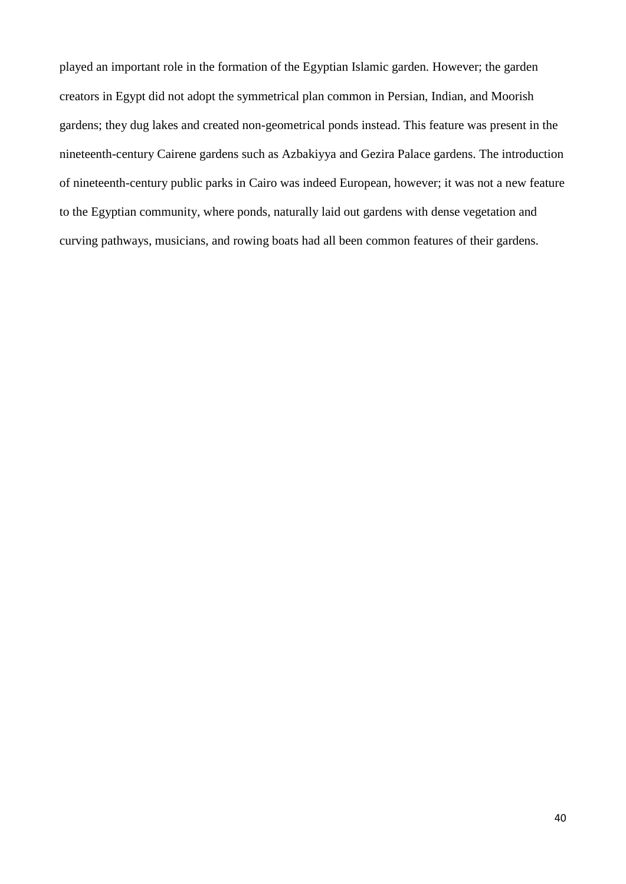played an important role in the formation of the Egyptian Islamic garden. However; the garden creators in Egypt did not adopt the symmetrical plan common in Persian, Indian, and Moorish gardens; they dug lakes and created non-geometrical ponds instead. This feature was present in the nineteenth-century Cairene gardens such as Azbakiyya and Gezira Palace gardens. The introduction of nineteenth-century public parks in Cairo was indeed European, however; it was not a new feature to the Egyptian community, where ponds, naturally laid out gardens with dense vegetation and curving pathways, musicians, and rowing boats had all been common features of their gardens.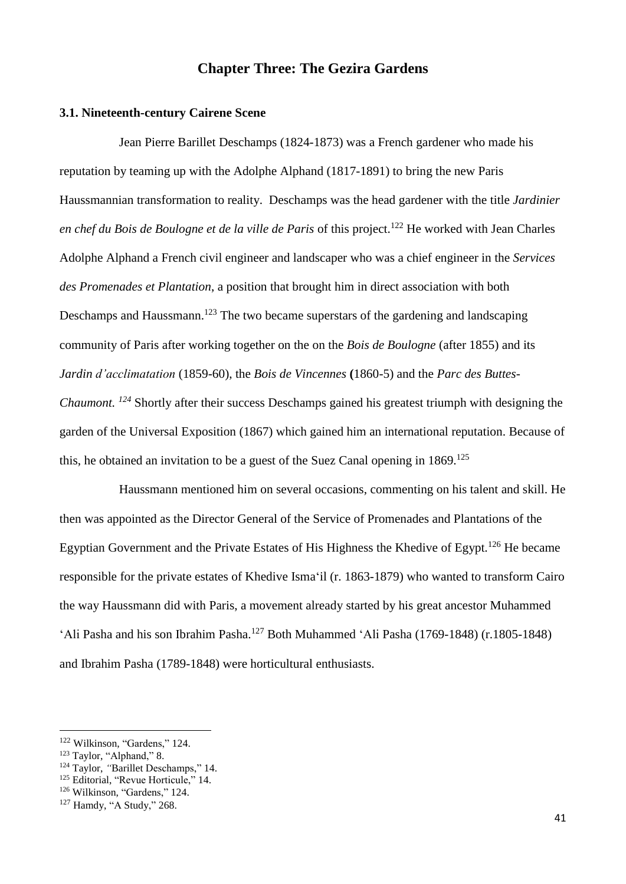## **Chapter Three: The Gezira Gardens**

### **3.1. Nineteenth-century Cairene Scene**

Jean Pierre Barillet Deschamps (1824-1873) was a French gardener who made his reputation by teaming up with the Adolphe Alphand (1817-1891) to bring the new Paris Haussmannian transformation to reality. Deschamps was the head gardener with the title *Jardinier en chef du Bois de Boulogne et de la ville de Paris* of this project.<sup>122</sup> He worked with Jean Charles Adolphe Alphand a French civil engineer and landscaper who was a chief engineer in the *Services des Promenades et Plantation*, a position that brought him in direct association with both Deschamps and Haussmann.<sup>123</sup> The two became superstars of the gardening and landscaping community of Paris after working together on the on the *Bois de Boulogne* (after 1855) and its *Jardin d'acclimatation* (1859-60), the *Bois de Vincennes* **(**1860-5) and the *Parc des Buttes-Chaumont. <sup>124</sup>* Shortly after their success Deschamps gained his greatest triumph with designing the garden of the Universal Exposition (1867) which gained him an international reputation. Because of this, he obtained an invitation to be a guest of the Suez Canal opening in  $1869$ <sup>125</sup>

Haussmann mentioned him on several occasions, commenting on his talent and skill. He then was appointed as the Director General of the Service of Promenades and Plantations of the Egyptian Government and the Private Estates of His Highness the Khedive of Egypt.<sup>126</sup> He became responsible for the private estates of Khedive Isma'il (r. 1863-1879) who wanted to transform Cairo the way Haussmann did with Paris, a movement already started by his great ancestor Muhammed 'Ali Pasha and his son Ibrahim Pasha.<sup>127</sup> Both Muhammed 'Ali Pasha (1769-1848) (r.1805-1848) and Ibrahim Pasha (1789-1848) were horticultural enthusiasts.

1

<sup>122</sup> Wilkinson, "Gardens," 124.

<sup>&</sup>lt;sup>123</sup> Taylor, "Alphand," 8.

<sup>&</sup>lt;sup>124</sup> Taylor, "Barillet Deschamps," 14.

<sup>&</sup>lt;sup>125</sup> Editorial, "Revue Horticule," 14.

<sup>126</sup> Wilkinson, "Gardens," 124.

<sup>127</sup> Hamdy, "A Study," 268.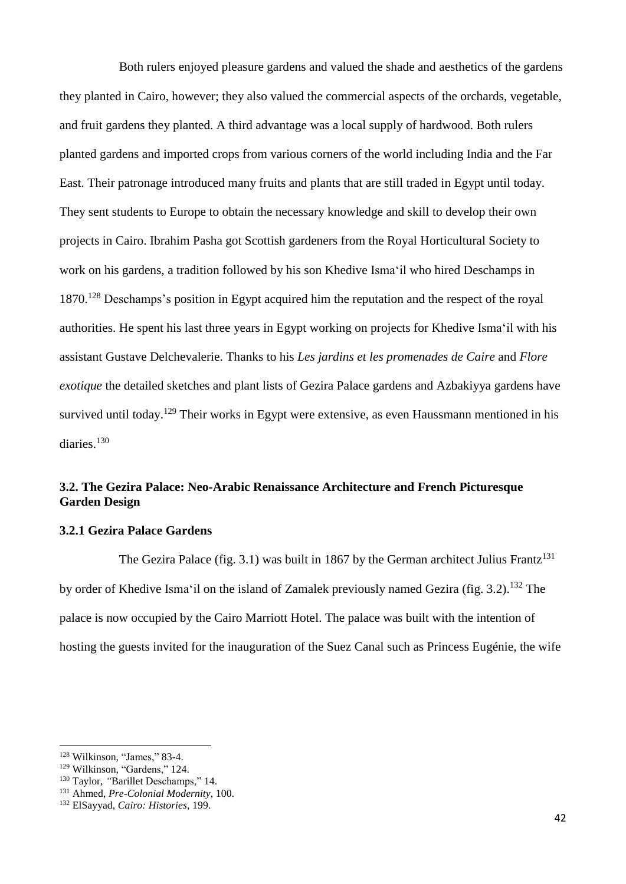Both rulers enjoyed pleasure gardens and valued the shade and aesthetics of the gardens they planted in Cairo, however; they also valued the commercial aspects of the orchards, vegetable, and fruit gardens they planted. A third advantage was a local supply of hardwood. Both rulers planted gardens and imported crops from various corners of the world including India and the Far East. Their patronage introduced many fruits and plants that are still traded in Egypt until today. They sent students to Europe to obtain the necessary knowledge and skill to develop their own projects in Cairo. Ibrahim Pasha got Scottish gardeners from the Royal Horticultural Society to work on his gardens, a tradition followed by his son Khedive Isma'il who hired Deschamps in 1870.<sup>128</sup> Deschamps's position in Egypt acquired him the reputation and the respect of the royal authorities. He spent his last three years in Egypt working on projects for Khedive Isma'il with his assistant Gustave Delchevalerie. Thanks to his *Les jardins et les promenades de Caire* and *Flore exotique* the detailed sketches and plant lists of Gezira Palace gardens and Azbakiyya gardens have survived until today.<sup>129</sup> Their works in Egypt were extensive, as even Haussmann mentioned in his diaries.<sup>130</sup>

## **3.2. The Gezira Palace: Neo-Arabic Renaissance Architecture and French Picturesque Garden Design**

### **3.2.1 Gezira Palace Gardens**

The Gezira Palace (fig. 3.1) was built in 1867 by the German architect Julius Frantz<sup>131</sup> by order of Khedive Isma'il on the island of Zamalek previously named Gezira (fig. 3.2).<sup>132</sup> The palace is now occupied by the Cairo Marriott Hotel. The palace was built with the intention of hosting the guests invited for the inauguration of the Suez Canal such as Princess Eugénie, the wife

<sup>128</sup> Wilkinson, "James," 83-4.

<sup>129</sup> Wilkinson, "Gardens," 124.

<sup>&</sup>lt;sup>130</sup> Taylor, "Barillet Deschamps," 14.

<sup>131</sup> Ahmed, *Pre-Colonial Modernity*, 100.

<sup>132</sup> ElSayyad, *Cairo: Histories*, 199.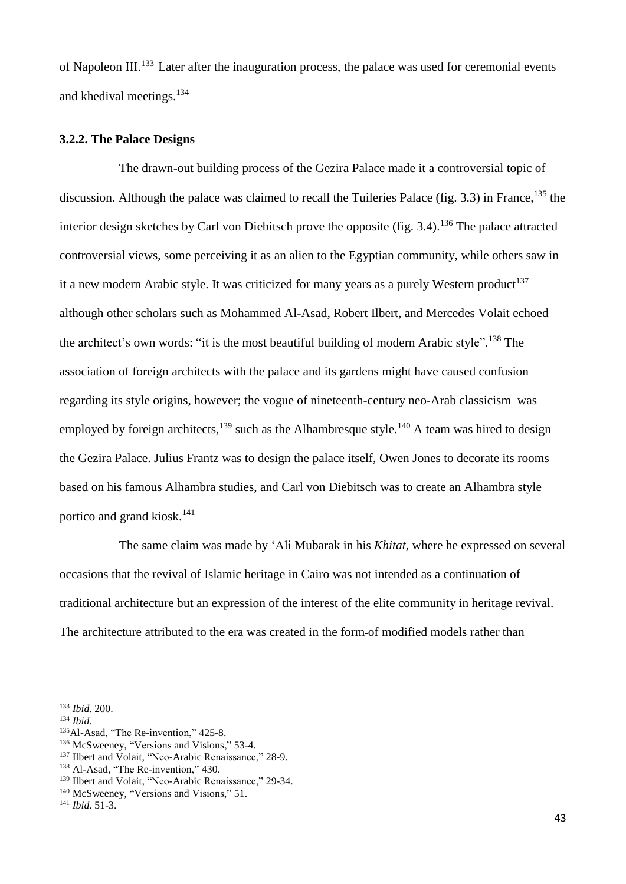of Napoleon III.<sup>133</sup> Later after the inauguration process, the palace was used for ceremonial events and khedival meetings.<sup>134</sup>

#### **3.2.2. The Palace Designs**

The drawn-out building process of the Gezira Palace made it a controversial topic of discussion. Although the palace was claimed to recall the Tuileries Palace (fig. 3.3) in France,  $^{135}$  the interior design sketches by Carl von Diebitsch prove the opposite (fig. 3.4).<sup>136</sup> The palace attracted controversial views, some perceiving it as an alien to the Egyptian community, while others saw in it a new modern Arabic style. It was criticized for many years as a purely Western product<sup>137</sup> although other scholars such as Mohammed Al-Asad, Robert Ilbert, and Mercedes Volait echoed the architect's own words: "it is the most beautiful building of modern Arabic style".<sup>138</sup> The association of foreign architects with the palace and its gardens might have caused confusion regarding its style origins, however; the vogue of nineteenth-century neo-Arab classicism was employed by foreign architects,<sup>139</sup> such as the Alhambresque style.<sup>140</sup> A team was hired to design the Gezira Palace. Julius Frantz was to design the palace itself, Owen Jones to decorate its rooms based on his famous Alhambra studies, and Carl von Diebitsch was to create an Alhambra style portico and grand kiosk.<sup>141</sup>

The same claim was made by 'Ali Mubarak in his *Khitat*, where he expressed on several occasions that the revival of Islamic heritage in Cairo was not intended as a continuation of traditional architecture but an expression of the interest of the elite community in heritage revival. The architecture attributed to the era was created in the form of modified models rather than

 $\overline{a}$ 

<sup>133</sup> *Ibid*. 200.

<sup>134</sup> *Ibid.*

<sup>&</sup>lt;sup>135</sup>Al-Asad, "The Re-invention," 425-8.

<sup>136</sup> McSweeney, "Versions and Visions," 53-4.

<sup>&</sup>lt;sup>137</sup> Ilbert and Volait, "Neo-Arabic Renaissance," 28-9.

<sup>&</sup>lt;sup>138</sup> Al-Asad, "The Re-invention," 430.

<sup>139</sup> Ilbert and Volait, "Neo-Arabic Renaissance," 29-34.

<sup>&</sup>lt;sup>140</sup> McSweeney, "Versions and Visions," 51.

<sup>141</sup> *Ibid*. 51-3.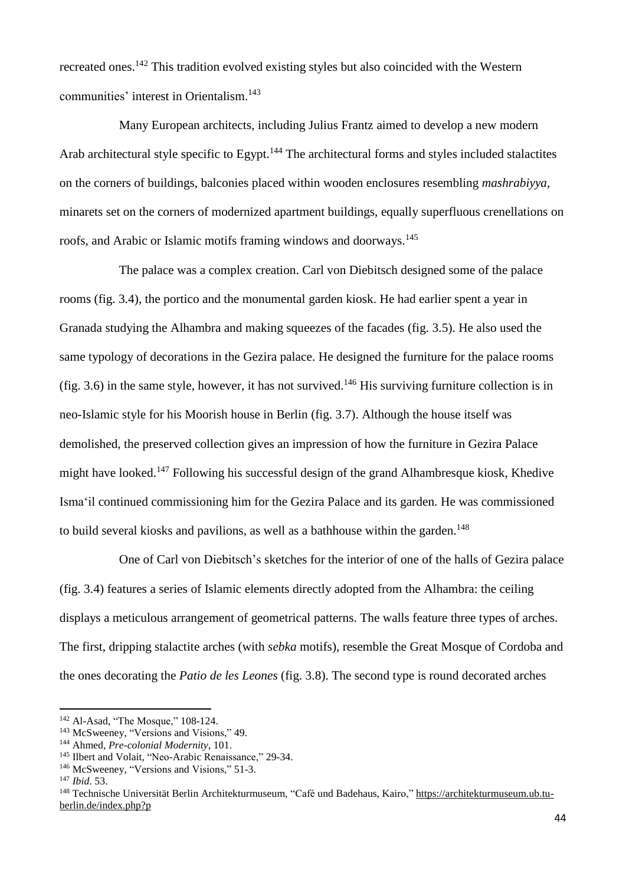recreated ones.<sup>142</sup> This tradition evolved existing styles but also coincided with the Western communities' interest in Orientalism. 143

Many European architects, including Julius Frantz aimed to develop a new modern Arab architectural style specific to Egypt.<sup>144</sup> The architectural forms and styles included stalactites on the corners of buildings, balconies placed within wooden enclosures resembling *mashrabiyya,* minarets set on the corners of modernized apartment buildings, equally superfluous crenellations on roofs, and Arabic or Islamic motifs framing windows and doorways.<sup>145</sup>

The palace was a complex creation. Carl von Diebitsch designed some of the palace rooms (fig. 3.4), the portico and the monumental garden kiosk. He had earlier spent a year in Granada studying the Alhambra and making squeezes of the facades (fig. 3.5). He also used the same typology of decorations in the Gezira palace. He designed the furniture for the palace rooms (fig. 3.6) in the same style, however, it has not survived.<sup>146</sup> His surviving furniture collection is in neo-Islamic style for his Moorish house in Berlin (fig. 3.7). Although the house itself was demolished, the preserved collection gives an impression of how the furniture in Gezira Palace might have looked.<sup>147</sup> Following his successful design of the grand Alhambresque kiosk, Khedive Isma'il continued commissioning him for the Gezira Palace and its garden. He was commissioned to build several kiosks and pavilions, as well as a bathhouse within the garden.<sup>148</sup>

One of Carl von Diebitsch's sketches for the interior of one of the halls of Gezira palace (fig. 3.4) features a series of Islamic elements directly adopted from the Alhambra: the ceiling displays a meticulous arrangement of geometrical patterns. The walls feature three types of arches. The first, dripping stalactite arches (with *sebka* motifs), resemble the Great Mosque of Cordoba and the ones decorating the *Patio de les Leones* (fig. 3.8). The second type is round decorated arches

1

<sup>&</sup>lt;sup>142</sup> Al-Asad, "The Mosque," 108-124.

<sup>&</sup>lt;sup>143</sup> McSweeney, "Versions and Visions," 49.

<sup>144</sup> Ahmed, *Pre-colonial Modernity*, 101.

<sup>&</sup>lt;sup>145</sup> Ilbert and Volait, "Neo-Arabic Renaissance," 29-34.

<sup>146</sup> McSweeney, "Versions and Visions," 51-3.

<sup>147</sup> *Ibid*. 53.

<sup>148</sup> Technische Universität Berlin Architekturmuseum, "Café und Badehaus, Kairo," [https://architekturmuseum.ub.tu](https://architekturmuseum.ub.tu-berlin.de/index.php?p)[berlin.de/index.php?p](https://architekturmuseum.ub.tu-berlin.de/index.php?p)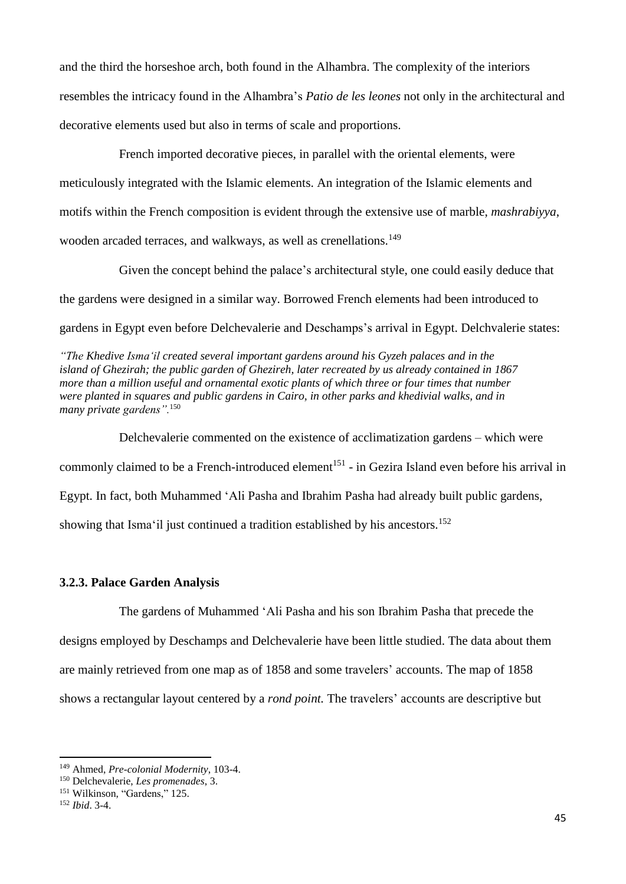and the third the horseshoe arch, both found in the Alhambra. The complexity of the interiors resembles the intricacy found in the Alhambra's *Patio de les leones* not only in the architectural and decorative elements used but also in terms of scale and proportions.

French imported decorative pieces, in parallel with the oriental elements, were meticulously integrated with the Islamic elements. An integration of the Islamic elements and motifs within the French composition is evident through the extensive use of marble, *mashrabiyya*, wooden arcaded terraces, and walkways, as well as crenellations.<sup>149</sup>

Given the concept behind the palace's architectural style, one could easily deduce that the gardens were designed in a similar way. Borrowed French elements had been introduced to gardens in Egypt even before Delchevalerie and Deschamps's arrival in Egypt. Delchvalerie states:

*"The Khedive Isma'il created several important gardens around his Gyzeh palaces and in the island of Ghezirah; the public garden of Ghezireh, later recreated by us already contained in 1867 more than a million useful and ornamental exotic plants of which three or four times that number were planted in squares and public gardens in Cairo, in other parks and khedivial walks, and in many private gardens".*<sup>150</sup>

Delchevalerie commented on the existence of acclimatization gardens – which were commonly claimed to be a French-introduced element<sup>151</sup> - in Gezira Island even before his arrival in Egypt. In fact, both Muhammed 'Ali Pasha and Ibrahim Pasha had already built public gardens, showing that Isma'il just continued a tradition established by his ancestors.<sup>152</sup>

## **3.2.3. Palace Garden Analysis**

The gardens of Muhammed 'Ali Pasha and his son Ibrahim Pasha that precede the designs employed by Deschamps and Delchevalerie have been little studied. The data about them are mainly retrieved from one map as of 1858 and some travelers' accounts. The map of 1858 shows a rectangular layout centered by a *rond point.* The travelers' accounts are descriptive but

<sup>149</sup> Ahmed, *Pre-colonial Modernity*, 103-4.

<sup>150</sup> Delchevalerie, *Les promenades*, 3.

<sup>&</sup>lt;sup>151</sup> Wilkinson, "Gardens," 125.

<sup>152</sup> *Ibid*. 3-4.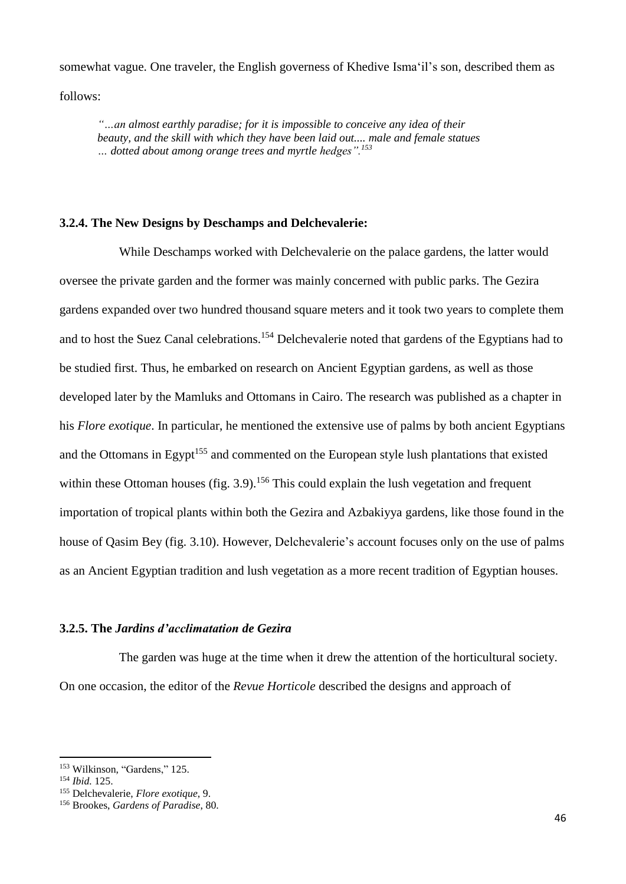somewhat vague. One traveler, the English governess of Khedive Isma'il's son, described them as follows:

*"…an almost earthly paradise; for it is impossible to conceive any idea of their beauty, and the skill with which they have been laid out.... male and female statues … dotted about among orange trees and myrtle hedges".<sup>153</sup>*

#### **3.2.4. The New Designs by Deschamps and Delchevalerie:**

While Deschamps worked with Delchevalerie on the palace gardens, the latter would oversee the private garden and the former was mainly concerned with public parks. The Gezira gardens expanded over two hundred thousand square meters and it took two years to complete them and to host the Suez Canal celebrations.<sup>154</sup> Delchevalerie noted that gardens of the Egyptians had to be studied first. Thus, he embarked on research on Ancient Egyptian gardens, as well as those developed later by the Mamluks and Ottomans in Cairo. The research was published as a chapter in his *Flore exotique*. In particular, he mentioned the extensive use of palms by both ancient Egyptians and the Ottomans in Egypt<sup>155</sup> and commented on the European style lush plantations that existed within these Ottoman houses (fig.  $3.9$ ).<sup>156</sup> This could explain the lush vegetation and frequent importation of tropical plants within both the Gezira and Azbakiyya gardens, like those found in the house of Qasim Bey (fig. 3.10). However, Delchevalerie's account focuses only on the use of palms as an Ancient Egyptian tradition and lush vegetation as a more recent tradition of Egyptian houses.

## **3.2.5. The** *Jardins d'acclimatation de Gezira*

The garden was huge at the time when it drew the attention of the horticultural society. On one occasion, the editor of the *Revue Horticole* described the designs and approach of

<sup>153</sup> Wilkinson, "Gardens," 125.

<sup>154</sup> *Ibid.* 125.

<sup>155</sup> Delchevalerie, *Flore exotique*, 9.

<sup>156</sup> Brookes, *Gardens of Paradise*, 80.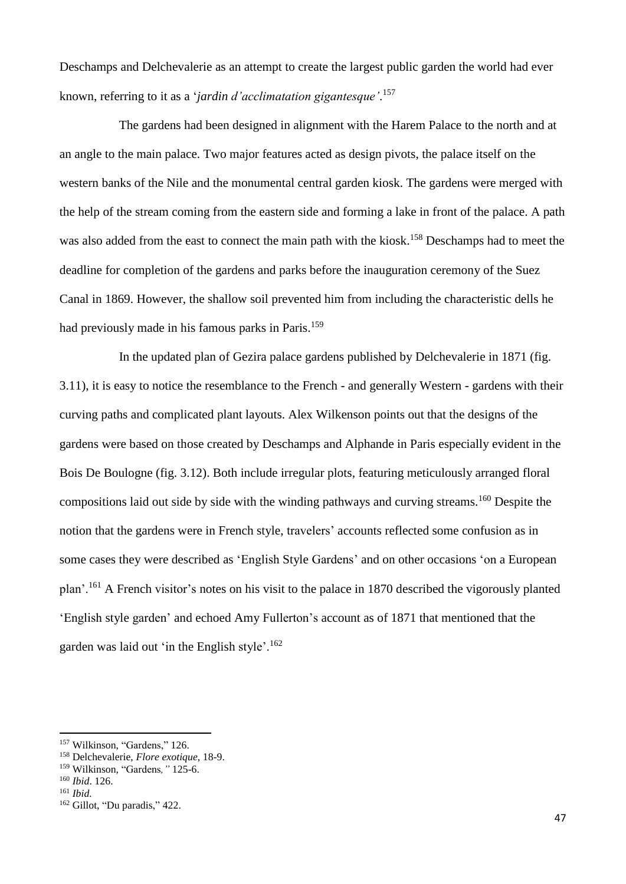Deschamps and Delchevalerie as an attempt to create the largest public garden the world had ever known, referring to it as a '*jardin d'acclimatation gigantesque'*. 157

The gardens had been designed in alignment with the Harem Palace to the north and at an angle to the main palace. Two major features acted as design pivots, the palace itself on the western banks of the Nile and the monumental central garden kiosk. The gardens were merged with the help of the stream coming from the eastern side and forming a lake in front of the palace. A path was also added from the east to connect the main path with the kiosk.<sup>158</sup> Deschamps had to meet the deadline for completion of the gardens and parks before the inauguration ceremony of the Suez Canal in 1869. However, the shallow soil prevented him from including the characteristic dells he had previously made in his famous parks in Paris.<sup>159</sup>

In the updated plan of Gezira palace gardens published by Delchevalerie in 1871 (fig. 3.11), it is easy to notice the resemblance to the French - and generally Western - gardens with their curving paths and complicated plant layouts. Alex Wilkenson points out that the designs of the gardens were based on those created by Deschamps and Alphande in Paris especially evident in the Bois De Boulogne (fig. 3.12). Both include irregular plots, featuring meticulously arranged floral compositions laid out side by side with the winding pathways and curving streams.<sup>160</sup> Despite the notion that the gardens were in French style, travelers' accounts reflected some confusion as in some cases they were described as 'English Style Gardens' and on other occasions 'on a European plan'.<sup>161</sup> A French visitor's notes on his visit to the palace in 1870 described the vigorously planted 'English style garden' and echoed Amy Fullerton's account as of 1871 that mentioned that the garden was laid out 'in the English style'.<sup>162</sup>

<sup>&</sup>lt;sup>157</sup> Wilkinson, "Gardens," 126.

<sup>158</sup> Delchevalerie, *Flore exotique*, 18-9.

<sup>159</sup> Wilkinson, "Gardens*,"* 125-6.

<sup>160</sup> *Ibid*. 126.

<sup>161</sup> *Ibid.*

<sup>162</sup> Gillot, "Du paradis," 422.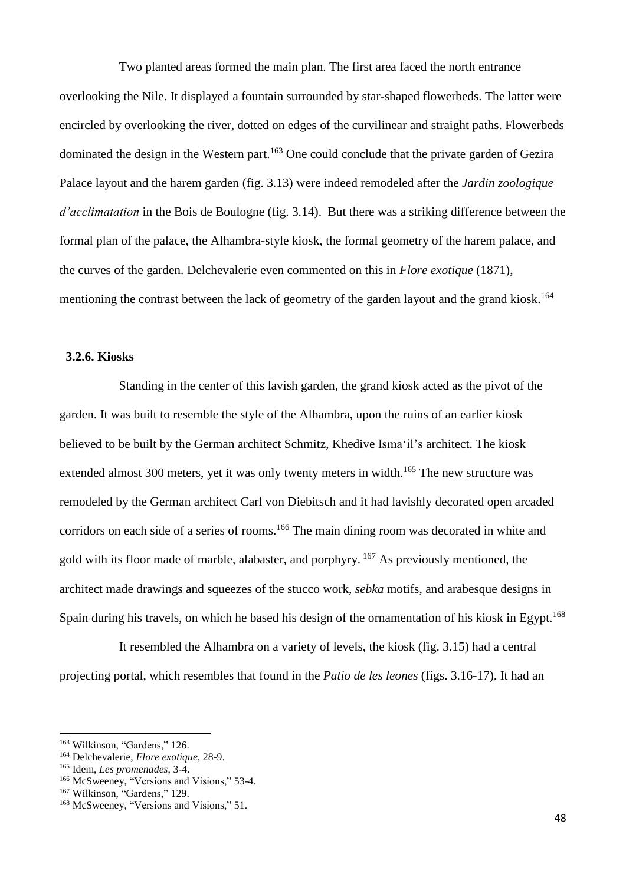Two planted areas formed the main plan. The first area faced the north entrance overlooking the Nile. It displayed a fountain surrounded by star-shaped flowerbeds. The latter were encircled by overlooking the river, dotted on edges of the curvilinear and straight paths. Flowerbeds dominated the design in the Western part.<sup>163</sup> One could conclude that the private garden of Gezira Palace layout and the harem garden (fig. 3.13) were indeed remodeled after the *Jardin zoologique d'acclimatation* in the Bois de Boulogne (fig. 3.14). But there was a striking difference between the formal plan of the palace, the Alhambra-style kiosk, the formal geometry of the harem palace, and the curves of the garden. Delchevalerie even commented on this in *Flore exotique* (1871), mentioning the contrast between the lack of geometry of the garden layout and the grand kiosk.<sup>164</sup>

#### **3.2.6. Kiosks**

Standing in the center of this lavish garden, the grand kiosk acted as the pivot of the garden. It was built to resemble the style of the Alhambra, upon the ruins of an earlier kiosk believed to be built by the German architect Schmitz, Khedive Isma'il's architect. The kiosk extended almost 300 meters, yet it was only twenty meters in width.<sup>165</sup> The new structure was remodeled by the German architect Carl von Diebitsch and it had lavishly decorated open arcaded corridors on each side of a series of rooms.<sup>166</sup> The main dining room was decorated in white and gold with its floor made of marble, alabaster, and porphyry. <sup>167</sup> As previously mentioned, the architect made drawings and squeezes of the stucco work, *sebka* motifs, and arabesque designs in Spain during his travels, on which he based his design of the ornamentation of his kiosk in Egypt.<sup>168</sup>

It resembled the Alhambra on a variety of levels, the kiosk (fig. 3.15) had a central projecting portal, which resembles that found in the *Patio de les leones* (figs. 3.16-17). It had an

<sup>&</sup>lt;sup>163</sup> Wilkinson, "Gardens," 126.

<sup>164</sup> Delchevalerie, *Flore exotique*, 28-9.

<sup>165</sup> Idem, *Les promenades*, 3-4.

<sup>166</sup> McSweeney, "Versions and Visions," 53-4.

<sup>&</sup>lt;sup>167</sup> Wilkinson, "Gardens," 129.

<sup>168</sup> McSweeney, "Versions and Visions," 51.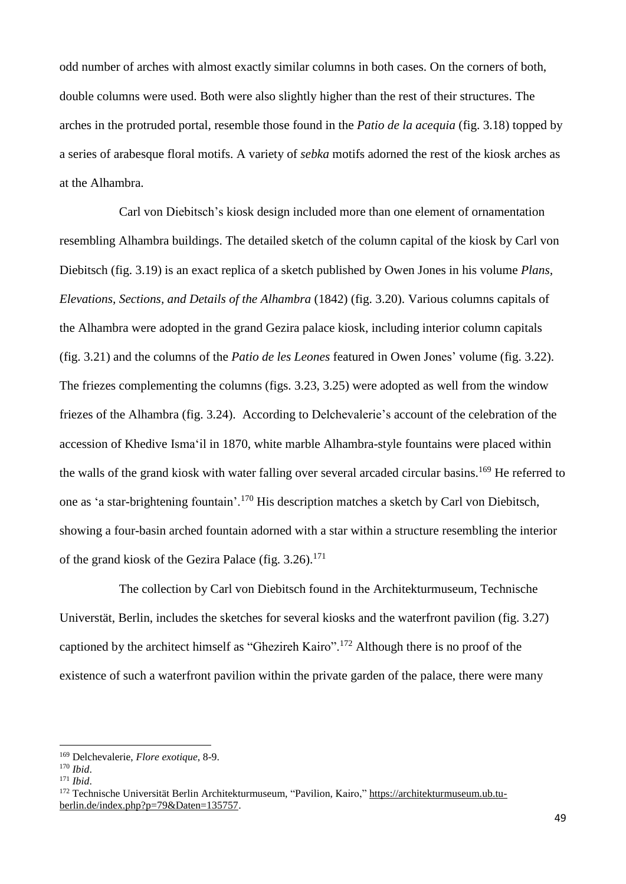odd number of arches with almost exactly similar columns in both cases. On the corners of both, double columns were used. Both were also slightly higher than the rest of their structures. The arches in the protruded portal, resemble those found in the *Patio de la acequia* (fig. 3.18) topped by a series of arabesque floral motifs. A variety of *sebka* motifs adorned the rest of the kiosk arches as at the Alhambra.

Carl von Diebitsch's kiosk design included more than one element of ornamentation resembling Alhambra buildings. The detailed sketch of the column capital of the kiosk by Carl von Diebitsch (fig. 3.19) is an exact replica of a sketch published by Owen Jones in his volume *Plans, Elevations, Sections, and Details of the Alhambra* (1842) (fig. 3.20). Various columns capitals of the Alhambra were adopted in the grand Gezira palace kiosk, including interior column capitals (fig. 3.21) and the columns of the *Patio de les Leones* featured in Owen Jones' volume (fig. 3.22). The friezes complementing the columns (figs. 3.23, 3.25) were adopted as well from the window friezes of the Alhambra (fig. 3.24). According to Delchevalerie's account of the celebration of the accession of Khedive Isma'il in 1870, white marble Alhambra-style fountains were placed within the walls of the grand kiosk with water falling over several arcaded circular basins.<sup>169</sup> He referred to one as 'a star-brightening fountain'.<sup>170</sup> His description matches a sketch by Carl von Diebitsch, showing a four-basin arched fountain adorned with a star within a structure resembling the interior of the grand kiosk of the Gezira Palace (fig.  $3.26$ ).<sup>171</sup>

The collection by Carl von Diebitsch found in the Architekturmuseum, Technische Universtät, Berlin, includes the sketches for several kiosks and the waterfront pavilion (fig. 3.27) captioned by the architect himself as "Ghezireh Kairo".<sup>172</sup> Although there is no proof of the existence of such a waterfront pavilion within the private garden of the palace, there were many

<sup>169</sup> Delchevalerie, *Flore exotique*, 8-9.

<sup>170</sup> *Ibid*.

<sup>171</sup> *Ibid*.

<sup>172</sup> Technische Universität Berlin Architekturmuseum, "Pavilion, Kairo," [https://architekturmuseum.ub.tu](https://architekturmuseum.ub.tu-berlin.de/index.php?p=79&Daten=135757)[berlin.de/index.php?p=79&Daten=135757.](https://architekturmuseum.ub.tu-berlin.de/index.php?p=79&Daten=135757)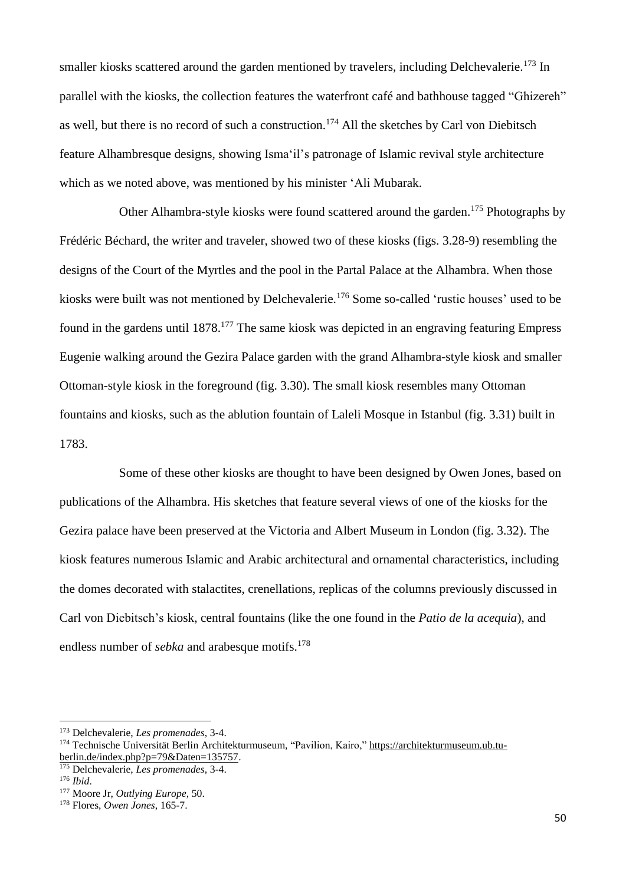smaller kiosks scattered around the garden mentioned by travelers, including Delchevalerie.<sup>173</sup> In parallel with the kiosks, the collection features the waterfront café and bathhouse tagged "Ghizereh" as well, but there is no record of such a construction.<sup>174</sup> All the sketches by Carl von Diebitsch feature Alhambresque designs, showing Isma'il's patronage of Islamic revival style architecture which as we noted above, was mentioned by his minister 'Ali Mubarak.

Other Alhambra-style kiosks were found scattered around the garden.<sup>175</sup> Photographs by Frédéric Béchard, the writer and traveler, showed two of these kiosks (figs. 3.28-9) resembling the designs of the Court of the Myrtles and the pool in the Partal Palace at the Alhambra. When those kiosks were built was not mentioned by Delchevalerie.<sup>176</sup> Some so-called 'rustic houses' used to be found in the gardens until 1878.<sup>177</sup> The same kiosk was depicted in an engraving featuring Empress Eugenie walking around the Gezira Palace garden with the grand Alhambra-style kiosk and smaller Ottoman-style kiosk in the foreground (fig. 3.30). The small kiosk resembles many Ottoman fountains and kiosks, such as the ablution fountain of Laleli Mosque in Istanbul (fig. 3.31) built in 1783.

Some of these other kiosks are thought to have been designed by Owen Jones, based on publications of the Alhambra. His sketches that feature several views of one of the kiosks for the Gezira palace have been preserved at the Victoria and Albert Museum in London (fig. 3.32). The kiosk features numerous Islamic and Arabic architectural and ornamental characteristics, including the domes decorated with stalactites, crenellations, replicas of the columns previously discussed in Carl von Diebitsch's kiosk, central fountains (like the one found in the *Patio de la acequia*), and endless number of *sebka* and arabesque motifs.<sup>178</sup>

<sup>173</sup> Delchevalerie, *Les promenades*, 3-4.

<sup>174</sup> Technische Universität Berlin Architekturmuseum, "Pavilion, Kairo," [https://architekturmuseum.ub.tu](https://architekturmuseum.ub.tu-berlin.de/index.php?p=79&Daten=135757)[berlin.de/index.php?p=79&Daten=135757.](https://architekturmuseum.ub.tu-berlin.de/index.php?p=79&Daten=135757)

<sup>175</sup> Delchevalerie, *Les promenades*, 3-4.

<sup>176</sup> *Ibid*.

<sup>177</sup> Moore Jr, *Outlying Europe*, 50.

<sup>178</sup> Flores, *Owen Jones*, 165-7.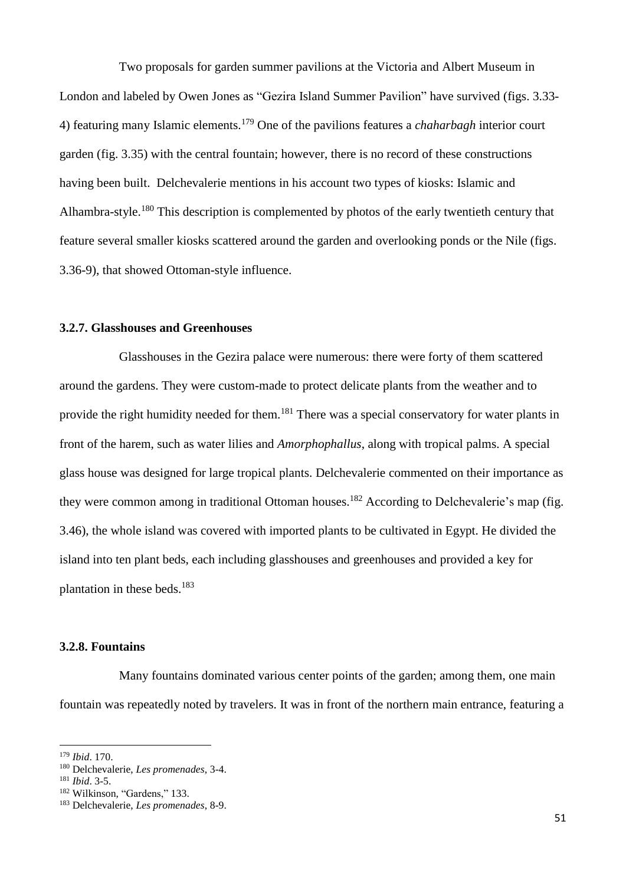Two proposals for garden summer pavilions at the Victoria and Albert Museum in London and labeled by Owen Jones as "Gezira Island Summer Pavilion" have survived (figs. 3.33- 4) featuring many Islamic elements.<sup>179</sup> One of the pavilions features a *chaharbagh* interior court garden (fig. 3.35) with the central fountain; however, there is no record of these constructions having been built. Delchevalerie mentions in his account two types of kiosks: Islamic and Alhambra-style.<sup>180</sup> This description is complemented by photos of the early twentieth century that feature several smaller kiosks scattered around the garden and overlooking ponds or the Nile (figs. 3.36-9), that showed Ottoman-style influence.

### **3.2.7. Glasshouses and Greenhouses**

Glasshouses in the Gezira palace were numerous: there were forty of them scattered around the gardens. They were custom-made to protect delicate plants from the weather and to provide the right humidity needed for them.<sup>181</sup> There was a special conservatory for water plants in front of the harem, such as water lilies and *Amorphophallus*, along with tropical palms. A special glass house was designed for large tropical plants. Delchevalerie commented on their importance as they were common among in traditional Ottoman houses.<sup>182</sup> According to Delchevalerie's map (fig. 3.46), the whole island was covered with imported plants to be cultivated in Egypt. He divided the island into ten plant beds, each including glasshouses and greenhouses and provided a key for plantation in these beds.<sup>183</sup>

#### **3.2.8. Fountains**

Many fountains dominated various center points of the garden; among them, one main fountain was repeatedly noted by travelers. It was in front of the northern main entrance, featuring a

<sup>179</sup> *Ibid*. 170.

<sup>180</sup> Delchevalerie, *Les promenades*, 3-4.

<sup>181</sup> *Ibid*. 3-5.

<sup>182</sup> Wilkinson, "Gardens," 133.

<sup>183</sup> Delchevalerie, *Les promenades*, 8-9.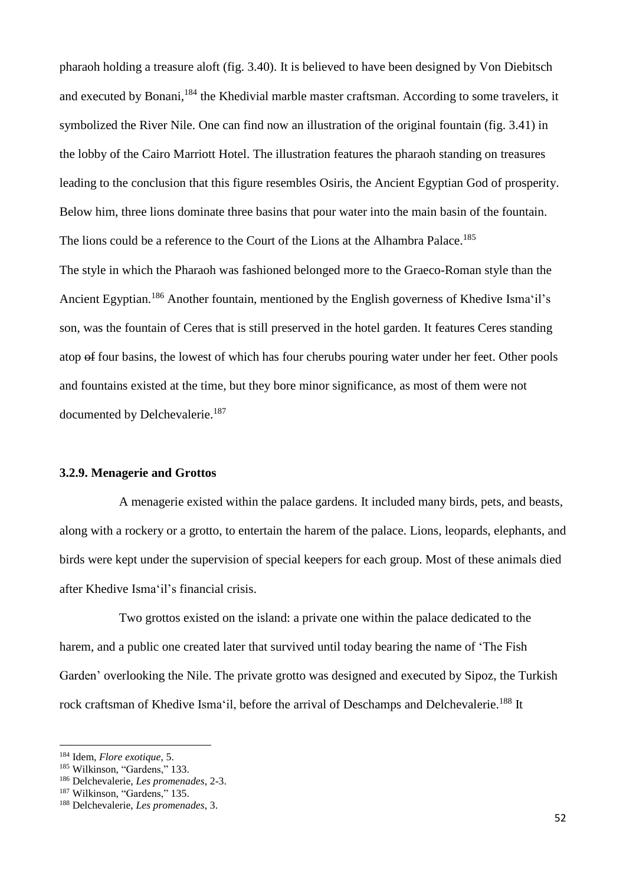pharaoh holding a treasure aloft (fig. 3.40). It is believed to have been designed by Von Diebitsch and executed by Bonani, <sup>184</sup> the Khedivial marble master craftsman. According to some travelers, it symbolized the River Nile. One can find now an illustration of the original fountain (fig. 3.41) in the lobby of the Cairo Marriott Hotel. The illustration features the pharaoh standing on treasures leading to the conclusion that this figure resembles Osiris, the Ancient Egyptian God of prosperity. Below him, three lions dominate three basins that pour water into the main basin of the fountain. The lions could be a reference to the Court of the Lions at the Alhambra Palace.<sup>185</sup>

The style in which the Pharaoh was fashioned belonged more to the Graeco-Roman style than the Ancient Egyptian.<sup>186</sup> Another fountain, mentioned by the English governess of Khedive Isma'il's son, was the fountain of Ceres that is still preserved in the hotel garden. It features Ceres standing atop of four basins, the lowest of which has four cherubs pouring water under her feet. Other pools and fountains existed at the time, but they bore minor significance, as most of them were not documented by Delchevalerie.<sup>187</sup>

### **3.2.9. Menagerie and Grottos**

A menagerie existed within the palace gardens. It included many birds, pets, and beasts, along with a rockery or a grotto, to entertain the harem of the palace. Lions, leopards, elephants, and birds were kept under the supervision of special keepers for each group. Most of these animals died after Khedive Isma'il's financial crisis.

Two grottos existed on the island: a private one within the palace dedicated to the harem, and a public one created later that survived until today bearing the name of 'The Fish Garden' overlooking the Nile. The private grotto was designed and executed by Sipoz, the Turkish rock craftsman of Khedive Isma'il, before the arrival of Deschamps and Delchevalerie.<sup>188</sup> It

<sup>184</sup> Idem, *Flore exotique*, 5.

<sup>&</sup>lt;sup>185</sup> Wilkinson, "Gardens," 133.

<sup>186</sup> Delchevalerie, *Les promenades*, 2-3.

<sup>&</sup>lt;sup>187</sup> Wilkinson, "Gardens," 135.

<sup>188</sup> Delchevalerie, *Les promenades*, 3.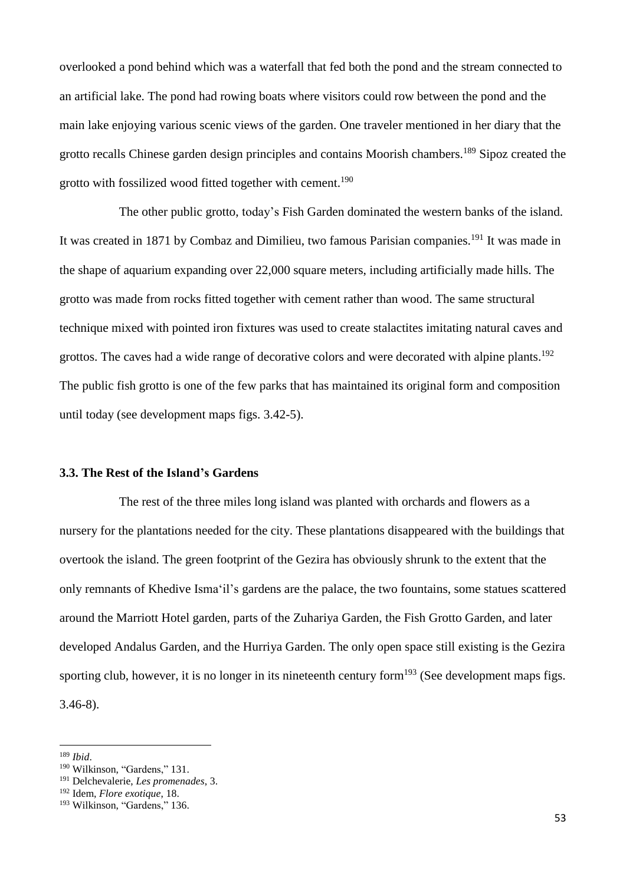overlooked a pond behind which was a waterfall that fed both the pond and the stream connected to an artificial lake. The pond had rowing boats where visitors could row between the pond and the main lake enjoying various scenic views of the garden. One traveler mentioned in her diary that the grotto recalls Chinese garden design principles and contains Moorish chambers.<sup>189</sup> Sipoz created the grotto with fossilized wood fitted together with cement.<sup>190</sup>

The other public grotto, today's Fish Garden dominated the western banks of the island. It was created in 1871 by Combaz and Dimilieu, two famous Parisian companies.<sup>191</sup> It was made in the shape of aquarium expanding over 22,000 square meters, including artificially made hills. The grotto was made from rocks fitted together with cement rather than wood. The same structural technique mixed with pointed iron fixtures was used to create stalactites imitating natural caves and grottos. The caves had a wide range of decorative colors and were decorated with alpine plants.<sup>192</sup> The public fish grotto is one of the few parks that has maintained its original form and composition until today (see development maps figs. 3.42-5).

### **3.3. The Rest of the Island's Gardens**

The rest of the three miles long island was planted with orchards and flowers as a nursery for the plantations needed for the city. These plantations disappeared with the buildings that overtook the island. The green footprint of the Gezira has obviously shrunk to the extent that the only remnants of Khedive Isma'il's gardens are the palace, the two fountains, some statues scattered around the Marriott Hotel garden, parts of the Zuhariya Garden, the Fish Grotto Garden, and later developed Andalus Garden, and the Hurriya Garden. The only open space still existing is the Gezira sporting club, however, it is no longer in its nineteenth century form $193$  (See development maps figs. 3.46-8).

<sup>189</sup> *Ibid*.

<sup>&</sup>lt;sup>190</sup> Wilkinson, "Gardens," 131.

<sup>191</sup> Delchevalerie, *Les promenades*, 3.

<sup>192</sup> Idem, *Flore exotique*, 18.

<sup>&</sup>lt;sup>193</sup> Wilkinson, "Gardens," 136.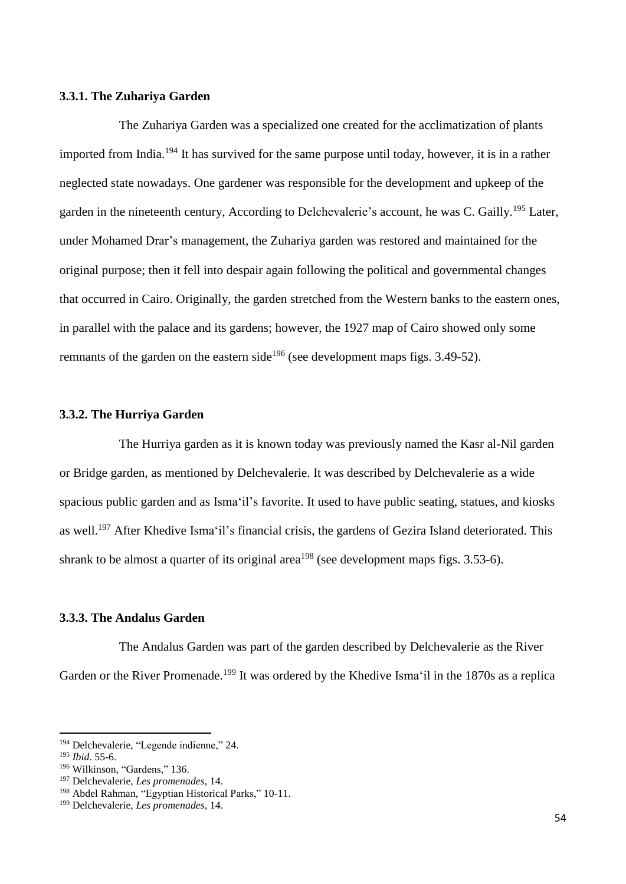#### **3.3.1. The Zuhariya Garden**

The Zuhariya Garden was a specialized one created for the acclimatization of plants imported from India.<sup>194</sup> It has survived for the same purpose until today, however, it is in a rather neglected state nowadays. One gardener was responsible for the development and upkeep of the garden in the nineteenth century, According to Delchevalerie's account, he was C. Gailly.<sup>195</sup> Later, under Mohamed Drar's management, the Zuhariya garden was restored and maintained for the original purpose; then it fell into despair again following the political and governmental changes that occurred in Cairo. Originally, the garden stretched from the Western banks to the eastern ones, in parallel with the palace and its gardens; however, the 1927 map of Cairo showed only some remnants of the garden on the eastern side<sup>196</sup> (see development maps figs.  $3.49-52$ ).

#### **3.3.2. The Hurriya Garden**

The Hurriya garden as it is known today was previously named the Kasr al-Nil garden or Bridge garden, as mentioned by Delchevalerie. It was described by Delchevalerie as a wide spacious public garden and as Isma'il's favorite. It used to have public seating, statues, and kiosks as well.<sup>197</sup> After Khedive Isma'il's financial crisis, the gardens of Gezira Island deteriorated. This shrank to be almost a quarter of its original area<sup>198</sup> (see development maps figs.  $3.53-6$ ).

### **3.3.3. The Andalus Garden**

The Andalus Garden was part of the garden described by Delchevalerie as the River Garden or the River Promenade.<sup>199</sup> It was ordered by the Khedive Isma'il in the 1870s as a replica

<sup>194</sup> Delchevalerie, "Legende indienne," 24.

<sup>195</sup> *Ibid*. 55-6.

<sup>&</sup>lt;sup>196</sup> Wilkinson, "Gardens," 136.

<sup>197</sup> Delchevalerie, *Les promenades*, 14.

<sup>&</sup>lt;sup>198</sup> Abdel Rahman, "Egyptian Historical Parks," 10-11.

<sup>199</sup> Delchevalerie, *Les promenades*, 14.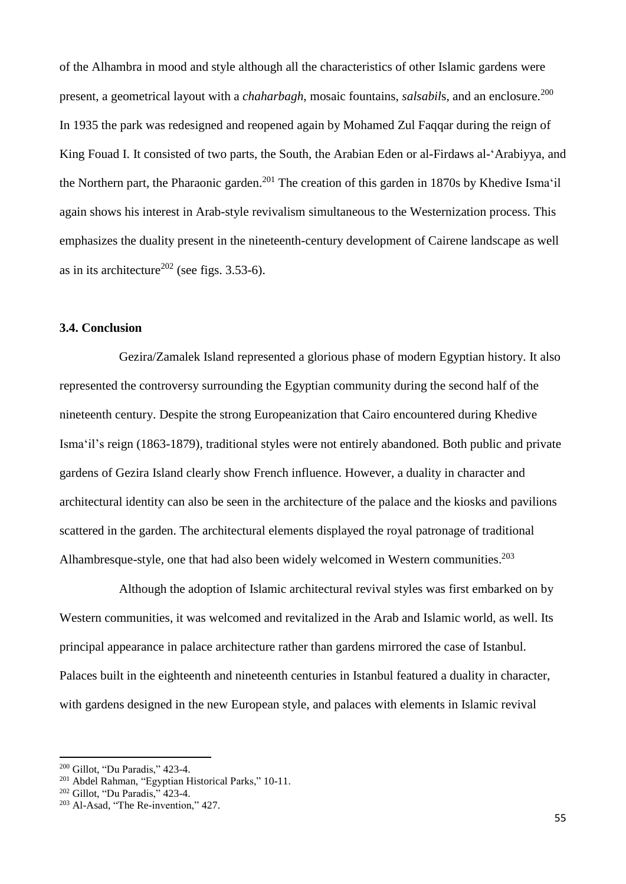of the Alhambra in mood and style although all the characteristics of other Islamic gardens were present, a geometrical layout with a *chaharbagh*, mosaic fountains, *salsabils*, and an enclosure.<sup>200</sup> In 1935 the park was redesigned and reopened again by Mohamed Zul Faqqar during the reign of King Fouad I. It consisted of two parts, the South, the Arabian Eden or al-Firdaws al-'Arabiyya, and the Northern part, the Pharaonic garden.<sup>201</sup> The creation of this garden in 1870s by Khedive Isma'il again shows his interest in Arab-style revivalism simultaneous to the Westernization process. This emphasizes the duality present in the nineteenth-century development of Cairene landscape as well as in its architecture<sup>202</sup> (see figs.  $3.53-6$ ).

## **3.4. Conclusion**

Gezira/Zamalek Island represented a glorious phase of modern Egyptian history. It also represented the controversy surrounding the Egyptian community during the second half of the nineteenth century. Despite the strong Europeanization that Cairo encountered during Khedive Isma'il's reign (1863-1879), traditional styles were not entirely abandoned. Both public and private gardens of Gezira Island clearly show French influence. However, a duality in character and architectural identity can also be seen in the architecture of the palace and the kiosks and pavilions scattered in the garden. The architectural elements displayed the royal patronage of traditional Alhambresque-style, one that had also been widely welcomed in Western communities.<sup>203</sup>

Although the adoption of Islamic architectural revival styles was first embarked on by Western communities, it was welcomed and revitalized in the Arab and Islamic world, as well. Its principal appearance in palace architecture rather than gardens mirrored the case of Istanbul. Palaces built in the eighteenth and nineteenth centuries in Istanbul featured a duality in character, with gardens designed in the new European style, and palaces with elements in Islamic revival

<sup>200</sup> Gillot, "Du Paradis," 423-4.

<sup>201</sup> Abdel Rahman, "Egyptian Historical Parks," 10-11.

<sup>202</sup> Gillot, "Du Paradis," 423-4.

<sup>203</sup> Al-Asad, "The Re-invention," 427.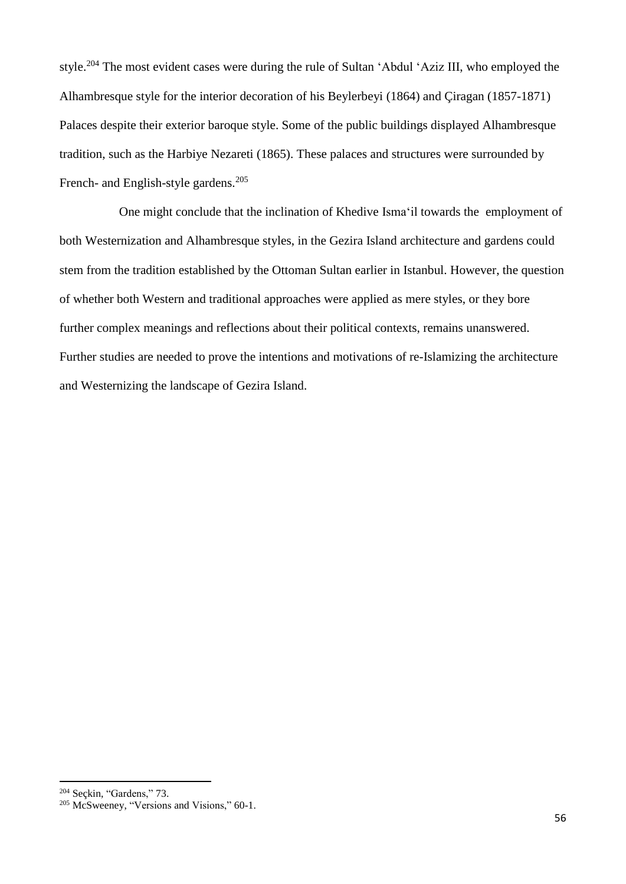style.<sup>204</sup> The most evident cases were during the rule of Sultan 'Abdul 'Aziz III, who employed the Alhambresque style for the interior decoration of his Beylerbeyi (1864) and Çiragan (1857-1871) Palaces despite their exterior baroque style. Some of the public buildings displayed Alhambresque tradition, such as the Harbiye Nezareti (1865). These palaces and structures were surrounded by French- and English-style gardens.<sup>205</sup>

One might conclude that the inclination of Khedive Isma'il towards the employment of both Westernization and Alhambresque styles, in the Gezira Island architecture and gardens could stem from the tradition established by the Ottoman Sultan earlier in Istanbul. However, the question of whether both Western and traditional approaches were applied as mere styles, or they bore further complex meanings and reflections about their political contexts, remains unanswered. Further studies are needed to prove the intentions and motivations of re-Islamizing the architecture and Westernizing the landscape of Gezira Island.

1

<sup>204</sup> Seçkin, "Gardens," 73.

<sup>&</sup>lt;sup>205</sup> McSweeney, "Versions and Visions," 60-1.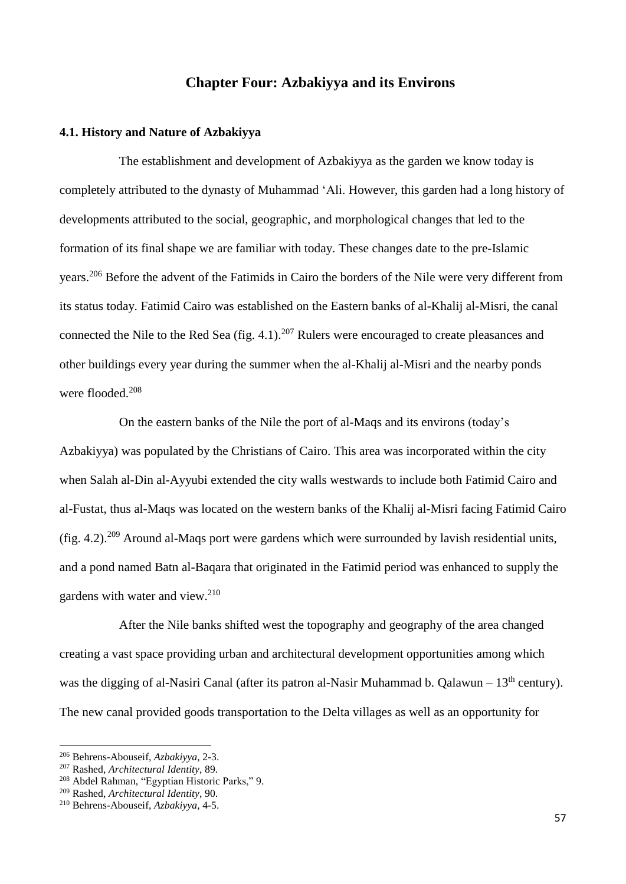## **Chapter Four: Azbakiyya and its Environs**

### **4.1. History and Nature of Azbakiyya**

The establishment and development of Azbakiyya as the garden we know today is completely attributed to the dynasty of Muhammad 'Ali. However, this garden had a long history of developments attributed to the social, geographic, and morphological changes that led to the formation of its final shape we are familiar with today. These changes date to the pre-Islamic years.<sup>206</sup> Before the advent of the Fatimids in Cairo the borders of the Nile were very different from its status today. Fatimid Cairo was established on the Eastern banks of al-Khalij al-Misri, the canal connected the Nile to the Red Sea (fig. 4.1).<sup>207</sup> Rulers were encouraged to create pleasances and other buildings every year during the summer when the al-Khalij al-Misri and the nearby ponds were flooded.<sup>208</sup>

On the eastern banks of the Nile the port of al-Maqs and its environs (today's Azbakiyya) was populated by the Christians of Cairo. This area was incorporated within the city when Salah al-Din al-Ayyubi extended the city walls westwards to include both Fatimid Cairo and al-Fustat, thus al-Maqs was located on the western banks of the Khalij al-Misri facing Fatimid Cairo (fig. 4.2).<sup>209</sup> Around al-Maqs port were gardens which were surrounded by lavish residential units, and a pond named Batn al-Baqara that originated in the Fatimid period was enhanced to supply the gardens with water and view. 210

After the Nile banks shifted west the topography and geography of the area changed creating a vast space providing urban and architectural development opportunities among which was the digging of al-Nasiri Canal (after its patron al-Nasir Muhammad b. Oalawun – 13<sup>th</sup> century). The new canal provided goods transportation to the Delta villages as well as an opportunity for

<sup>206</sup> Behrens-Abouseif, *Azbakiyya*, 2-3.

<sup>207</sup> Rashed, *Architectural Identity*, 89.

<sup>208</sup> Abdel Rahman, "Egyptian Historic Parks," 9.

<sup>209</sup> Rashed, *Architectural Identity*, 90.

<sup>210</sup> Behrens-Abouseif, *Azbakiyya*, 4-5.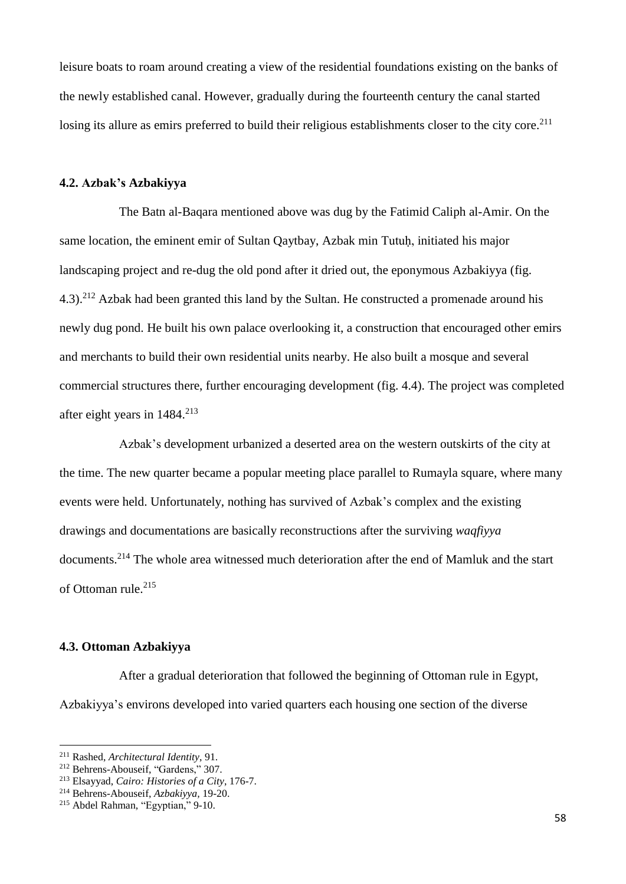leisure boats to roam around creating a view of the residential foundations existing on the banks of the newly established canal. However, gradually during the fourteenth century the canal started losing its allure as emirs preferred to build their religious establishments closer to the city core.<sup>211</sup>

### **4.2. Azbak's Azbakiyya**

The Batn al-Baqara mentioned above was dug by the Fatimid Caliph al-Amir. On the same location, the eminent emir of Sultan Qaytbay, Azbak min Tutuḥ, initiated his major landscaping project and re-dug the old pond after it dried out, the eponymous Azbakiyya (fig. 4.3).<sup>212</sup> Azbak had been granted this land by the Sultan. He constructed a promenade around his newly dug pond. He built his own palace overlooking it, a construction that encouraged other emirs and merchants to build their own residential units nearby. He also built a mosque and several commercial structures there, further encouraging development (fig. 4.4). The project was completed after eight years in  $1484.<sup>213</sup>$ 

Azbak's development urbanized a deserted area on the western outskirts of the city at the time. The new quarter became a popular meeting place parallel to Rumayla square, where many events were held. Unfortunately, nothing has survived of Azbak's complex and the existing drawings and documentations are basically reconstructions after the surviving *waqfiyya* documents.<sup>214</sup> The whole area witnessed much deterioration after the end of Mamluk and the start of Ottoman rule.<sup>215</sup>

### **4.3. Ottoman Azbakiyya**

After a gradual deterioration that followed the beginning of Ottoman rule in Egypt, Azbakiyya's environs developed into varied quarters each housing one section of the diverse

<sup>211</sup> Rashed, *Architectural Identity*, 91.

<sup>212</sup> Behrens-Abouseif, "Gardens," 307.

<sup>213</sup> Elsayyad, *Cairo: Histories of a City*, 176-7.

<sup>214</sup> Behrens-Abouseif, *Azbakiyya,* 19-20.

<sup>215</sup> Abdel Rahman, "Egyptian," 9-10.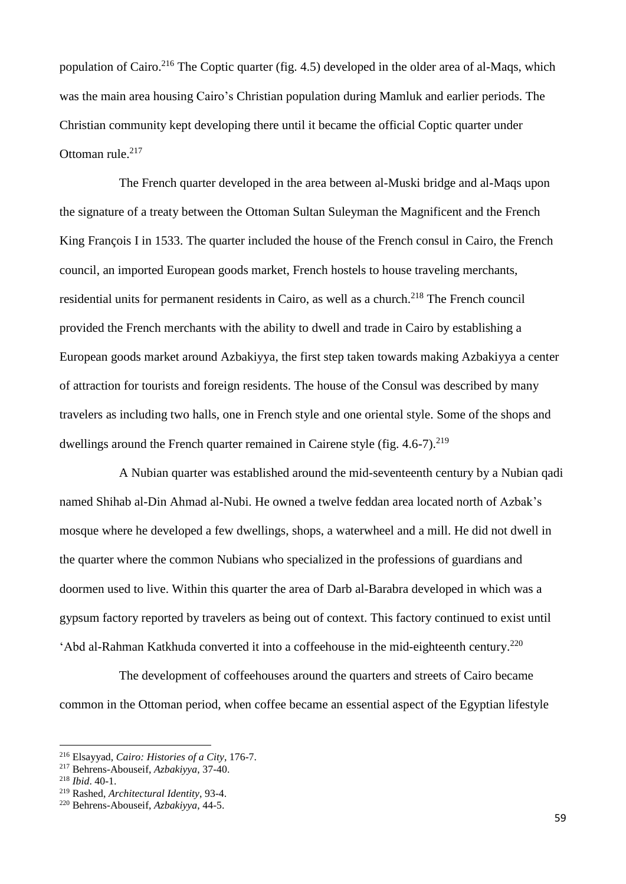population of Cairo.<sup>216</sup> The Coptic quarter (fig. 4.5) developed in the older area of al-Maqs, which was the main area housing Cairo's Christian population during Mamluk and earlier periods. The Christian community kept developing there until it became the official Coptic quarter under Ottoman rule. 217

The French quarter developed in the area between al-Muski bridge and al-Maqs upon the signature of a treaty between the Ottoman Sultan Suleyman the Magnificent and the French King François I in 1533. The quarter included the house of the French consul in Cairo, the French council, an imported European goods market, French hostels to house traveling merchants, residential units for permanent residents in Cairo, as well as a church.<sup>218</sup> The French council provided the French merchants with the ability to dwell and trade in Cairo by establishing a European goods market around Azbakiyya, the first step taken towards making Azbakiyya a center of attraction for tourists and foreign residents. The house of the Consul was described by many travelers as including two halls, one in French style and one oriental style. Some of the shops and dwellings around the French quarter remained in Cairene style (fig.  $4.6-7$ ).<sup>219</sup>

A Nubian quarter was established around the mid-seventeenth century by a Nubian qadi named Shihab al-Din Ahmad al-Nubi. He owned a twelve feddan area located north of Azbak's mosque where he developed a few dwellings, shops, a waterwheel and a mill. He did not dwell in the quarter where the common Nubians who specialized in the professions of guardians and doormen used to live. Within this quarter the area of Darb al-Barabra developed in which was a gypsum factory reported by travelers as being out of context. This factory continued to exist until 'Abd al-Rahman Katkhuda converted it into a coffeehouse in the mid-eighteenth century. 220

The development of coffeehouses around the quarters and streets of Cairo became common in the Ottoman period, when coffee became an essential aspect of the Egyptian lifestyle

<sup>216</sup> Elsayyad, *Cairo: Histories of a City*, 176-7.

<sup>217</sup> Behrens-Abouseif, *Azbakiyya*, 37-40.

<sup>218</sup> *Ibid*. 40-1.

<sup>219</sup> Rashed, *Architectural Identity*, 93-4.

<sup>220</sup> Behrens-Abouseif, *Azbakiyya*, 44-5.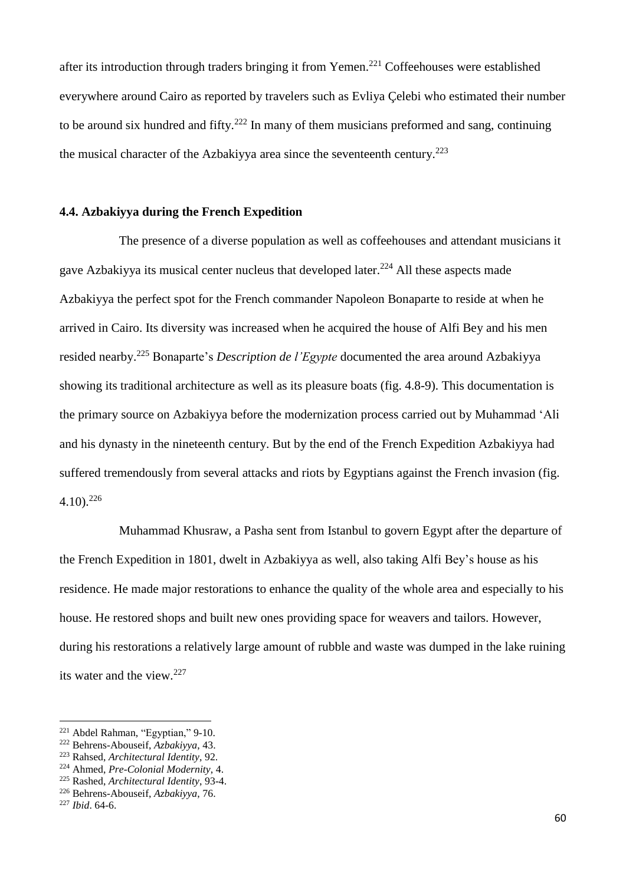after its introduction through traders bringing it from Yemen.<sup>221</sup> Coffeehouses were established everywhere around Cairo as reported by travelers such as Evliya Çelebi who estimated their number to be around six hundred and fifty.<sup>222</sup> In many of them musicians preformed and sang, continuing the musical character of the Azbakiyya area since the seventeenth century.<sup>223</sup>

### **4.4. Azbakiyya during the French Expedition**

The presence of a diverse population as well as coffeehouses and attendant musicians it gave Azbakiyya its musical center nucleus that developed later.<sup>224</sup> All these aspects made Azbakiyya the perfect spot for the French commander Napoleon Bonaparte to reside at when he arrived in Cairo. Its diversity was increased when he acquired the house of Alfi Bey and his men resided nearby. <sup>225</sup> Bonaparte's *Description de l'Egypte* documented the area around Azbakiyya showing its traditional architecture as well as its pleasure boats (fig. 4.8-9). This documentation is the primary source on Azbakiyya before the modernization process carried out by Muhammad 'Ali and his dynasty in the nineteenth century. But by the end of the French Expedition Azbakiyya had suffered tremendously from several attacks and riots by Egyptians against the French invasion (fig. 4.10). 226

Muhammad Khusraw, a Pasha sent from Istanbul to govern Egypt after the departure of the French Expedition in 1801, dwelt in Azbakiyya as well, also taking Alfi Bey's house as his residence. He made major restorations to enhance the quality of the whole area and especially to his house. He restored shops and built new ones providing space for weavers and tailors. However, during his restorations a relatively large amount of rubble and waste was dumped in the lake ruining its water and the view. $227$ 

<sup>221</sup> Abdel Rahman, "Egyptian," 9-10.

<sup>222</sup> Behrens-Abouseif, *Azbakiyya*, 43.

<sup>223</sup> Rahsed, *Architectural Identity*, 92.

<sup>224</sup> Ahmed, *Pre-Colonial Modernity*, 4.

<sup>225</sup> Rashed, *Architectural Identity*, 93-4.

<sup>226</sup> Behrens-Abouseif, *Azbakiyya*, 76.

<sup>227</sup> *Ibid*. 64-6.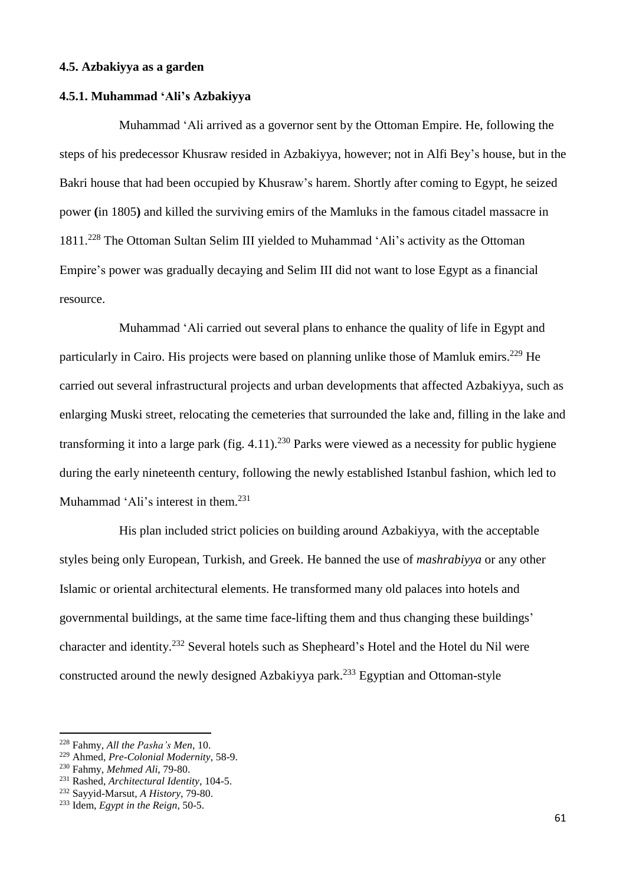### **4.5. Azbakiyya as a garden**

## **4.5.1. Muhammad 'Ali's Azbakiyya**

Muhammad 'Ali arrived as a governor sent by the Ottoman Empire. He, following the steps of his predecessor Khusraw resided in Azbakiyya, however; not in Alfi Bey's house, but in the Bakri house that had been occupied by Khusraw's harem. Shortly after coming to Egypt, he seized power **(**in 1805**)** and killed the surviving emirs of the Mamluks in the famous citadel massacre in 1811.<sup>228</sup> The Ottoman Sultan Selim III yielded to Muhammad 'Ali's activity as the Ottoman Empire's power was gradually decaying and Selim III did not want to lose Egypt as a financial resource.

Muhammad 'Ali carried out several plans to enhance the quality of life in Egypt and particularly in Cairo. His projects were based on planning unlike those of Mamluk emirs.<sup>229</sup> He carried out several infrastructural projects and urban developments that affected Azbakiyya, such as enlarging Muski street, relocating the cemeteries that surrounded the lake and, filling in the lake and transforming it into a large park (fig. 4.11).<sup>230</sup> Parks were viewed as a necessity for public hygiene during the early nineteenth century, following the newly established Istanbul fashion, which led to Muhammad 'Ali's interest in them.<sup>231</sup>

His plan included strict policies on building around Azbakiyya, with the acceptable styles being only European, Turkish, and Greek. He banned the use of *mashrabiyya* or any other Islamic or oriental architectural elements. He transformed many old palaces into hotels and governmental buildings, at the same time face-lifting them and thus changing these buildings' character and identity.<sup>232</sup> Several hotels such as Shepheard's Hotel and the Hotel du Nil were constructed around the newly designed Azbakiyya park.<sup>233</sup> Egyptian and Ottoman-style

<sup>228</sup> Fahmy, *All the Pasha's Men*, 10.

<sup>229</sup> Ahmed, *Pre-Colonial Modernity*, 58-9.

<sup>230</sup> Fahmy, *Mehmed Ali*, 79-80.

<sup>231</sup> Rashed, *Architectural Identity*, 104-5.

<sup>232</sup> Sayyid-Marsut, *A History*, 79-80.

<sup>233</sup> Idem, *Egypt in the Reign,* 50-5.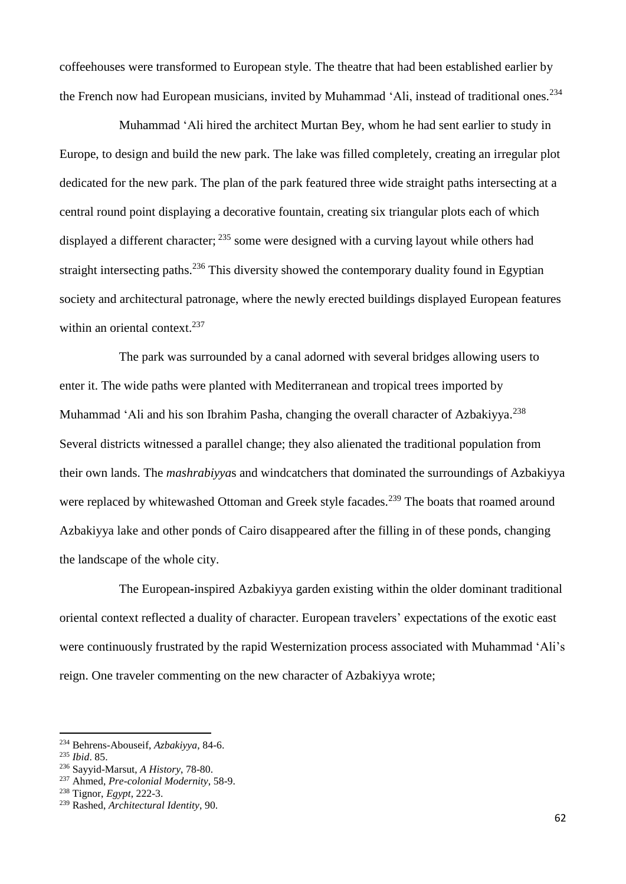coffeehouses were transformed to European style. The theatre that had been established earlier by the French now had European musicians, invited by Muhammad 'Ali, instead of traditional ones.<sup>234</sup>

Muhammad 'Ali hired the architect Murtan Bey, whom he had sent earlier to study in Europe, to design and build the new park. The lake was filled completely, creating an irregular plot dedicated for the new park. The plan of the park featured three wide straight paths intersecting at a central round point displaying a decorative fountain, creating six triangular plots each of which displayed a different character; <sup>235</sup> some were designed with a curving layout while others had straight intersecting paths.<sup>236</sup> This diversity showed the contemporary duality found in Egyptian society and architectural patronage, where the newly erected buildings displayed European features within an oriental context.<sup>237</sup>

The park was surrounded by a canal adorned with several bridges allowing users to enter it. The wide paths were planted with Mediterranean and tropical trees imported by Muhammad 'Ali and his son Ibrahim Pasha, changing the overall character of Azbakiyya.<sup>238</sup> Several districts witnessed a parallel change; they also alienated the traditional population from their own lands. The *mashrabiyya*s and windcatchers that dominated the surroundings of Azbakiyya were replaced by whitewashed Ottoman and Greek style facades.<sup>239</sup> The boats that roamed around Azbakiyya lake and other ponds of Cairo disappeared after the filling in of these ponds, changing the landscape of the whole city.

The European**-**inspired Azbakiyya garden existing within the older dominant traditional oriental context reflected a duality of character. European travelers' expectations of the exotic east were continuously frustrated by the rapid Westernization process associated with Muhammad 'Ali's reign. One traveler commenting on the new character of Azbakiyya wrote;

<sup>234</sup> Behrens-Abouseif, *Azbakiyya*, 84-6.

<sup>235</sup> *Ibid*. 85.

<sup>236</sup> Sayyid-Marsut, *A History*, 78-80.

<sup>237</sup> Ahmed, *Pre-colonial Modernity*, 58-9.

<sup>238</sup> Tignor, *Egypt*, 222-3.

<sup>239</sup> Rashed, *Architectural Identity*, 90.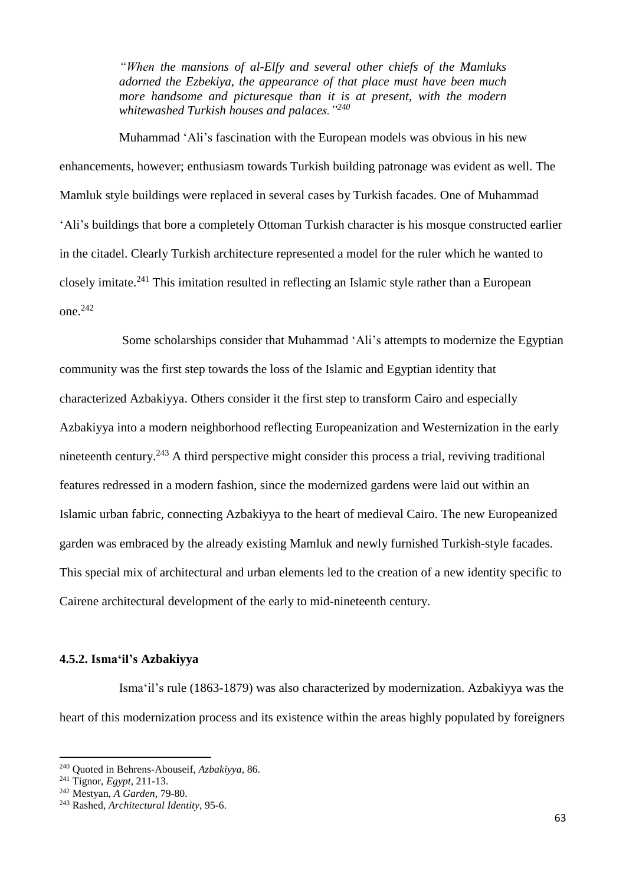*"When the mansions of al-Elfy and several other chiefs of the Mamluks adorned the Ezbekiya, the appearance of that place must have been much more handsome and picturesque than it is at present, with the modern whitewashed Turkish houses and palaces."<sup>240</sup>*

Muhammad 'Ali's fascination with the European models was obvious in his new enhancements, however; enthusiasm towards Turkish building patronage was evident as well. The Mamluk style buildings were replaced in several cases by Turkish facades. One of Muhammad 'Ali's buildings that bore a completely Ottoman Turkish character is his mosque constructed earlier in the citadel. Clearly Turkish architecture represented a model for the ruler which he wanted to closely imitate.<sup>241</sup> This imitation resulted in reflecting an Islamic style rather than a European one.<sup>242</sup>

Some scholarships consider that Muhammad 'Ali's attempts to modernize the Egyptian community was the first step towards the loss of the Islamic and Egyptian identity that characterized Azbakiyya. Others consider it the first step to transform Cairo and especially Azbakiyya into a modern neighborhood reflecting Europeanization and Westernization in the early nineteenth century.<sup>243</sup> A third perspective might consider this process a trial, reviving traditional features redressed in a modern fashion, since the modernized gardens were laid out within an Islamic urban fabric, connecting Azbakiyya to the heart of medieval Cairo. The new Europeanized garden was embraced by the already existing Mamluk and newly furnished Turkish-style facades. This special mix of architectural and urban elements led to the creation of a new identity specific to Cairene architectural development of the early to mid-nineteenth century.

## **4.5.2. Isma'il's Azbakiyya**

Isma'il's rule (1863-1879) was also characterized by modernization. Azbakiyya was the heart of this modernization process and its existence within the areas highly populated by foreigners

<sup>240</sup> Quoted in Behrens-Abouseif, *Azbakiyya,* 86.

<sup>241</sup> Tignor, *Egypt*, 211-13.

<sup>242</sup> Mestyan, *A Garden*, 79-80.

<sup>243</sup> Rashed, *Architectural Identity*, 95-6.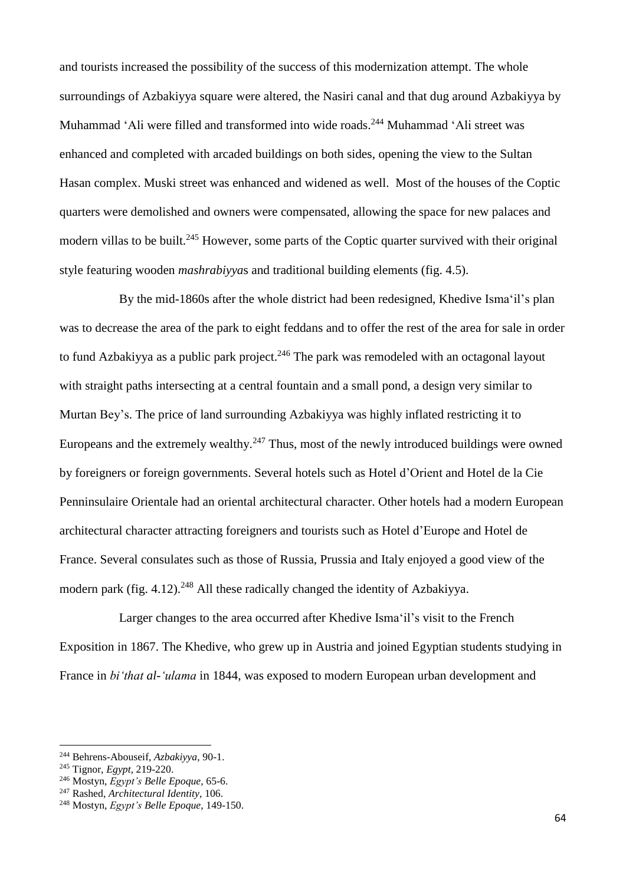and tourists increased the possibility of the success of this modernization attempt. The whole surroundings of Azbakiyya square were altered, the Nasiri canal and that dug around Azbakiyya by Muhammad 'Ali were filled and transformed into wide roads.<sup>244</sup> Muhammad 'Ali street was enhanced and completed with arcaded buildings on both sides, opening the view to the Sultan Hasan complex. Muski street was enhanced and widened as well. Most of the houses of the Coptic quarters were demolished and owners were compensated, allowing the space for new palaces and modern villas to be built.<sup>245</sup> However, some parts of the Coptic quarter survived with their original style featuring wooden *mashrabiyya*s and traditional building elements (fig. 4.5).

By the mid-1860s after the whole district had been redesigned, Khedive Isma'il's plan was to decrease the area of the park to eight feddans and to offer the rest of the area for sale in order to fund Azbakiyya as a public park project.<sup>246</sup> The park was remodeled with an octagonal layout with straight paths intersecting at a central fountain and a small pond, a design very similar to Murtan Bey's. The price of land surrounding Azbakiyya was highly inflated restricting it to Europeans and the extremely wealthy.<sup>247</sup> Thus, most of the newly introduced buildings were owned by foreigners or foreign governments. Several hotels such as Hotel d'Orient and Hotel de la Cie Penninsulaire Orientale had an oriental architectural character. Other hotels had a modern European architectural character attracting foreigners and tourists such as Hotel d'Europe and Hotel de France. Several consulates such as those of Russia, Prussia and Italy enjoyed a good view of the modern park (fig. 4.12).<sup>248</sup> All these radically changed the identity of Azbakiyya.

Larger changes to the area occurred after Khedive Isma'il's visit to the French Exposition in 1867. The Khedive, who grew up in Austria and joined Egyptian students studying in France in *bi'that al-'ulama* in 1844, was exposed to modern European urban development and

<sup>244</sup> Behrens-Abouseif, *Azbakiyya*, 90-1.

<sup>245</sup> Tignor, *Egypt*, 219-220.

<sup>246</sup> Mostyn, *Egypt's Belle Epoque,* 65-6.

<sup>247</sup> Rashed, *Architectural Identity*, 106.

<sup>248</sup> Mostyn, *Egypt's Belle Epoque*, 149-150.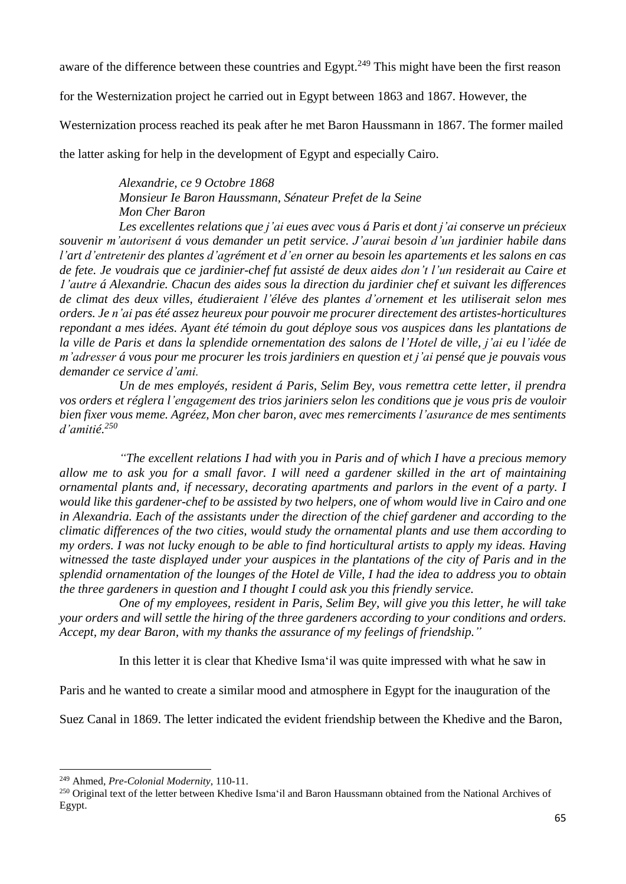aware of the difference between these countries and Egypt.<sup>249</sup> This might have been the first reason

for the Westernization project he carried out in Egypt between 1863 and 1867. However, the

Westernization process reached its peak after he met Baron Haussmann in 1867. The former mailed

the latter asking for help in the development of Egypt and especially Cairo.

# *Alexandrie, ce 9 Octobre 1868 Monsieur Ie Baron Haussmann, Sénateur Prefet de la Seine Mon Cher Baron*

*Les excellentes relations que j'ai eues avec vous á Paris et dont j'ai conserve un précieux souvenir m'autorisent á vous demander un petit service. J'aurai besoin d'un jardinier habile dans l'art d'entretenir des plantes d'agrément et d'en orner au besoin les apartements et les salons en cas* de fete. Je voudrais que ce jardinier-chef fut assisté de deux aides don't l'un residerait au Caire et *1'autre á Alexandrie. Chacun des aides sous la direction du jardinier chef et suivant les differences de climat des deux villes, étudieraient l'éléve des plantes d'ornement et les utiliserait selon mes orders. Je n'ai pas été assez heureux pour pouvoir me procurer directement des artistes-horticultures repondant a mes idées. Ayant été témoin du gout déploye sous vos auspices dans les plantations de* la ville de Paris et dans la splendide ornementation des salons de l'Hotel de ville, j'ai eu l'idée de m'adresser á vous pour me procurer les trois jardiniers en question et j'ai pensé que je pouvais vous *demander ce service d'ami.*

*Un de mes employés, resident á Paris, Selim Bey, vous remettra cette letter, il prendra vos orders et réglera l'engagement des trios jariniers selon les conditions que je vous pris de vouloir bien fixer vous meme. Agréez, Mon cher baron, avec mes remerciments l'asurance de mes sentiments d'amitié.<sup>250</sup>*

*"The excellent relations I had with you in Paris and of which I have a precious memory* allow me to ask you for a small favor. I will need a gardener skilled in the art of maintaining *ornamental plants and, if necessary, decorating apartments and parlors in the event of a party. I* would like this gardener-chef to be assisted by two helpers, one of whom would live in Cairo and one *in Alexandria. Each of the assistants under the direction of the chief gardener and according to the climatic differences of the two cities, would study the ornamental plants and use them according to* my orders. I was not lucky enough to be able to find horticultural artists to apply my ideas. Having witnessed the taste displayed under your auspices in the plantations of the city of Paris and in the splendid ornamentation of the lounges of the Hotel de Ville, I had the idea to address you to obtain *the three gardeners in question and I thought I could ask you this friendly service.*

*One of my employees, resident in Paris, Selim Bey, will give you this letter, he will take your orders and will settle the hiring of the three gardeners according to your conditions and orders. Accept, my dear Baron, with my thanks the assurance of my feelings of friendship."*

In this letter it is clear that Khedive Isma'il was quite impressed with what he saw in

Paris and he wanted to create a similar mood and atmosphere in Egypt for the inauguration of the

Suez Canal in 1869. The letter indicated the evident friendship between the Khedive and the Baron,

 $\overline{a}$ 

<sup>249</sup> Ahmed, *Pre-Colonial Modernity*, 110-11.

<sup>&</sup>lt;sup>250</sup> Original text of the letter between Khedive Isma'il and Baron Haussmann obtained from the National Archives of Egypt.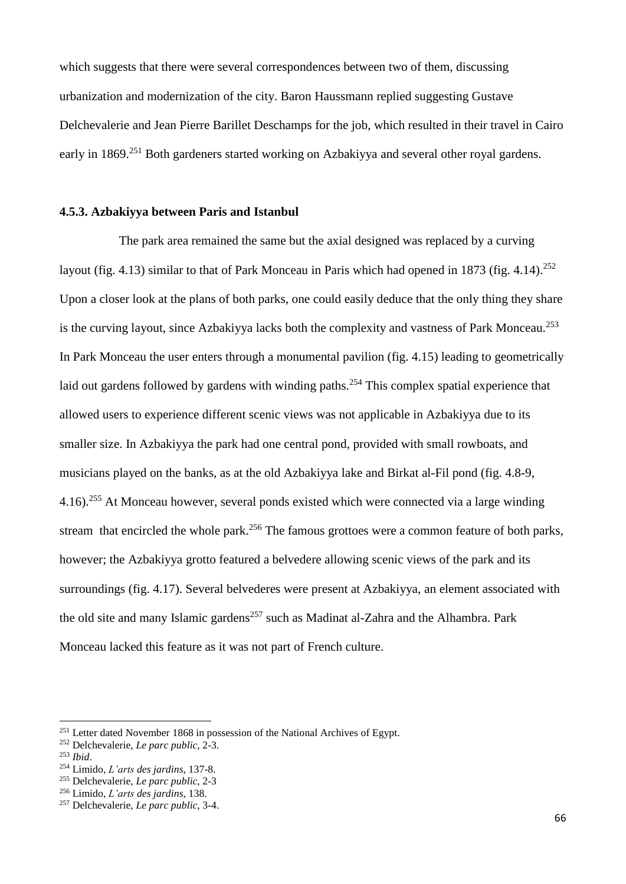which suggests that there were several correspondences between two of them, discussing urbanization and modernization of the city. Baron Haussmann replied suggesting Gustave Delchevalerie and Jean Pierre Barillet Deschamps for the job, which resulted in their travel in Cairo early in 1869.<sup>251</sup> Both gardeners started working on Azbakiyya and several other royal gardens.

## **4.5.3. Azbakiyya between Paris and Istanbul**

The park area remained the same but the axial designed was replaced by a curving layout (fig. 4.13) similar to that of Park Monceau in Paris which had opened in 1873 (fig. 4.14).<sup>252</sup> Upon a closer look at the plans of both parks, one could easily deduce that the only thing they share is the curving layout, since Azbakiyya lacks both the complexity and vastness of Park Monceau.<sup>253</sup> In Park Monceau the user enters through a monumental pavilion (fig. 4.15) leading to geometrically laid out gardens followed by gardens with winding paths.<sup>254</sup> This complex spatial experience that allowed users to experience different scenic views was not applicable in Azbakiyya due to its smaller size. In Azbakiyya the park had one central pond, provided with small rowboats, and musicians played on the banks, as at the old Azbakiyya lake and Birkat al-Fil pond (fig. 4.8-9, 4.16).<sup>255</sup> At Monceau however, several ponds existed which were connected via a large winding stream that encircled the whole park.<sup>256</sup> The famous grottoes were a common feature of both parks, however; the Azbakiyya grotto featured a belvedere allowing scenic views of the park and its surroundings (fig. 4.17). Several belvederes were present at Azbakiyya, an element associated with the old site and many Islamic gardens<sup>257</sup> such as Madinat al-Zahra and the Alhambra. Park Monceau lacked this feature as it was not part of French culture.

<sup>&</sup>lt;sup>251</sup> Letter dated November 1868 in possession of the National Archives of Egypt.

<sup>252</sup> Delchevalerie, *Le parc public*, 2-3.

<sup>253</sup> *Ibid*.

<sup>254</sup> Limido, *L'arts des jardins*, 137-8.

<sup>255</sup> Delchevalerie, *Le parc public*, 2-3

<sup>256</sup> Limido, *L'arts des jardins*, 138.

<sup>257</sup> Delchevalerie, *Le parc public*, 3-4.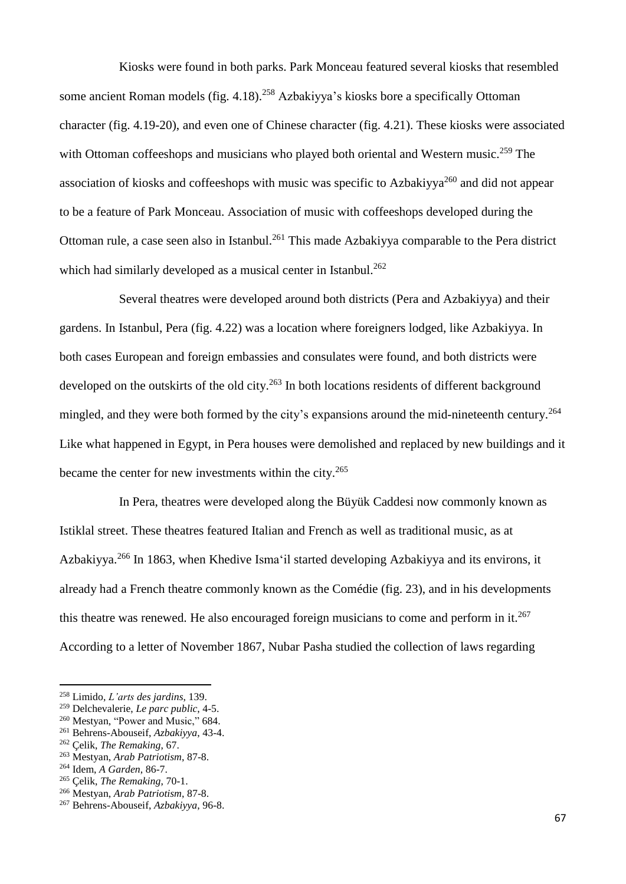Kiosks were found in both parks. Park Monceau featured several kiosks that resembled some ancient Roman models (fig. 4.18).<sup>258</sup> Azbakiyya's kiosks bore a specifically Ottoman character (fig. 4.19-20), and even one of Chinese character (fig. 4.21). These kiosks were associated with Ottoman coffeeshops and musicians who played both oriental and Western music.<sup>259</sup> The association of kiosks and coffeeshops with music was specific to Azbakiyya<sup>260</sup> and did not appear to be a feature of Park Monceau. Association of music with coffeeshops developed during the Ottoman rule, a case seen also in Istanbul.<sup>261</sup> This made Azbakiyya comparable to the Pera district which had similarly developed as a musical center in Istanbul.<sup>262</sup>

Several theatres were developed around both districts (Pera and Azbakiyya) and their gardens. In Istanbul, Pera (fig. 4.22) was a location where foreigners lodged, like Azbakiyya. In both cases European and foreign embassies and consulates were found, and both districts were developed on the outskirts of the old city.<sup>263</sup> In both locations residents of different background mingled, and they were both formed by the city's expansions around the mid-nineteenth century.<sup>264</sup> Like what happened in Egypt, in Pera houses were demolished and replaced by new buildings and it became the center for new investments within the city.<sup>265</sup>

In Pera, theatres were developed along the Büyük Caddesi now commonly known as Istiklal street. These theatres featured Italian and French as well as traditional music, as at Azbakiyya.<sup>266</sup> In 1863, when Khedive Isma'il started developing Azbakiyya and its environs, it already had a French theatre commonly known as the Comédie (fig. 23), and in his developments this theatre was renewed. He also encouraged foreign musicians to come and perform in it.<sup>267</sup> According to a letter of November 1867, Nubar Pasha studied the collection of laws regarding

**.** 

<sup>263</sup> Mestyan, *Arab Patriotism*, 87-8.

<sup>258</sup> Limido, *L'arts des jardins*, 139.

<sup>259</sup> Delchevalerie, *Le parc public*, 4-5.

<sup>&</sup>lt;sup>260</sup> Mestyan, "Power and Music," 684.

<sup>261</sup> Behrens-Abouseif, *Azbakiyya*, 43-4.

<sup>262</sup> Çelik, *The Remaking*, 67.

<sup>264</sup> Idem, *A Garden*, 86-7.

<sup>265</sup> Çelik, *The Remaking*, 70-1.

<sup>266</sup> Mestyan, *Arab Patriotism*, 87-8.

<sup>267</sup> Behrens-Abouseif, *Azbakiyya*, 96-8.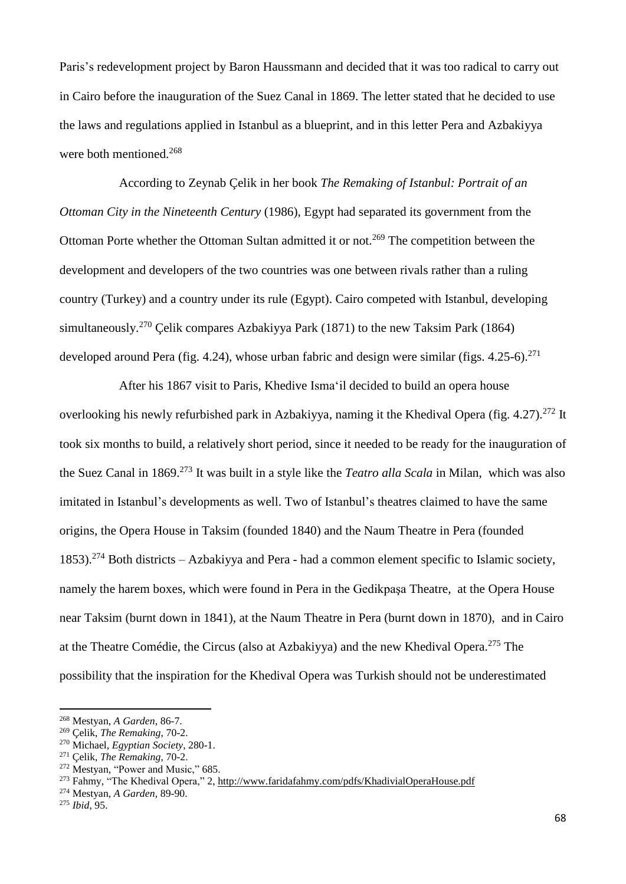Paris's redevelopment project by Baron Haussmann and decided that it was too radical to carry out in Cairo before the inauguration of the Suez Canal in 1869. The letter stated that he decided to use the laws and regulations applied in Istanbul as a blueprint, and in this letter Pera and Azbakiyya were both mentioned.<sup>268</sup>

According to Zeynab Çelik in her book *The Remaking of Istanbul: Portrait of an Ottoman City in the Nineteenth Century* (1986), Egypt had separated its government from the Ottoman Porte whether the Ottoman Sultan admitted it or not.<sup>269</sup> The competition between the development and developers of the two countries was one between rivals rather than a ruling country (Turkey) and a country under its rule (Egypt). Cairo competed with Istanbul, developing simultaneously.<sup>270</sup> Celik compares Azbakiyya Park (1871) to the new Taksim Park (1864) developed around Pera (fig. 4.24), whose urban fabric and design were similar (figs. 4.25-6).<sup>271</sup>

After his 1867 visit to Paris, Khedive Isma'il decided to build an opera house overlooking his newly refurbished park in Azbakiyya, naming it the Khedival Opera (fig. 4.27).<sup>272</sup> It took six months to build, a relatively short period, since it needed to be ready for the inauguration of the Suez Canal in 1869.<sup>273</sup> It was built in a style like the *Teatro alla Scala* in Milan, which was also imitated in Istanbul's developments as well. Two of Istanbul's theatres claimed to have the same origins, the Opera House in Taksim (founded 1840) and the Naum Theatre in Pera (founded 1853).<sup>274</sup> Both districts – Azbakiyya and Pera - had a common element specific to Islamic society, namely the harem boxes, which were found in Pera in the Gedikpaşa Theatre, at the Opera House near Taksim (burnt down in 1841), at the Naum Theatre in Pera (burnt down in 1870), and in Cairo at the Theatre Comédie, the Circus (also at Azbakiyya) and the new Khedival Opera.<sup>275</sup> The possibility that the inspiration for the Khedival Opera was Turkish should not be underestimated

1

<sup>268</sup> Mestyan, *A Garden*, 86-7.

<sup>269</sup> Çelik, *The Remaking*, 70-2.

<sup>270</sup> Michael, *Egyptian Society*, 280-1.

<sup>271</sup> Çelik, *The Remaking*, 70-2.

<sup>272</sup> Mestyan, "Power and Music," 685.

<sup>273</sup> Fahmy, "The Khedival Opera," 2, <http://www.faridafahmy.com/pdfs/KhadivialOperaHouse.pdf>

<sup>274</sup> Mestyan, *A Garden*, 89-90.

<sup>275</sup> *Ibid*, 95.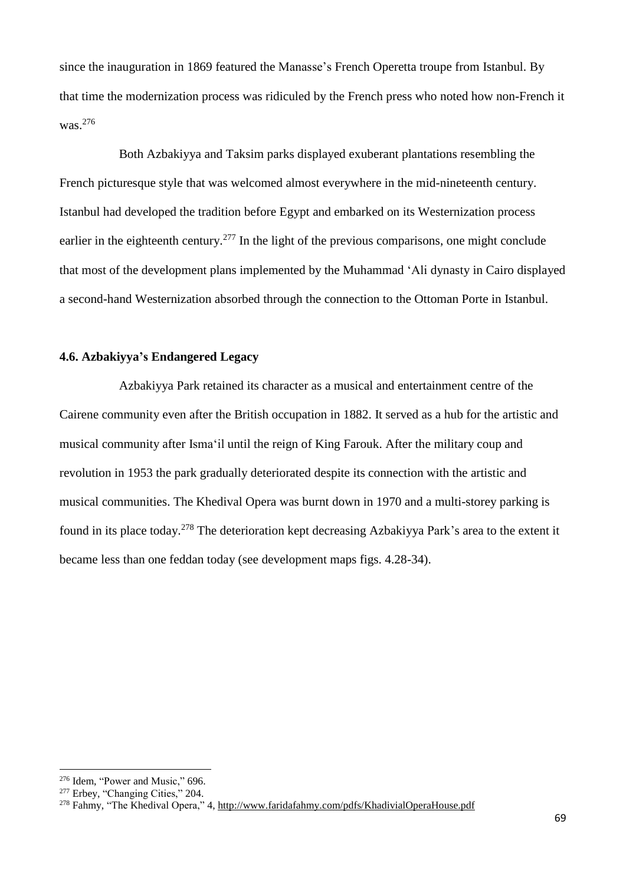since the inauguration in 1869 featured the Manasse's French Operetta troupe from Istanbul. By that time the modernization process was ridiculed by the French press who noted how non-French it was.<sup>276</sup>

Both Azbakiyya and Taksim parks displayed exuberant plantations resembling the French picturesque style that was welcomed almost everywhere in the mid-nineteenth century. Istanbul had developed the tradition before Egypt and embarked on its Westernization process earlier in the eighteenth century.<sup>277</sup> In the light of the previous comparisons, one might conclude that most of the development plans implemented by the Muhammad 'Ali dynasty in Cairo displayed a second-hand Westernization absorbed through the connection to the Ottoman Porte in Istanbul.

## **4.6. Azbakiyya's Endangered Legacy**

Azbakiyya Park retained its character as a musical and entertainment centre of the Cairene community even after the British occupation in 1882. It served as a hub for the artistic and musical community after Isma'il until the reign of King Farouk. After the military coup and revolution in 1953 the park gradually deteriorated despite its connection with the artistic and musical communities. The Khedival Opera was burnt down in 1970 and a multi-storey parking is found in its place today.<sup>278</sup> The deterioration kept decreasing Azbakiyya Park's area to the extent it became less than one feddan today (see development maps figs. 4.28-34).

 $\overline{a}$ 

<sup>276</sup> Idem, "Power and Music," 696.

<sup>&</sup>lt;sup>277</sup> Erbey, "Changing Cities," 204.

<sup>278</sup> Fahmy, "The Khedival Opera," 4, <http://www.faridafahmy.com/pdfs/KhadivialOperaHouse.pdf>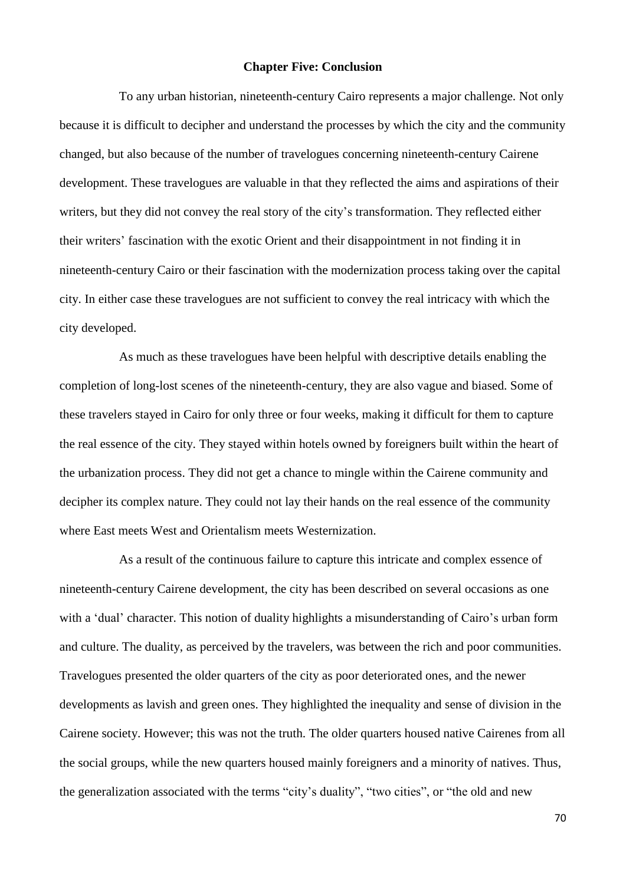## **Chapter Five: Conclusion**

To any urban historian, nineteenth-century Cairo represents a major challenge. Not only because it is difficult to decipher and understand the processes by which the city and the community changed, but also because of the number of travelogues concerning nineteenth-century Cairene development. These travelogues are valuable in that they reflected the aims and aspirations of their writers, but they did not convey the real story of the city's transformation. They reflected either their writers' fascination with the exotic Orient and their disappointment in not finding it in nineteenth-century Cairo or their fascination with the modernization process taking over the capital city. In either case these travelogues are not sufficient to convey the real intricacy with which the city developed.

As much as these travelogues have been helpful with descriptive details enabling the completion of long-lost scenes of the nineteenth-century, they are also vague and biased. Some of these travelers stayed in Cairo for only three or four weeks, making it difficult for them to capture the real essence of the city. They stayed within hotels owned by foreigners built within the heart of the urbanization process. They did not get a chance to mingle within the Cairene community and decipher its complex nature. They could not lay their hands on the real essence of the community where East meets West and Orientalism meets Westernization.

As a result of the continuous failure to capture this intricate and complex essence of nineteenth-century Cairene development, the city has been described on several occasions as one with a 'dual' character. This notion of duality highlights a misunderstanding of Cairo's urban form and culture. The duality, as perceived by the travelers, was between the rich and poor communities. Travelogues presented the older quarters of the city as poor deteriorated ones, and the newer developments as lavish and green ones. They highlighted the inequality and sense of division in the Cairene society. However; this was not the truth. The older quarters housed native Cairenes from all the social groups, while the new quarters housed mainly foreigners and a minority of natives. Thus, the generalization associated with the terms "city's duality", "two cities", or "the old and new

70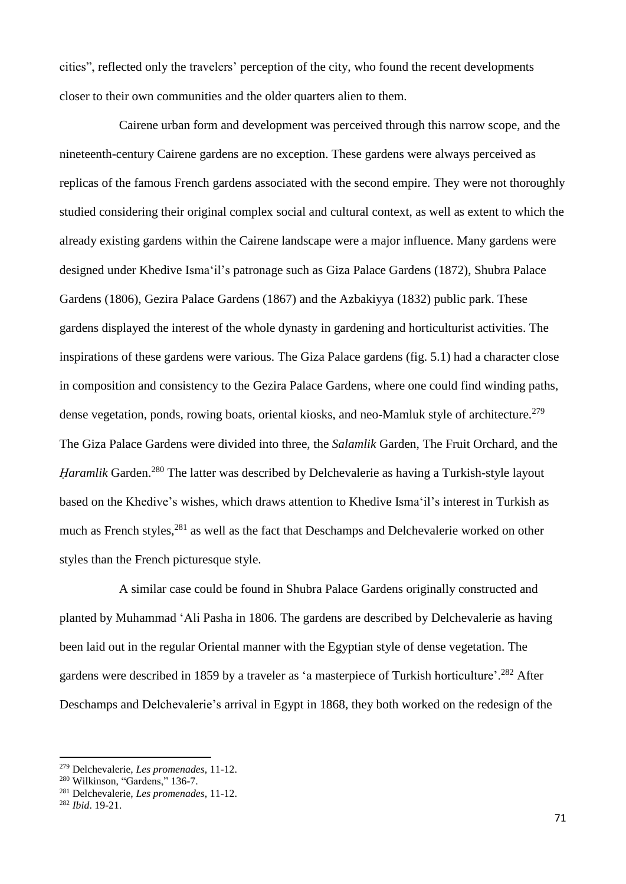cities", reflected only the travelers' perception of the city, who found the recent developments closer to their own communities and the older quarters alien to them.

Cairene urban form and development was perceived through this narrow scope, and the nineteenth-century Cairene gardens are no exception. These gardens were always perceived as replicas of the famous French gardens associated with the second empire. They were not thoroughly studied considering their original complex social and cultural context, as well as extent to which the already existing gardens within the Cairene landscape were a major influence. Many gardens were designed under Khedive Isma'il's patronage such as Giza Palace Gardens (1872), Shubra Palace Gardens (1806), Gezira Palace Gardens (1867) and the Azbakiyya (1832) public park. These gardens displayed the interest of the whole dynasty in gardening and horticulturist activities. The inspirations of these gardens were various. The Giza Palace gardens (fig. 5.1) had a character close in composition and consistency to the Gezira Palace Gardens, where one could find winding paths, dense vegetation, ponds, rowing boats, oriental kiosks, and neo-Mamluk style of architecture.<sup>279</sup> The Giza Palace Gardens were divided into three, the *Salamlik* Garden, The Fruit Orchard, and the *Haramlik* Garden.<sup>280</sup> The latter was described by Delchevalerie as having a Turkish-style layout based on the Khedive's wishes, which draws attention to Khedive Isma'il's interest in Turkish as much as French styles,<sup>281</sup> as well as the fact that Deschamps and Delchevalerie worked on other styles than the French picturesque style.

A similar case could be found in Shubra Palace Gardens originally constructed and planted by Muhammad 'Ali Pasha in 1806. The gardens are described by Delchevalerie as having been laid out in the regular Oriental manner with the Egyptian style of dense vegetation. The gardens were described in 1859 by a traveler as 'a masterpiece of Turkish horticulture'.<sup>282</sup> After Deschamps and Delchevalerie's arrival in Egypt in 1868, they both worked on the redesign of the

<sup>279</sup> Delchevalerie, *Les promenades*, 11-12.

<sup>280</sup> Wilkinson, "Gardens," 136-7.

<sup>281</sup> Delchevalerie, *Les promenades*, 11-12.

<sup>282</sup> *Ibid*. 19-21.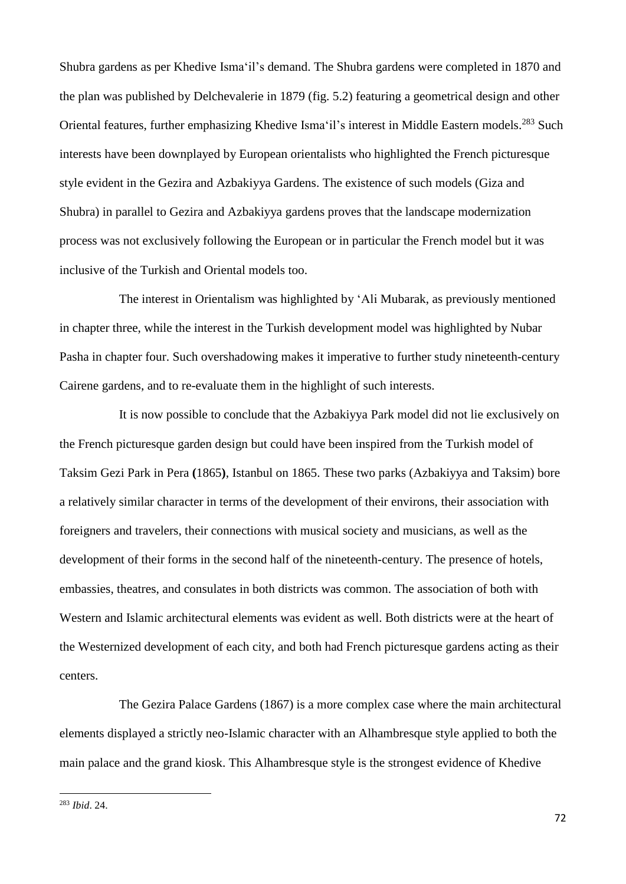Shubra gardens as per Khedive Isma'il's demand. The Shubra gardens were completed in 1870 and the plan was published by Delchevalerie in 1879 (fig. 5.2) featuring a geometrical design and other Oriental features, further emphasizing Khedive Isma'il's interest in Middle Eastern models.<sup>283</sup> Such interests have been downplayed by European orientalists who highlighted the French picturesque style evident in the Gezira and Azbakiyya Gardens. The existence of such models (Giza and Shubra) in parallel to Gezira and Azbakiyya gardens proves that the landscape modernization process was not exclusively following the European or in particular the French model but it was inclusive of the Turkish and Oriental models too.

The interest in Orientalism was highlighted by 'Ali Mubarak, as previously mentioned in chapter three, while the interest in the Turkish development model was highlighted by Nubar Pasha in chapter four. Such overshadowing makes it imperative to further study nineteenth-century Cairene gardens, and to re-evaluate them in the highlight of such interests.

It is now possible to conclude that the Azbakiyya Park model did not lie exclusively on the French picturesque garden design but could have been inspired from the Turkish model of Taksim Gezi Park in Pera **(**1865**)**, Istanbul on 1865. These two parks (Azbakiyya and Taksim) bore a relatively similar character in terms of the development of their environs, their association with foreigners and travelers, their connections with musical society and musicians, as well as the development of their forms in the second half of the nineteenth-century. The presence of hotels, embassies, theatres, and consulates in both districts was common. The association of both with Western and Islamic architectural elements was evident as well. Both districts were at the heart of the Westernized development of each city, and both had French picturesque gardens acting as their centers.

The Gezira Palace Gardens (1867) is a more complex case where the main architectural elements displayed a strictly neo-Islamic character with an Alhambresque style applied to both the main palace and the grand kiosk. This Alhambresque style is the strongest evidence of Khedive

<sup>283</sup> *Ibid*. 24.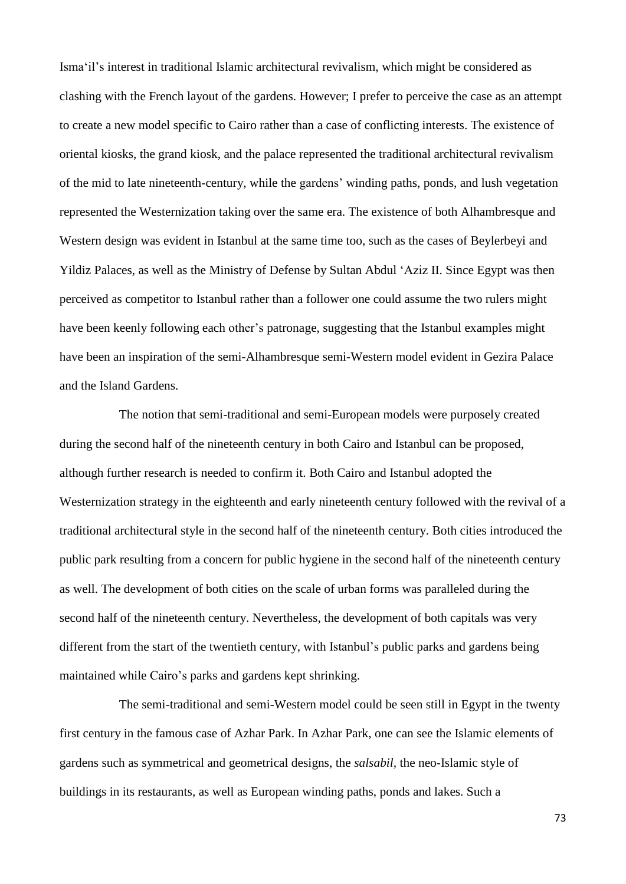Isma'il's interest in traditional Islamic architectural revivalism, which might be considered as clashing with the French layout of the gardens. However; I prefer to perceive the case as an attempt to create a new model specific to Cairo rather than a case of conflicting interests. The existence of oriental kiosks, the grand kiosk, and the palace represented the traditional architectural revivalism of the mid to late nineteenth-century, while the gardens' winding paths, ponds, and lush vegetation represented the Westernization taking over the same era. The existence of both Alhambresque and Western design was evident in Istanbul at the same time too, such as the cases of Beylerbeyi and Yildiz Palaces, as well as the Ministry of Defense by Sultan Abdul 'Aziz II. Since Egypt was then perceived as competitor to Istanbul rather than a follower one could assume the two rulers might have been keenly following each other's patronage, suggesting that the Istanbul examples might have been an inspiration of the semi-Alhambresque semi-Western model evident in Gezira Palace and the Island Gardens.

The notion that semi-traditional and semi-European models were purposely created during the second half of the nineteenth century in both Cairo and Istanbul can be proposed, although further research is needed to confirm it. Both Cairo and Istanbul adopted the Westernization strategy in the eighteenth and early nineteenth century followed with the revival of a traditional architectural style in the second half of the nineteenth century. Both cities introduced the public park resulting from a concern for public hygiene in the second half of the nineteenth century as well. The development of both cities on the scale of urban forms was paralleled during the second half of the nineteenth century. Nevertheless, the development of both capitals was very different from the start of the twentieth century, with Istanbul's public parks and gardens being maintained while Cairo's parks and gardens kept shrinking.

The semi-traditional and semi-Western model could be seen still in Egypt in the twenty first century in the famous case of Azhar Park. In Azhar Park, one can see the Islamic elements of gardens such as symmetrical and geometrical designs, the *salsabil,* the neo-Islamic style of buildings in its restaurants, as well as European winding paths, ponds and lakes. Such a

73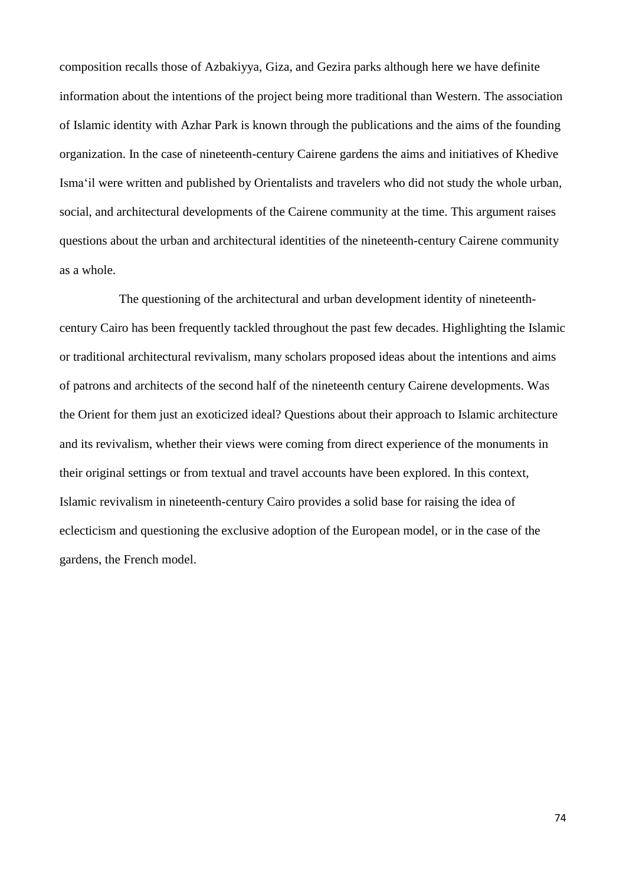composition recalls those of Azbakiyya, Giza, and Gezira parks although here we have definite information about the intentions of the project being more traditional than Western. The association of Islamic identity with Azhar Park is known through the publications and the aims of the founding organization. In the case of nineteenth-century Cairene gardens the aims and initiatives of Khedive Isma'il were written and published by Orientalists and travelers who did not study the whole urban, social, and architectural developments of the Cairene community at the time. This argument raises questions about the urban and architectural identities of the nineteenth-century Cairene community as a whole.

The questioning of the architectural and urban development identity of nineteenthcentury Cairo has been frequently tackled throughout the past few decades. Highlighting the Islamic or traditional architectural revivalism, many scholars proposed ideas about the intentions and aims of patrons and architects of the second half of the nineteenth century Cairene developments. Was the Orient for them just an exoticized ideal? Questions about their approach to Islamic architecture and its revivalism, whether their views were coming from direct experience of the monuments in their original settings or from textual and travel accounts have been explored. In this context, Islamic revivalism in nineteenth-century Cairo provides a solid base for raising the idea of eclecticism and questioning the exclusive adoption of the European model, or in the case of the gardens, the French model.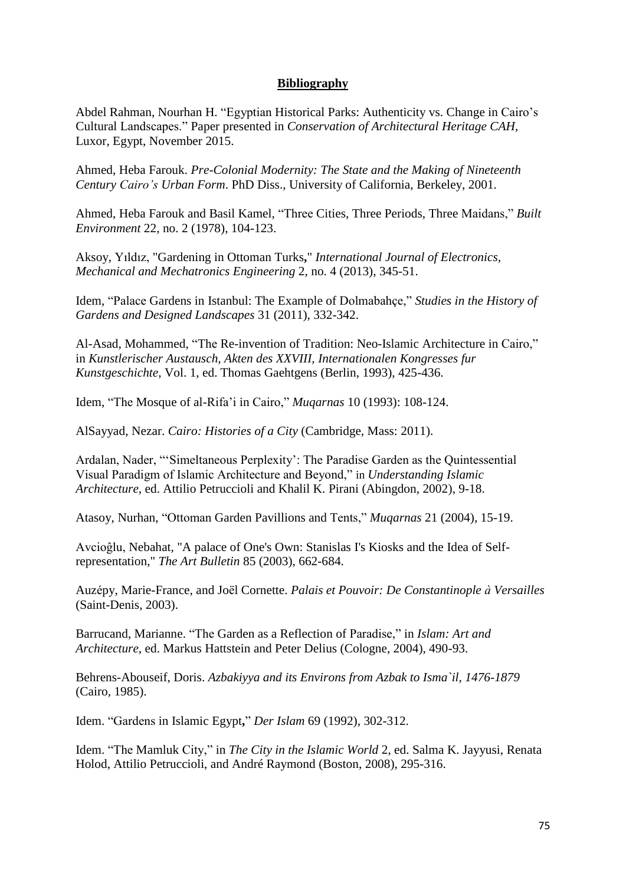# **Bibliography**

Abdel Rahman, Nourhan H. "Egyptian Historical Parks: Authenticity vs. Change in Cairo's Cultural Landscapes." Paper presented in *Conservation of Architectural Heritage CAH*, Luxor, Egypt, November 2015.

Ahmed, Heba Farouk. *Pre-Colonial Modernity: The State and the Making of Nineteenth Century Cairo's Urban Form*. PhD Diss., University of California, Berkeley, 2001.

Ahmed, Heba Farouk and Basil Kamel, "Three Cities, Three Periods, Three Maidans," *Built Environment* 22, no. 2 (1978), 104-123.

Aksoy, Yıldız, "Gardening in Ottoman Turks**,**" *International Journal of Electronics, Mechanical and Mechatronics Engineering* 2, no. 4 (2013), 345-51.

Idem, "Palace Gardens in Istanbul: The Example of Dolmabahçe," *Studies in the History of Gardens and Designed Landscapes* 31 (2011), 332-342.

Al-Asad, Mohammed, "The Re-invention of Tradition: Neo-Islamic Architecture in Cairo," in *Kunstlerischer Austausch, Akten des XXVIII, Internationalen Kongresses fur Kunstgeschichte*, Vol. 1, ed. Thomas Gaehtgens (Berlin, 1993), 425-436.

Idem, "The Mosque of al-Rifa'i in Cairo," *Muqarnas* 10 (1993): 108-124.

AlSayyad, Nezar. *Cairo: Histories of a City* (Cambridge, Mass: 2011).

Ardalan, Nader, "'Simeltaneous Perplexity': The Paradise Garden as the Quintessential Visual Paradigm of Islamic Architecture and Beyond," in *Understanding Islamic Architecture*, ed. Attilio Petruccioli and Khalil K. Pirani (Abingdon, 2002), 9-18.

Atasoy, Nurhan, "Ottoman Garden Pavillions and Tents," *Muqarnas* 21 (2004), 15-19.

Avcioĝlu, Nebahat, "A palace of One's Own: Stanislas I's Kiosks and the Idea of Selfrepresentation," *The Art Bulletin* 85 (2003), 662-684.

Auzépy, Marie-France, and Joël Cornette. *Palais et Pouvoir: De Constantinople à Versailles* (Saint-Denis, 2003).

Barrucand, Marianne. "The Garden as a Reflection of Paradise," in *Islam: Art and Architecture*, ed. Markus Hattstein and Peter Delius (Cologne, 2004), 490-93.

Behrens-Abouseif, Doris. *Azbakiyya and its Environs from Azbak to Isma`il, 1476-1879* (Cairo, 1985).

Idem. "Gardens in Islamic Egypt**,**" *Der Islam* 69 (1992), 302-312.

Idem. "The Mamluk City," in *The City in the Islamic World* 2, ed. Salma K. Jayyusi, Renata Holod, Attilio Petruccioli, and André Raymond (Boston, 2008), 295-316.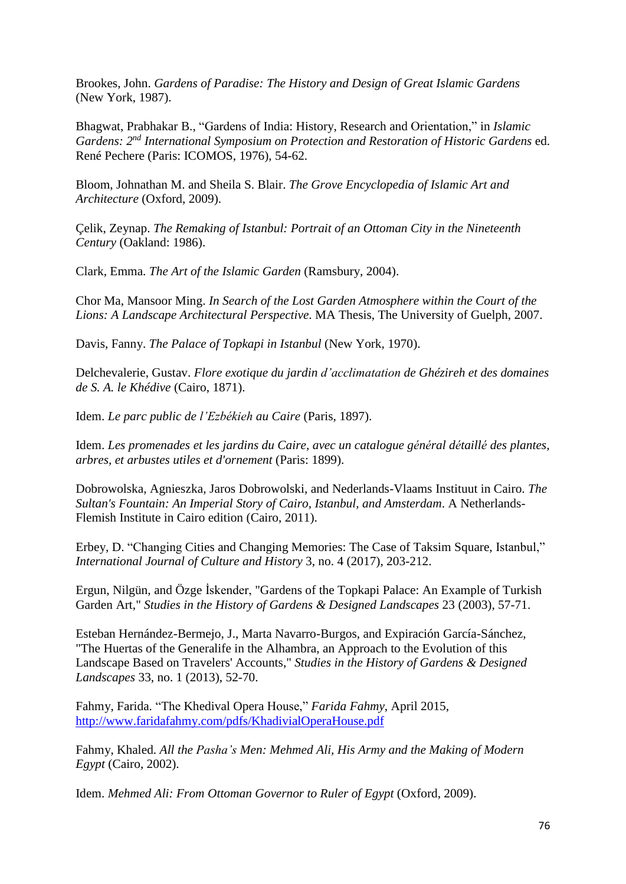Brookes, John. *Gardens of Paradise: The History and Design of Great Islamic Gardens* (New York, 1987).

Bhagwat, Prabhakar B., "Gardens of India: History, Research and Orientation," in *Islamic Gardens: 2 nd International Symposium on Protection and Restoration of Historic Gardens* ed. René Pechere (Paris: ICOMOS, 1976), 54-62.

Bloom, Johnathan M. and Sheila S. Blair. *The Grove Encyclopedia of Islamic Art and Architecture* (Oxford, 2009).

Çelik, Zeynap. *The Remaking of Istanbul: Portrait of an Ottoman City in the Nineteenth Century* (Oakland: 1986).

Clark, Emma. *The Art of the Islamic Garden* (Ramsbury, 2004).

Chor Ma, Mansoor Ming. *In Search of the Lost Garden Atmosphere within the Court of the Lions: A Landscape Architectural Perspective*. MA Thesis, The University of Guelph, 2007.

Davis, Fanny. *The Palace of Topkapi in Istanbul* (New York, 1970).

Delchevalerie, Gustav. *Flore exotique du jardin d'acclimatation de Ghézireh et des domaines de S. A. le Khédive* (Cairo, 1871).

Idem. *Le parc public de l'Ezbékieh au Caire* (Paris, 1897).

Idem. *Les promenades et les jardins du Caire, avec un catalogue général détaillé des plantes, arbres, et arbustes utiles et d'ornement* (Paris: 1899).

Dobrowolska, Agnieszka, Jaros Dobrowolski, and Nederlands-Vlaams Instituut in Cairo. *The Sultan's Fountain: An Imperial Story of Cairo, Istanbul, and Amsterdam*. A Netherlands-Flemish Institute in Cairo edition (Cairo, 2011).

Erbey, D. "Changing Cities and Changing Memories: The Case of Taksim Square, Istanbul," *International Journal of Culture and History* 3, no. 4 (2017), 203-212.

Ergun, Nilgün, and Özge İskender, "Gardens of the Topkapi Palace: An Example of Turkish Garden Art," *Studies in the History of Gardens & Designed Landscapes* 23 (2003), 57-71.

Esteban Hernández-Bermejo, J., Marta Navarro-Burgos, and Expiración García-Sánchez, "The Huertas of the Generalife in the Alhambra, an Approach to the Evolution of this Landscape Based on Travelers' Accounts," *Studies in the History of Gardens & Designed Landscapes* 33, no. 1 (2013), 52-70.

Fahmy, Farida. "The Khedival Opera House," *Farida Fahmy*, April 2015, <http://www.faridafahmy.com/pdfs/KhadivialOperaHouse.pdf>

Fahmy, Khaled. *All the Pasha's Men: Mehmed Ali, His Army and the Making of Modern Egypt* (Cairo, 2002).

Idem. *Mehmed Ali: From Ottoman Governor to Ruler of Egypt* (Oxford, 2009).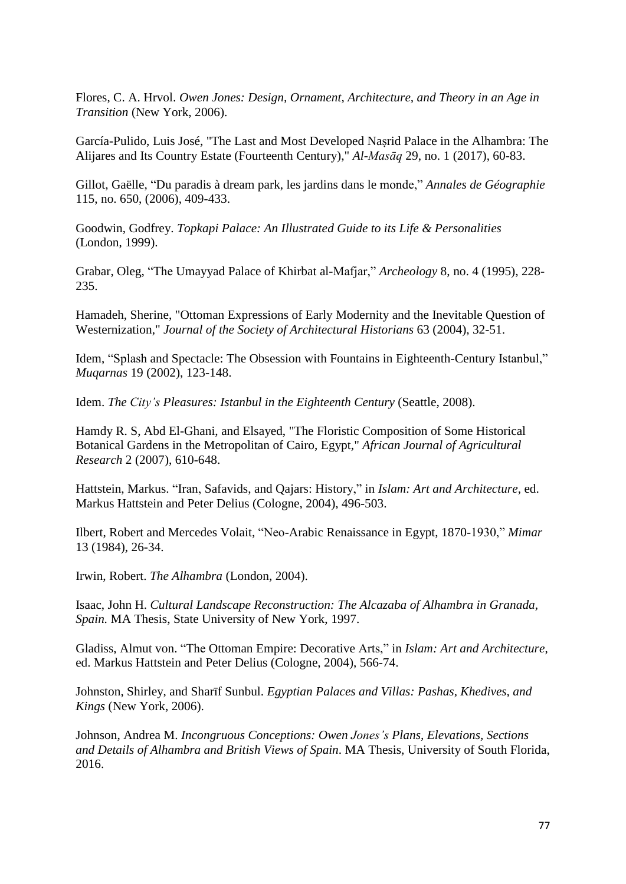Flores, C. A. Hrvol. *Owen Jones: Design, Ornament, Architecture, and Theory in an Age in Transition* (New York, 2006).

García-Pulido, Luis José, "The Last and Most Developed Naṣrid Palace in the Alhambra: The Alijares and Its Country Estate (Fourteenth Century)," *Al-Masāq* 29, no. 1 (2017), 60-83.

Gillot, Gaëlle, "Du paradis à dream park, les jardins dans le monde," *Annales de Géographie* 115, no. 650, (2006), 409-433.

Goodwin, Godfrey. *Topkapi Palace: An Illustrated Guide to its Life & Personalities* (London, 1999).

Grabar, Oleg, "The Umayyad Palace of Khirbat al-Mafjar," *Archeology* 8, no. 4 (1995), 228- 235.

Hamadeh, Sherine, "Ottoman Expressions of Early Modernity and the Inevitable Question of Westernization," *Journal of the Society of Architectural Historians* 63 (2004), 32-51.

Idem, "Splash and Spectacle: The Obsession with Fountains in Eighteenth-Century Istanbul," *Muqarnas* 19 (2002), 123-148.

Idem. *The City's Pleasures: Istanbul in the Eighteenth Century* (Seattle, 2008).

Hamdy R. S, Abd El-Ghani, and Elsayed, "The Floristic Composition of Some Historical Botanical Gardens in the Metropolitan of Cairo, Egypt," *African Journal of Agricultural Research* 2 (2007), 610-648.

Hattstein, Markus. "Iran, Safavids, and Qajars: History," in *Islam: Art and Architecture*, ed. Markus Hattstein and Peter Delius (Cologne, 2004), 496-503.

Ilbert, Robert and Mercedes Volait, "Neo-Arabic Renaissance in Egypt, 1870-1930," *Mimar* 13 (1984), 26-34.

Irwin, Robert. *The Alhambra* (London, 2004).

Isaac, John H. *Cultural Landscape Reconstruction: The Alcazaba of Alhambra in Granada, Spain.* MA Thesis, State University of New York, 1997.

Gladiss, Almut von. "The Ottoman Empire: Decorative Arts," in *Islam: Art and Architecture*, ed. Markus Hattstein and Peter Delius (Cologne, 2004), 566-74.

Johnston, Shirley, and Sharīf Sunbul. *Egyptian Palaces and Villas: Pashas, Khedives, and Kings* (New York, 2006).

Johnson, Andrea M. *Incongruous Conceptions: Owen Jones's Plans, Elevations, Sections and Details of Alhambra and British Views of Spain*. MA Thesis, University of South Florida, 2016.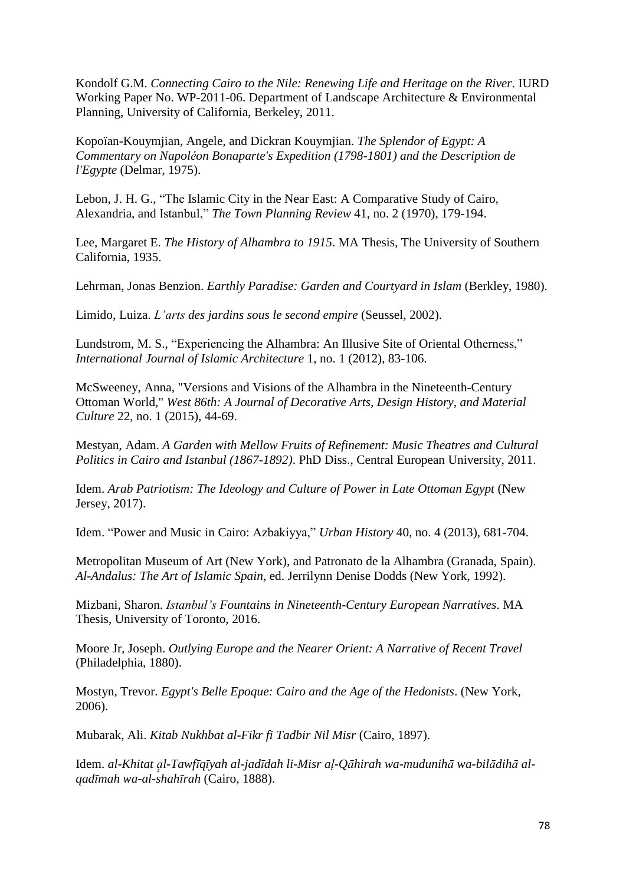Kondolf G.M. *Connecting Cairo to the Nile: Renewing Life and Heritage on the River*. IURD Working Paper No. WP-2011-06. Department of Landscape Architecture & Environmental Planning, University of California, Berkeley, 2011.

Kopoïan-Kouymjian, Angele, and Dickran Kouymjian. *The Splendor of Egypt: A Commentary on Napoléon Bonaparte's Expedition (1798-1801) and the Description de l'Egypte* (Delmar, 1975).

Lebon, J. H. G., "The Islamic City in the Near East: A Comparative Study of Cairo, Alexandria, and Istanbul," *The Town Planning Review* 41, no. 2 (1970), 179-194.

Lee, Margaret E. *The History of Alhambra to 1915*. MA Thesis, The University of Southern California, 1935.

Lehrman, Jonas Benzion. *Earthly Paradise: Garden and Courtyard in Islam* (Berkley, 1980).

Limido, Luiza. *L'arts des jardins sous le second empire* (Seussel, 2002).

Lundstrom, M. S., "Experiencing the Alhambra: An Illusive Site of Oriental Otherness," *International Journal of Islamic Architecture* 1, no. 1 (2012), 83-106.

McSweeney, Anna, "Versions and Visions of the Alhambra in the Nineteenth-Century Ottoman World," *West 86th: A Journal of Decorative Arts, Design History, and Material Culture* 22, no. 1 (2015), 44-69.

Mestyan, Adam. *A Garden with Mellow Fruits of Refinement: Music Theatres and Cultural Politics in Cairo and Istanbul (1867-1892)*. PhD Diss., Central European University, 2011.

Idem. *Arab Patriotism: The Ideology and Culture of Power in Late Ottoman Egypt* (New Jersey, 2017).

Idem. "Power and Music in Cairo: Azbakiyya," *Urban History* 40, no. 4 (2013), 681-704.

Metropolitan Museum of Art (New York), and Patronato de la Alhambra (Granada, Spain). *Al-Andalus: The Art of Islamic Spain*, ed. Jerrilynn Denise Dodds (New York, 1992).

Mizbani, Sharon. *Istanbul's Fountains in Nineteenth-Century European Narratives*. MA Thesis, University of Toronto, 2016.

Moore Jr, Joseph. *Outlying Europe and the Nearer Orient: A Narrative of Recent Travel* (Philadelphia, 1880).

Mostyn, Trevor. *Egypt's Belle Epoque: Cairo and the Age of the Hedonists*. (New York, 2006).

Mubarak, Ali. *Kitab Nukhbat al-Fikr fi Tadbir Nil Misr* (Cairo, 1897).

Idem. *al-Khitat ạ̣ l-Tawfīqīyah al-jadīdah li-Misr aḷ-Qāhirah wa-mudunihā wa-bilādihā al-̣̣ qadīmah wa-al-shahīrah* (Cairo, 1888).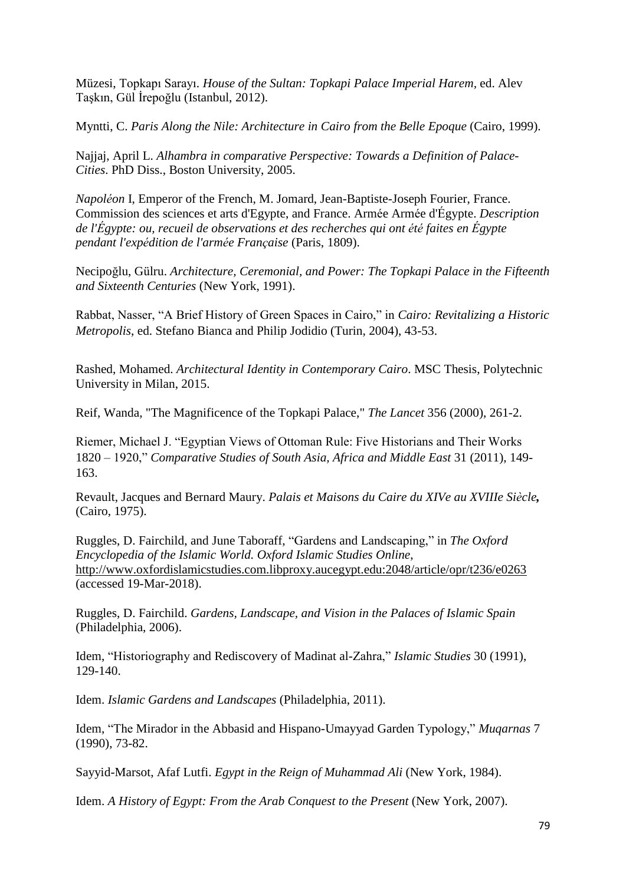Müzesi, Topkapı Sarayı. *House of the Sultan: Topkapi Palace Imperial Harem,* ed. Alev Taşkın, Gül İrepoğlu (Istanbul, 2012).

Myntti, C. *Paris Along the Nile: Architecture in Cairo from the Belle Epoque* (Cairo, 1999).

Najjaj, April L. *Alhambra in comparative Perspective: Towards a Definition of Palace-Cities*. PhD Diss., Boston University, 2005.

*Napoléon* I, Emperor of the French, M. Jomard, Jean-Baptiste-Joseph Fourier, France. Commission des sciences et arts d'Egypte, and France. Armée Armée d'Égypte. *Description de l'Égypte: ou, recueil de observations et des recherches qui ont été faites en Égypte pendant l'expédition de l'armée Française* (Paris, 1809).

Necipoğlu, Gülru. *Architecture, Ceremonial, and Power: The Topkapi Palace in the Fifteenth and Sixteenth Centuries* (New York, 1991).

Rabbat, Nasser, "A Brief History of Green Spaces in Cairo," in *Cairo: Revitalizing a Historic Metropolis*, ed. Stefano Bianca and Philip Jodidio (Turin, 2004), 43-53.

Rashed, Mohamed. *Architectural Identity in Contemporary Cairo*. MSC Thesis, Polytechnic University in Milan, 2015.

Reif, Wanda, "The Magnificence of the Topkapi Palace," *The Lancet* 356 (2000), 261-2.

Riemer, Michael J. "Egyptian Views of Ottoman Rule: Five Historians and Their Works 1820 – 1920," *Comparative Studies of South Asia, Africa and Middle East* 31 (2011), 149- 163.

Revault, Jacques and Bernard Maury. *Palais et Maisons du Caire du XIVe au XVIIIe Siècle,* (Cairo, 1975).

Ruggles, D. Fairchild, and June Taboraff, "Gardens and Landscaping," in *The Oxford Encyclopedia of the Islamic World. Oxford Islamic Studies Online*, <http://www.oxfordislamicstudies.com.libproxy.aucegypt.edu:2048/article/opr/t236/e0263> (accessed 19-Mar-2018).

Ruggles, D. Fairchild. *Gardens, Landscape, and Vision in the Palaces of Islamic Spain* (Philadelphia, 2006).

Idem, "Historiography and Rediscovery of Madinat al-Zahra," *Islamic Studies* 30 (1991), 129-140.

Idem. *Islamic Gardens and Landscapes* (Philadelphia, 2011).

Idem, "The Mirador in the Abbasid and Hispano-Umayyad Garden Typology," *Muqarnas* 7 (1990), 73-82.

Sayyid-Marsot, Afaf Lutfi. *Egypt in the Reign of Muhammad Ali* (New York, 1984).

Idem. *A History of Egypt: From the Arab Conquest to the Present* (New York, 2007).